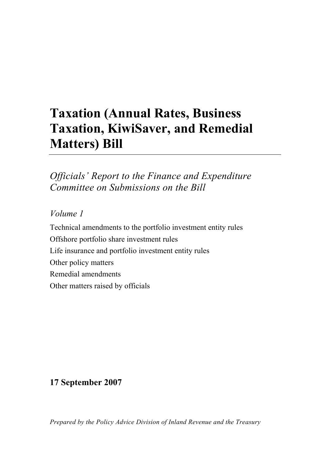# **Taxation (Annual Rates, Business Taxation, KiwiSaver, and Remedial Matters) Bill**

*Officials' Report to the Finance and Expenditure Committee on Submissions on the Bill* 

## *Volume 1*

Technical amendments to the portfolio investment entity rules Offshore portfolio share investment rules Life insurance and portfolio investment entity rules Other policy matters Remedial amendments Other matters raised by officials

## **17 September 2007**

*Prepared by the Policy Advice Division of Inland Revenue and the Treasury*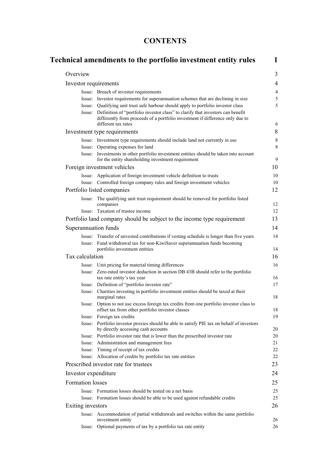|  | <b>CONTENTS</b> |  |
|--|-----------------|--|
|--|-----------------|--|

| Overview              |                                                                                                                                                                                                                                                                                                                                                    |  |
|-----------------------|----------------------------------------------------------------------------------------------------------------------------------------------------------------------------------------------------------------------------------------------------------------------------------------------------------------------------------------------------|--|
| Investor requirements |                                                                                                                                                                                                                                                                                                                                                    |  |
|                       | Issue: Breach of investor requirements                                                                                                                                                                                                                                                                                                             |  |
|                       | Issue: Investor requirements for superannuation schemes that are declining in size<br>Issue: Qualifying unit trust safe harbour should apply to portfolio investor class<br>Issue: Definition of "portfolio investor class" to clarify that investors can benefit<br>differently from proceeds of a portfolio investment if difference only due to |  |
|                       | different tax rates<br>Investment type requirements                                                                                                                                                                                                                                                                                                |  |
|                       | Issue: Investment type requirements should include land not currently in use                                                                                                                                                                                                                                                                       |  |
|                       | Issue: Operating expenses for land                                                                                                                                                                                                                                                                                                                 |  |
|                       | Issue: Investments in other portfolio investment entities should be taken into account<br>for the entity shareholding investment requirement                                                                                                                                                                                                       |  |
|                       | Foreign investment vehicles                                                                                                                                                                                                                                                                                                                        |  |
|                       | Issue: Application of foreign investment vehicle definition to trusts                                                                                                                                                                                                                                                                              |  |
|                       | Issue: Controlled foreign company rules and foreign investment vehicles                                                                                                                                                                                                                                                                            |  |
|                       | Portfolio listed companies                                                                                                                                                                                                                                                                                                                         |  |
|                       | Issue: The qualifying unit trust requirement should be removed for portfolio listed                                                                                                                                                                                                                                                                |  |
|                       | companies                                                                                                                                                                                                                                                                                                                                          |  |
|                       | Issue: Taxation of trustee income                                                                                                                                                                                                                                                                                                                  |  |
|                       | Portfolio land company should be subject to the income type requirement                                                                                                                                                                                                                                                                            |  |
| Superannuation funds  |                                                                                                                                                                                                                                                                                                                                                    |  |
| Issue:                | Transfer of unvested contributions if vesting schedule is longer than five years                                                                                                                                                                                                                                                                   |  |
|                       | Issue: Fund withdrawal tax for non-KiwiSaver superannuation funds becoming<br>portfolio investment entities                                                                                                                                                                                                                                        |  |
| Tax calculation       |                                                                                                                                                                                                                                                                                                                                                    |  |
|                       | Issue: Unit pricing for material timing differences                                                                                                                                                                                                                                                                                                |  |
|                       | Issue: Zero-rated investor deduction in section DB 43B should refer to the portfolio                                                                                                                                                                                                                                                               |  |
|                       | tax rate entity's tax year<br>Issue: Definition of "portfolio investor rate"                                                                                                                                                                                                                                                                       |  |
|                       | Issue: Charities investing in portfolio investment entities should be taxed at their                                                                                                                                                                                                                                                               |  |
|                       | marginal rates                                                                                                                                                                                                                                                                                                                                     |  |
|                       | Issue: Option to not use excess foreign tax credits from one portfolio investor class to<br>offset tax from other portfolio investor classes                                                                                                                                                                                                       |  |
|                       | Issue: Foreign tax credits                                                                                                                                                                                                                                                                                                                         |  |
|                       | Issue: Portfolio investor proxies should be able to satisfy PIE tax on behalf of investors                                                                                                                                                                                                                                                         |  |
|                       | by directly accessing cash accounts                                                                                                                                                                                                                                                                                                                |  |
|                       | Issue: Portfolio investor rate that is lower than the prescribed investor rate<br>Issue: Administration and management fees                                                                                                                                                                                                                        |  |
|                       | Issue: Timing of receipt of tax credits                                                                                                                                                                                                                                                                                                            |  |
|                       | Issue: Allocation of credits by portfolio tax rate entities                                                                                                                                                                                                                                                                                        |  |
|                       | Prescribed investor rate for trustees                                                                                                                                                                                                                                                                                                              |  |
| Investor expenditure  |                                                                                                                                                                                                                                                                                                                                                    |  |
| Formation losses      |                                                                                                                                                                                                                                                                                                                                                    |  |
|                       | Issue: Formation losses should be tested on a net basis                                                                                                                                                                                                                                                                                            |  |
|                       | Issue: Formation losses should be able to be used against refundable credits                                                                                                                                                                                                                                                                       |  |
| Exiting investors     |                                                                                                                                                                                                                                                                                                                                                    |  |
|                       | Issue: Accommodation of partial withdrawals and switches within the same portfolio<br>investment entity                                                                                                                                                                                                                                            |  |
|                       | Issue: Optional payments of tax by a portfolio tax rate entity                                                                                                                                                                                                                                                                                     |  |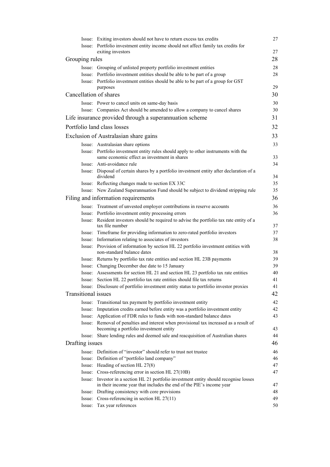|                            | Issue: Exiting investors should not have to return excess tax credits                                                     | 27 |
|----------------------------|---------------------------------------------------------------------------------------------------------------------------|----|
|                            | Issue: Portfolio investment entity income should not affect family tax credits for                                        |    |
|                            | exiting investors                                                                                                         | 27 |
| Grouping rules             |                                                                                                                           | 28 |
|                            | Issue: Grouping of unlisted property portfolio investment entities                                                        | 28 |
|                            | Issue: Portfolio investment entities should be able to be part of a group                                                 | 28 |
|                            | Issue: Portfolio investment entities should be able to be part of a group for GST                                         |    |
|                            | purposes                                                                                                                  | 29 |
| Cancellation of shares     |                                                                                                                           | 30 |
|                            | Issue: Power to cancel units on same-day basis                                                                            | 30 |
|                            | Issue: Companies Act should be amended to allow a company to cancel shares                                                | 30 |
|                            | Life insurance provided through a superannuation scheme                                                                   | 31 |
|                            | Portfolio land class losses                                                                                               | 32 |
|                            | Exclusion of Australasian share gains                                                                                     | 33 |
|                            | Issue: Australasian share options                                                                                         | 33 |
|                            | Issue: Portfolio investment entity rules should apply to other instruments with the                                       |    |
|                            | same economic effect as investment in shares                                                                              | 33 |
|                            | Issue: Anti-avoidance rule                                                                                                | 34 |
|                            | Issue: Disposal of certain shares by a portfolio investment entity after declaration of a                                 |    |
|                            | dividend                                                                                                                  | 34 |
|                            | Issue: Reflecting changes made to section EX 33C                                                                          | 35 |
|                            | Issue: New Zealand Superannuation Fund should be subject to dividend stripping rule                                       | 35 |
|                            | Filing and information requirements                                                                                       | 36 |
|                            | Issue: Treatment of unvested employer contributions in reserve accounts                                                   | 36 |
|                            | Issue: Portfolio investment entity processing errors                                                                      | 36 |
| Issue:                     | Resident investors should be required to advise the portfolio tax rate entity of a<br>tax file number                     | 37 |
|                            | Issue: Timeframe for providing information to zero-rated portfolio investors                                              | 37 |
|                            | Issue: Information relating to associates of investors                                                                    | 38 |
|                            | Issue: Provision of information by section HL 22 portfolio investment entities with<br>non-standard balance dates         | 38 |
|                            | Issue: Returns by portfolio tax rate entities and section HL 23B payments                                                 | 39 |
|                            | Issue: Changing December due date to 15 January                                                                           | 39 |
|                            | Issue: Assessments for section HL 21 and section HL 23 portfolio tax rate entities                                        | 40 |
|                            | Issue: Section HL 22 portfolio tax rate entities should file tax returns                                                  | 41 |
|                            | Issue: Disclosure of portfolio investment entity status to portfolio investor proxies                                     | 41 |
| <b>Transitional issues</b> |                                                                                                                           | 42 |
|                            | Issue: Transitional tax payment by portfolio investment entity                                                            | 42 |
| Issue:                     | Imputation credits earned before entity was a portfolio investment entity                                                 | 42 |
| Issue:                     | Application of FDR rules to funds with non-standard balance dates                                                         | 43 |
| Issue:                     | Removal of penalties and interest when provisional tax increased as a result of<br>becoming a portfolio investment entity | 43 |
|                            | Issue: Share lending rules and deemed sale and reacquisition of Australian shares                                         | 44 |
| Drafting issues            |                                                                                                                           | 46 |
|                            | Issue: Definition of "investor" should refer to trust not trustee                                                         | 46 |
|                            | Issue: Definition of "portfolio land company"                                                                             | 46 |
|                            | Issue: Heading of section HL 27(8)                                                                                        | 47 |
|                            | Issue: Cross-referencing error in section HL 27(10B)                                                                      | 47 |
| Issue:                     | Investor in a section HL 21 portfolio investment entity should recognise losses                                           |    |
|                            | in their income year that includes the end of the PIE's income year                                                       | 47 |
| Issue:                     | Drafting consistency with core provisions                                                                                 | 48 |
| Issue:                     | Cross-referencing in section HL $27(11)$                                                                                  | 49 |
|                            | Issue: Tax year references                                                                                                | 50 |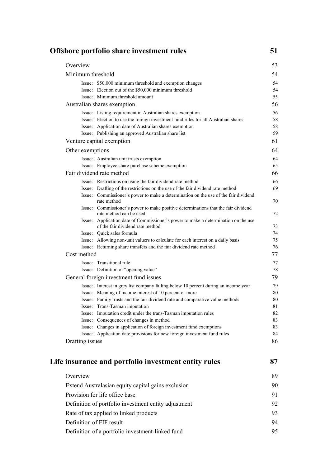## **Offshore portfolio share investment rules 51**

| Overview         |                                                                                                                        | 53 |  |
|------------------|------------------------------------------------------------------------------------------------------------------------|----|--|
|                  | Minimum threshold                                                                                                      |    |  |
|                  | Issue: \$50,000 minimum threshold and exemption changes                                                                | 54 |  |
|                  | Issue: Election out of the \$50,000 minimum threshold                                                                  | 54 |  |
|                  | Issue: Minimum threshold amount                                                                                        | 55 |  |
|                  | Australian shares exemption                                                                                            | 56 |  |
|                  | Issue: Listing requirement in Australian shares exemption                                                              | 56 |  |
|                  | Issue: Election to use the foreign investment fund rules for all Australian shares                                     | 58 |  |
|                  | Issue: Application date of Australian shares exemption                                                                 | 58 |  |
|                  | Issue: Publishing an approved Australian share list                                                                    | 59 |  |
|                  | Venture capital exemption                                                                                              | 61 |  |
| Other exemptions |                                                                                                                        | 64 |  |
|                  | Issue: Australian unit trusts exemption                                                                                | 64 |  |
|                  | Issue: Employee share purchase scheme exemption                                                                        | 65 |  |
|                  | Fair dividend rate method                                                                                              | 66 |  |
|                  | Issue: Restrictions on using the fair dividend rate method                                                             | 66 |  |
|                  | Issue: Drafting of the restrictions on the use of the fair dividend rate method                                        | 69 |  |
|                  | Issue: Commissioner's power to make a determination on the use of the fair dividend<br>rate method                     | 70 |  |
|                  | Issue: Commissioner's power to make positive determinations that the fair dividend<br>rate method can be used          | 72 |  |
|                  | Issue: Application date of Commissioner's power to make a determination on the use<br>of the fair dividend rate method | 73 |  |
|                  | Issue: Quick sales formula                                                                                             | 74 |  |
|                  | Issue: Allowing non-unit valuers to calculate for each interest on a daily basis                                       | 75 |  |
|                  | Issue: Returning share transfers and the fair dividend rate method                                                     | 76 |  |
| Cost method      |                                                                                                                        | 77 |  |
|                  | Issue: Transitional rule                                                                                               | 77 |  |
|                  | Issue: Definition of "opening value"                                                                                   | 78 |  |
|                  | General foreign investment fund issues                                                                                 | 79 |  |
|                  | Issue: Interest in grey list company falling below 10 percent during an income year                                    | 79 |  |
|                  | Issue: Meaning of income interest of 10 percent or more                                                                | 80 |  |
|                  | Issue: Family trusts and the fair dividend rate and comparative value methods                                          | 80 |  |
|                  | Issue: Trans-Tasman imputation                                                                                         | 81 |  |
|                  | Issue: Imputation credit under the trans-Tasman imputation rules                                                       | 82 |  |
|                  | Issue: Consequences of changes in method                                                                               | 83 |  |
|                  | Issue: Changes in application of foreign investment fund exemptions                                                    | 83 |  |
|                  | Issue: Application date provisions for new foreign investment fund rules                                               | 84 |  |
| Drafting issues  |                                                                                                                        | 86 |  |

# **Life insurance and portfolio investment entity rules 87**

| Overview                                             | 89 |
|------------------------------------------------------|----|
| Extend Australasian equity capital gains exclusion   | 90 |
| Provision for life office base                       | 91 |
| Definition of portfolio investment entity adjustment | 92 |
| Rate of tax applied to linked products               | 93 |
| Definition of FIF result                             | 94 |
| Definition of a portfolio investment-linked fund     | 95 |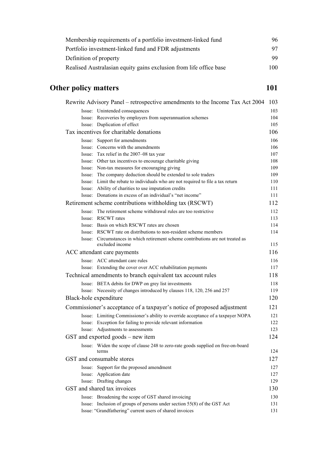| Membership requirements of a portfolio investment-linked fund      | 96  |
|--------------------------------------------------------------------|-----|
| Portfolio investment-linked fund and FDR adjustments               | 97  |
| Definition of property                                             | 99  |
| Realised Australasian equity gains exclusion from life office base | 100 |

# **Other policy matters 101**

|                        | Rewrite Advisory Panel – retrospective amendments to the Income Tax Act 2004                        | 103 |
|------------------------|-----------------------------------------------------------------------------------------------------|-----|
|                        | Issue: Unintended consequences                                                                      | 103 |
|                        | Issue: Recoveries by employers from superannuation schemes                                          | 104 |
|                        | Issue: Duplication of effect                                                                        | 105 |
|                        | Tax incentives for charitable donations                                                             | 106 |
|                        | Issue: Support for amendments                                                                       | 106 |
|                        | Issue: Concerns with the amendments                                                                 | 106 |
|                        | Issue: Tax relief in the 2007–08 tax year                                                           | 107 |
|                        | Issue: Other tax incentives to encourage charitable giving                                          | 108 |
|                        | Issue: Non-tax measures for encouraging giving                                                      | 109 |
|                        | Issue: The company deduction should be extended to sole traders                                     | 109 |
|                        | Issue: Limit the rebate to individuals who are not required to file a tax return                    | 110 |
|                        | Issue: Ability of charities to use imputation credits                                               | 111 |
|                        | Issue: Donations in excess of an individual's "net income"                                          | 111 |
|                        | Retirement scheme contributions withholding tax (RSCWT)                                             | 112 |
|                        | Issue: The retirement scheme withdrawal rules are too restrictive                                   | 112 |
|                        | Issue: RSCWT rates                                                                                  | 113 |
|                        | Issue: Basis on which RSCWT rates are chosen                                                        | 114 |
|                        | Issue: RSCWT rate on distributions to non-resident scheme members                                   | 114 |
|                        | Issue: Circumstances in which retirement scheme contributions are not treated as<br>excluded income | 115 |
|                        | ACC attendant care payments                                                                         | 116 |
|                        | Issue: ACC attendant care rules                                                                     | 116 |
|                        | Issue: Extending the cover over ACC rehabilitation payments                                         | 117 |
|                        | Technical amendments to branch equivalent tax account rules                                         | 118 |
|                        | Issue: BETA debits for DWP on grey list investments                                                 | 118 |
|                        | Issue: Necessity of changes introduced by clauses 118, 120, 256 and 257                             | 119 |
| Black-hole expenditure |                                                                                                     | 120 |
|                        | Commissioner's acceptance of a taxpayer's notice of proposed adjustment                             | 121 |
|                        | Issue: Limiting Commissioner's ability to override acceptance of a taxpayer NOPA                    | 121 |
|                        | Issue: Exception for failing to provide relevant information                                        | 122 |
|                        | Issue: Adjustments to assessments                                                                   | 123 |
|                        | $GST$ and exported goods – new item                                                                 | 124 |
|                        | Issue: Widen the scope of clause 248 to zero-rate goods supplied on free-on-board                   |     |
|                        | terms                                                                                               | 124 |
|                        | GST and consumable stores                                                                           | 127 |
|                        | Issue: Support for the proposed amendment                                                           | 127 |
|                        | Issue: Application date                                                                             | 127 |
|                        | Issue: Drafting changes                                                                             | 129 |
|                        | GST and shared tax invoices                                                                         | 130 |
|                        | Issue: Broadening the scope of GST shared invoicing                                                 | 130 |
|                        | Issue: Inclusion of groups of persons under section 55(8) of the GST Act                            | 131 |
|                        | Issue: "Grandfathering" current users of shared invoices                                            | 131 |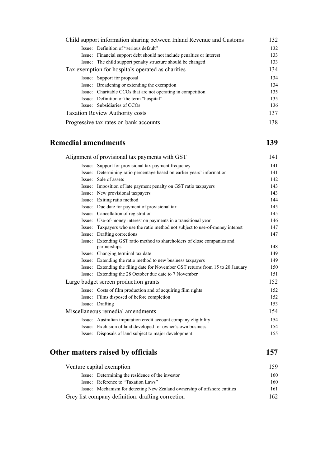| Child support information sharing between Inland Revenue and Customs   |     |  |
|------------------------------------------------------------------------|-----|--|
| Issue: Definition of "serious default"                                 | 132 |  |
| Issue: Financial support debt should not include penalties or interest | 133 |  |
| Issue: The child support penalty structure should be changed           | 133 |  |
| Tax exemption for hospitals operated as charities                      |     |  |
| Issue: Support for proposal                                            | 134 |  |
| Issue: Broadening or extending the exemption                           | 134 |  |
| Issue: Charitable CCOs that are not operating in competition           | 135 |  |
| Issue: Definition of the term "hospital"                               | 135 |  |
| Issue: Subsidiaries of CCOs                                            | 136 |  |
| <b>Taxation Review Authority costs</b>                                 |     |  |
| Progressive tax rates on bank accounts                                 |     |  |

## **Remedial amendments** 139

|        | Alignment of provisional tax payments with GST                                    | 141 |
|--------|-----------------------------------------------------------------------------------|-----|
|        | Issue: Support for provisional tax payment frequency                              | 141 |
|        | Issue: Determining ratio percentage based on earlier years' information           | 141 |
|        | Issue: Sale of assets                                                             | 142 |
|        | Issue: Imposition of late payment penalty on GST ratio taxpayers                  | 143 |
|        | Issue: New provisional taxpayers                                                  | 143 |
|        | Issue: Exiting ratio method                                                       | 144 |
|        | Issue: Due date for payment of provisional tax                                    | 145 |
|        | Issue: Cancellation of registration                                               | 145 |
|        | Issue: Use-of-money interest on payments in a transitional year                   | 146 |
|        | Issue: Taxpayers who use the ratio method not subject to use-of-money interest    | 147 |
|        | Issue: Drafting corrections                                                       | 147 |
| Issue: | Extending GST ratio method to shareholders of close companies and<br>partnerships | 148 |
|        | Issue: Changing terminal tax date                                                 | 149 |
|        | Issue: Extending the ratio method to new business taxpayers                       | 149 |
|        | Issue: Extending the filing date for November GST returns from 15 to 20 January   | 150 |
|        | Issue: Extending the 28 October due date to 7 November                            | 151 |
|        | Large budget screen production grants                                             | 152 |
|        | Issue: Costs of film production and of acquiring film rights                      | 152 |
|        | Issue: Films disposed of before completion                                        | 152 |
|        | Issue: Drafting                                                                   | 153 |
|        | Miscellaneous remedial amendments                                                 | 154 |
|        | Issue: Australian imputation credit account company eligibility                   | 154 |
|        | Issue: Exclusion of land developed for owner's own business                       | 154 |
|        | Issue: Disposals of land subject to major development                             | 155 |
|        |                                                                                   |     |

# **Other matters raised by officials** 157

| Venture capital exemption                                                 |     |
|---------------------------------------------------------------------------|-----|
| Issue: Determining the residence of the investor                          | 160 |
| Issue: Reference to "Taxation Laws"                                       | 160 |
| Issue: Mechanism for detecting New Zealand ownership of offshore entities | 161 |
| Grey list company definition: drafting correction                         |     |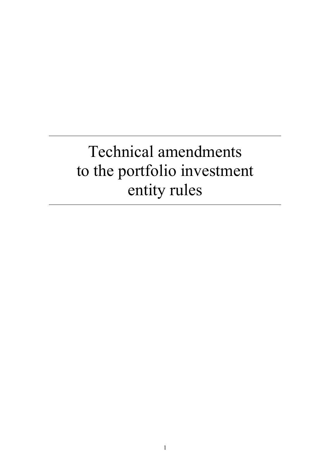# Technical amendments to the portfolio investment entity rules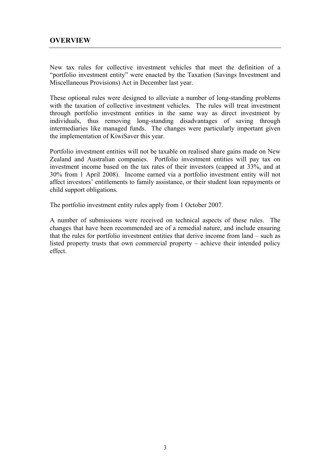New tax rules for collective investment vehicles that meet the definition of a "portfolio investment entity" were enacted by the Taxation (Savings Investment and Miscellaneous Provisions) Act in December last year.

These optional rules were designed to alleviate a number of long-standing problems with the taxation of collective investment vehicles. The rules will treat investment through portfolio investment entities in the same way as direct investment by individuals, thus removing long-standing disadvantages of saving through intermediaries like managed funds. The changes were particularly important given the implementation of KiwiSaver this year.

Portfolio investment entities will not be taxable on realised share gains made on New Zealand and Australian companies. Portfolio investment entities will pay tax on investment income based on the tax rates of their investors (capped at 33%, and at 30% from 1 April 2008). Income earned via a portfolio investment entity will not affect investors' entitlements to family assistance, or their student loan repayments or child support obligations.

The portfolio investment entity rules apply from 1 October 2007.

A number of submissions were received on technical aspects of these rules. The changes that have been recommended are of a remedial nature, and include ensuring that the rules for portfolio investment entities that derive income from land – such as listed property trusts that own commercial property – achieve their intended policy effect.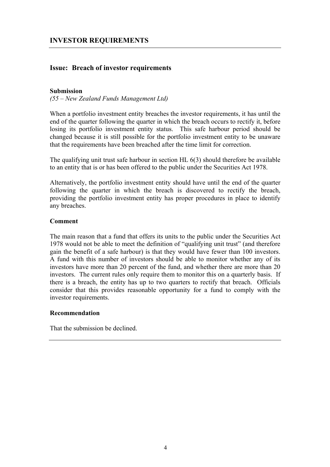## **Issue: Breach of investor requirements**

## **Submission**

*(55 – New Zealand Funds Management Ltd)* 

When a portfolio investment entity breaches the investor requirements, it has until the end of the quarter following the quarter in which the breach occurs to rectify it, before losing its portfolio investment entity status. This safe harbour period should be changed because it is still possible for the portfolio investment entity to be unaware that the requirements have been breached after the time limit for correction.

The qualifying unit trust safe harbour in section HL 6(3) should therefore be available to an entity that is or has been offered to the public under the Securities Act 1978.

Alternatively, the portfolio investment entity should have until the end of the quarter following the quarter in which the breach is discovered to rectify the breach, providing the portfolio investment entity has proper procedures in place to identify any breaches.

#### **Comment**

The main reason that a fund that offers its units to the public under the Securities Act 1978 would not be able to meet the definition of "qualifying unit trust" (and therefore gain the benefit of a safe harbour) is that they would have fewer than 100 investors. A fund with this number of investors should be able to monitor whether any of its investors have more than 20 percent of the fund, and whether there are more than 20 investors. The current rules only require them to monitor this on a quarterly basis. If there is a breach, the entity has up to two quarters to rectify that breach. Officials consider that this provides reasonable opportunity for a fund to comply with the investor requirements.

## **Recommendation**

That the submission be declined.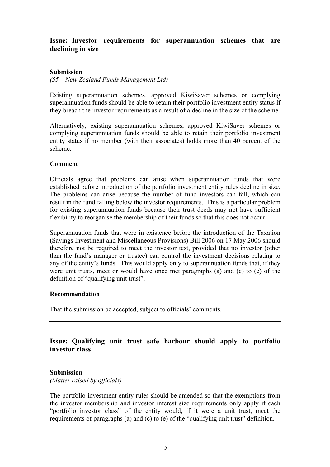## **Issue: Investor requirements for superannuation schemes that are declining in size**

## **Submission**

*(55 – New Zealand Funds Management Ltd)* 

Existing superannuation schemes, approved KiwiSaver schemes or complying superannuation funds should be able to retain their portfolio investment entity status if they breach the investor requirements as a result of a decline in the size of the scheme.

Alternatively, existing superannuation schemes, approved KiwiSaver schemes or complying superannuation funds should be able to retain their portfolio investment entity status if no member (with their associates) holds more than 40 percent of the scheme.

## **Comment**

Officials agree that problems can arise when superannuation funds that were established before introduction of the portfolio investment entity rules decline in size. The problems can arise because the number of fund investors can fall, which can result in the fund falling below the investor requirements. This is a particular problem for existing superannuation funds because their trust deeds may not have sufficient flexibility to reorganise the membership of their funds so that this does not occur.

Superannuation funds that were in existence before the introduction of the Taxation (Savings Investment and Miscellaneous Provisions) Bill 2006 on 17 May 2006 should therefore not be required to meet the investor test, provided that no investor (other than the fund's manager or trustee) can control the investment decisions relating to any of the entity's funds. This would apply only to superannuation funds that, if they were unit trusts, meet or would have once met paragraphs (a) and (c) to (e) of the definition of "qualifying unit trust".

#### **Recommendation**

That the submission be accepted, subject to officials' comments.

## **Issue: Qualifying unit trust safe harbour should apply to portfolio investor class**

## **Submission**

*(Matter raised by officials)* 

The portfolio investment entity rules should be amended so that the exemptions from the investor membership and investor interest size requirements only apply if each "portfolio investor class" of the entity would, if it were a unit trust, meet the requirements of paragraphs (a) and (c) to (e) of the "qualifying unit trust" definition.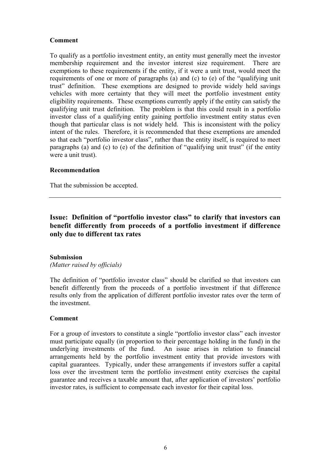## **Comment**

To qualify as a portfolio investment entity, an entity must generally meet the investor membership requirement and the investor interest size requirement. There are exemptions to these requirements if the entity, if it were a unit trust, would meet the requirements of one or more of paragraphs (a) and (c) to (e) of the "qualifying unit trust" definition. These exemptions are designed to provide widely held savings vehicles with more certainty that they will meet the portfolio investment entity eligibility requirements. These exemptions currently apply if the entity can satisfy the qualifying unit trust definition. The problem is that this could result in a portfolio investor class of a qualifying entity gaining portfolio investment entity status even though that particular class is not widely held. This is inconsistent with the policy intent of the rules. Therefore, it is recommended that these exemptions are amended so that each "portfolio investor class", rather than the entity itself, is required to meet paragraphs (a) and (c) to (e) of the definition of "qualifying unit trust" (if the entity were a unit trust).

## **Recommendation**

That the submission be accepted.

**Issue: Definition of "portfolio investor class" to clarify that investors can benefit differently from proceeds of a portfolio investment if difference only due to different tax rates** 

## **Submission**

*(Matter raised by officials)* 

The definition of "portfolio investor class" should be clarified so that investors can benefit differently from the proceeds of a portfolio investment if that difference results only from the application of different portfolio investor rates over the term of the investment.

## **Comment**

For a group of investors to constitute a single "portfolio investor class" each investor must participate equally (in proportion to their percentage holding in the fund) in the underlying investments of the fund. An issue arises in relation to financial arrangements held by the portfolio investment entity that provide investors with capital guarantees. Typically, under these arrangements if investors suffer a capital loss over the investment term the portfolio investment entity exercises the capital guarantee and receives a taxable amount that, after application of investors' portfolio investor rates, is sufficient to compensate each investor for their capital loss.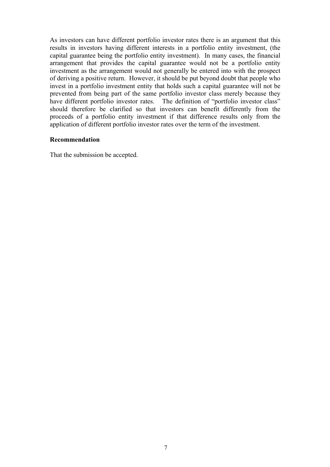As investors can have different portfolio investor rates there is an argument that this results in investors having different interests in a portfolio entity investment, (the capital guarantee being the portfolio entity investment). In many cases, the financial arrangement that provides the capital guarantee would not be a portfolio entity investment as the arrangement would not generally be entered into with the prospect of deriving a positive return. However, it should be put beyond doubt that people who invest in a portfolio investment entity that holds such a capital guarantee will not be prevented from being part of the same portfolio investor class merely because they have different portfolio investor rates. The definition of "portfolio investor class" should therefore be clarified so that investors can benefit differently from the proceeds of a portfolio entity investment if that difference results only from the application of different portfolio investor rates over the term of the investment.

#### **Recommendation**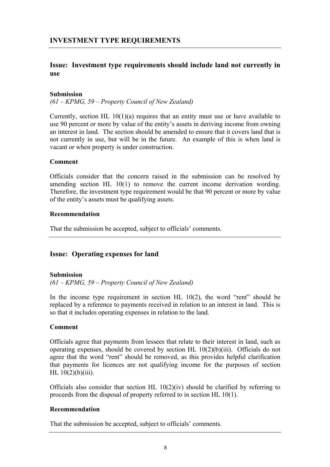## **Issue: Investment type requirements should include land not currently in use**

## **Submission**

*(61 – KPMG, 59 – Property Council of New Zealand)* 

Currently, section HL 10(1)(a) requires that an entity must use or have available to use 90 percent or more by value of the entity's assets in deriving income from owning an interest in land. The section should be amended to ensure that it covers land that is not currently in use, but will be in the future. An example of this is when land is vacant or when property is under construction.

## **Comment**

Officials consider that the concern raised in the submission can be resolved by amending section HL 10(1) to remove the current income derivation wording. Therefore, the investment type requirement would be that 90 percent or more by value of the entity's assets must be qualifying assets.

## **Recommendation**

That the submission be accepted, subject to officials' comments.

## **Issue: Operating expenses for land**

## **Submission**

*(61 – KPMG, 59 – Property Council of New Zealand)* 

In the income type requirement in section HL  $10(2)$ , the word "rent" should be replaced by a reference to payments received in relation to an interest in land. This is so that it includes operating expenses in relation to the land.

## **Comment**

Officials agree that payments from lessees that relate to their interest in land, such as operating expenses, should be covered by section HL 10(2)(b)(iii). Officials do not agree that the word "rent" should be removed, as this provides helpful clarification that payments for licences are not qualifying income for the purposes of section HL  $10(2)(b)(iii)$ .

Officials also consider that section HL 10(2)(iv) should be clarified by referring to proceeds from the disposal of property referred to in section HL 10(1).

## **Recommendation**

That the submission be accepted, subject to officials' comments.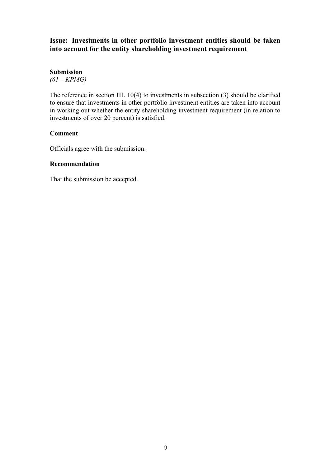## **Issue: Investments in other portfolio investment entities should be taken into account for the entity shareholding investment requirement**

## **Submission**

*(61 – KPMG)* 

The reference in section HL 10(4) to investments in subsection (3) should be clarified to ensure that investments in other portfolio investment entities are taken into account in working out whether the entity shareholding investment requirement (in relation to investments of over 20 percent) is satisfied.

## **Comment**

Officials agree with the submission.

## **Recommendation**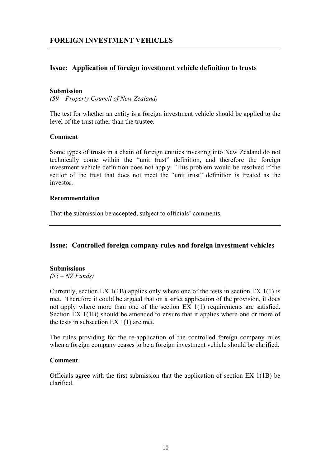## **Issue: Application of foreign investment vehicle definition to trusts**

#### **Submission**

*(59 – Property Council of New Zealand)* 

The test for whether an entity is a foreign investment vehicle should be applied to the level of the trust rather than the trustee.

#### **Comment**

Some types of trusts in a chain of foreign entities investing into New Zealand do not technically come within the "unit trust" definition, and therefore the foreign investment vehicle definition does not apply. This problem would be resolved if the settlor of the trust that does not meet the "unit trust" definition is treated as the investor.

#### **Recommendation**

That the submission be accepted, subject to officials' comments.

## **Issue: Controlled foreign company rules and foreign investment vehicles**

## **Submissions**

*(55 – NZ Funds)* 

Currently, section EX 1(1B) applies only where one of the tests in section EX 1(1) is met. Therefore it could be argued that on a strict application of the provision, it does not apply where more than one of the section EX 1(1) requirements are satisfied. Section EX 1(1B) should be amended to ensure that it applies where one or more of the tests in subsection EX 1(1) are met.

The rules providing for the re-application of the controlled foreign company rules when a foreign company ceases to be a foreign investment vehicle should be clarified.

## **Comment**

Officials agree with the first submission that the application of section EX 1(1B) be clarified.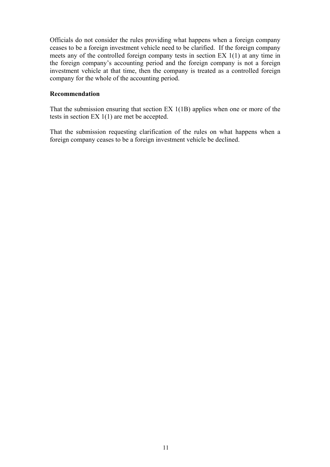Officials do not consider the rules providing what happens when a foreign company ceases to be a foreign investment vehicle need to be clarified. If the foreign company meets any of the controlled foreign company tests in section EX 1(1) at any time in the foreign company's accounting period and the foreign company is not a foreign investment vehicle at that time, then the company is treated as a controlled foreign company for the whole of the accounting period.

## **Recommendation**

That the submission ensuring that section EX 1(1B) applies when one or more of the tests in section EX 1(1) are met be accepted.

That the submission requesting clarification of the rules on what happens when a foreign company ceases to be a foreign investment vehicle be declined.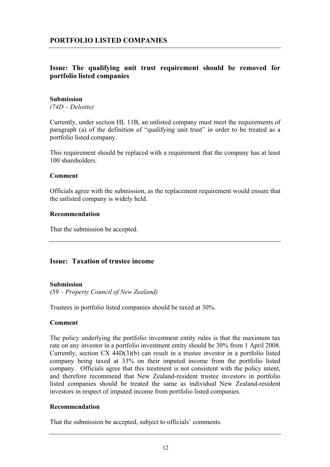## **Issue: The qualifying unit trust requirement should be removed for portfolio listed companies**

## **Submission**

*(74D – Deloitte)* 

Currently, under section HL 11B, an unlisted company must meet the requirements of paragraph (a) of the definition of "qualifying unit trust" in order to be treated as a portfolio listed company.

This requirement should be replaced with a requirement that the company has at least 100 shareholders.

#### **Comment**

Officials agree with the submission, as the replacement requirement would ensure that the unlisted company is widely held.

## **Recommendation**

That the submission be accepted.

## **Issue: Taxation of trustee income**

#### **Submission**

*(59 – Property Council of New Zealand)* 

Trustees in portfolio listed companies should be taxed at 30%.

#### **Comment**

The policy underlying the portfolio investment entity rules is that the maximum tax rate on any investor in a portfolio investment entity should be 30% from 1 April 2008. Currently, section CX 44D(3)(b) can result in a trustee investor in a portfolio listed company being taxed at 33% on their imputed income from the portfolio listed company. Officials agree that this treatment is not consistent with the policy intent, and therefore recommend that New Zealand-resident trustee investors in portfolio listed companies should be treated the same as individual New Zealand-resident investors in respect of imputed income from portfolio listed companies.

## **Recommendation**

That the submission be accepted, subject to officials' comments.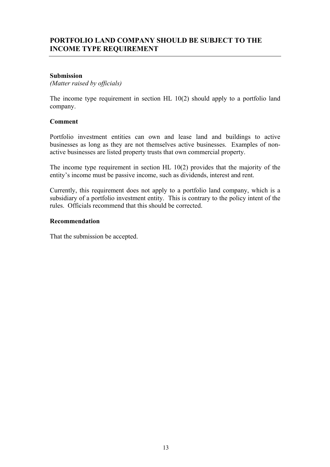## **PORTFOLIO LAND COMPANY SHOULD BE SUBJECT TO THE INCOME TYPE REQUIREMENT**

## **Submission**

*(Matter raised by officials)* 

The income type requirement in section HL 10(2) should apply to a portfolio land company.

## **Comment**

Portfolio investment entities can own and lease land and buildings to active businesses as long as they are not themselves active businesses. Examples of nonactive businesses are listed property trusts that own commercial property.

The income type requirement in section HL 10(2) provides that the majority of the entity's income must be passive income, such as dividends, interest and rent.

Currently, this requirement does not apply to a portfolio land company, which is a subsidiary of a portfolio investment entity. This is contrary to the policy intent of the rules. Officials recommend that this should be corrected.

## **Recommendation**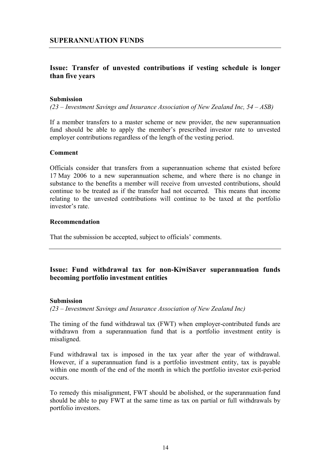## **Issue: Transfer of unvested contributions if vesting schedule is longer than five years**

## **Submission**

*(23 – Investment Savings and Insurance Association of New Zealand Inc, 54 – ASB)* 

If a member transfers to a master scheme or new provider, the new superannuation fund should be able to apply the member's prescribed investor rate to unvested employer contributions regardless of the length of the vesting period.

#### **Comment**

Officials consider that transfers from a superannuation scheme that existed before 17 May 2006 to a new superannuation scheme, and where there is no change in substance to the benefits a member will receive from unvested contributions, should continue to be treated as if the transfer had not occurred. This means that income relating to the unvested contributions will continue to be taxed at the portfolio investor's rate.

## **Recommendation**

That the submission be accepted, subject to officials' comments.

## **Issue: Fund withdrawal tax for non-KiwiSaver superannuation funds becoming portfolio investment entities**

#### **Submission**

*(23 – Investment Savings and Insurance Association of New Zealand Inc)* 

The timing of the fund withdrawal tax (FWT) when employer-contributed funds are withdrawn from a superannuation fund that is a portfolio investment entity is misaligned.

Fund withdrawal tax is imposed in the tax year after the year of withdrawal. However, if a superannuation fund is a portfolio investment entity, tax is payable within one month of the end of the month in which the portfolio investor exit-period occurs.

To remedy this misalignment, FWT should be abolished, or the superannuation fund should be able to pay FWT at the same time as tax on partial or full withdrawals by portfolio investors.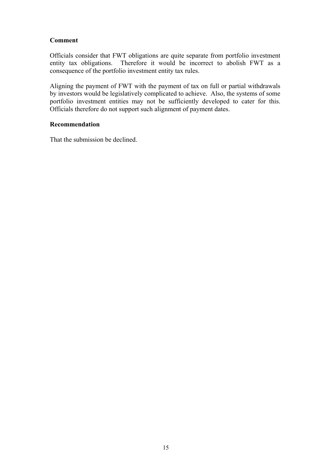## **Comment**

Officials consider that FWT obligations are quite separate from portfolio investment entity tax obligations. Therefore it would be incorrect to abolish FWT as a consequence of the portfolio investment entity tax rules.

Aligning the payment of FWT with the payment of tax on full or partial withdrawals by investors would be legislatively complicated to achieve. Also, the systems of some portfolio investment entities may not be sufficiently developed to cater for this. Officials therefore do not support such alignment of payment dates.

## **Recommendation**

That the submission be declined.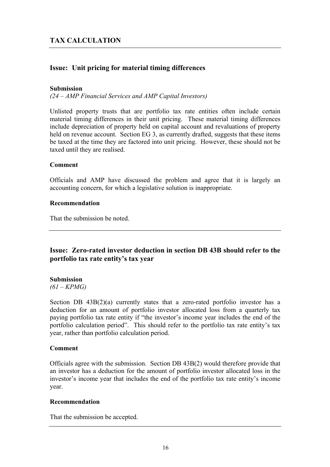## **Issue: Unit pricing for material timing differences**

## **Submission**

*(24 – AMP Financial Services and AMP Capital Investors)* 

Unlisted property trusts that are portfolio tax rate entities often include certain material timing differences in their unit pricing. These material timing differences include depreciation of property held on capital account and revaluations of property held on revenue account. Section EG 3, as currently drafted, suggests that these items be taxed at the time they are factored into unit pricing. However, these should not be taxed until they are realised.

## **Comment**

Officials and AMP have discussed the problem and agree that it is largely an accounting concern, for which a legislative solution is inappropriate.

## **Recommendation**

That the submission be noted.

## **Issue: Zero-rated investor deduction in section DB 43B should refer to the portfolio tax rate entity's tax year**

## **Submission**

*(61 – KPMG)* 

Section DB  $43B(2)(a)$  currently states that a zero-rated portfolio investor has a deduction for an amount of portfolio investor allocated loss from a quarterly tax paying portfolio tax rate entity if "the investor's income year includes the end of the portfolio calculation period". This should refer to the portfolio tax rate entity's tax year, rather than portfolio calculation period.

## **Comment**

Officials agree with the submission. Section DB 43B(2) would therefore provide that an investor has a deduction for the amount of portfolio investor allocated loss in the investor's income year that includes the end of the portfolio tax rate entity's income year.

#### **Recommendation**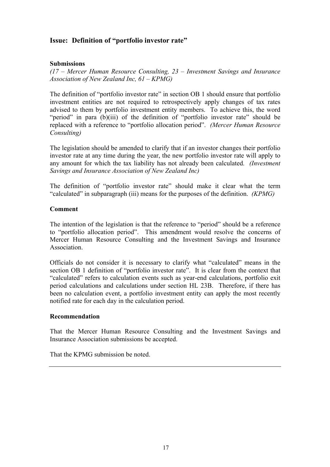## **Issue: Definition of "portfolio investor rate"**

## **Submissions**

*(17 – Mercer Human Resource Consulting, 23 – Investment Savings and Insurance Association of New Zealand Inc, 61 – KPMG)* 

The definition of "portfolio investor rate" in section OB 1 should ensure that portfolio investment entities are not required to retrospectively apply changes of tax rates advised to them by portfolio investment entity members. To achieve this, the word "period" in para (b)(iii) of the definition of "portfolio investor rate" should be replaced with a reference to "portfolio allocation period". *(Mercer Human Resource Consulting)*

The legislation should be amended to clarify that if an investor changes their portfolio investor rate at any time during the year, the new portfolio investor rate will apply to any amount for which the tax liability has not already been calculated. *(Investment Savings and Insurance Association of New Zealand Inc)* 

The definition of "portfolio investor rate" should make it clear what the term "calculated" in subparagraph (iii) means for the purposes of the definition. *(KPMG)* 

## **Comment**

The intention of the legislation is that the reference to "period" should be a reference to "portfolio allocation period". This amendment would resolve the concerns of Mercer Human Resource Consulting and the Investment Savings and Insurance **Association** 

Officials do not consider it is necessary to clarify what "calculated" means in the section OB 1 definition of "portfolio investor rate". It is clear from the context that "calculated" refers to calculation events such as year-end calculations, portfolio exit period calculations and calculations under section HL 23B. Therefore, if there has been no calculation event, a portfolio investment entity can apply the most recently notified rate for each day in the calculation period.

## **Recommendation**

That the Mercer Human Resource Consulting and the Investment Savings and Insurance Association submissions be accepted.

That the KPMG submission be noted.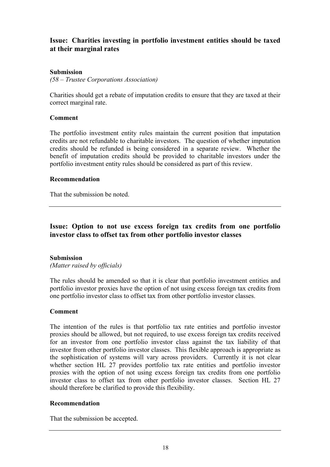## **Issue: Charities investing in portfolio investment entities should be taxed at their marginal rates**

## **Submission**

*(58 – Trustee Corporations Association)* 

Charities should get a rebate of imputation credits to ensure that they are taxed at their correct marginal rate.

## **Comment**

The portfolio investment entity rules maintain the current position that imputation credits are not refundable to charitable investors. The question of whether imputation credits should be refunded is being considered in a separate review. Whether the benefit of imputation credits should be provided to charitable investors under the portfolio investment entity rules should be considered as part of this review.

## **Recommendation**

That the submission be noted.

## **Issue: Option to not use excess foreign tax credits from one portfolio investor class to offset tax from other portfolio investor classes**

## **Submission**

*(Matter raised by officials)* 

The rules should be amended so that it is clear that portfolio investment entities and portfolio investor proxies have the option of not using excess foreign tax credits from one portfolio investor class to offset tax from other portfolio investor classes.

## **Comment**

The intention of the rules is that portfolio tax rate entities and portfolio investor proxies should be allowed, but not required, to use excess foreign tax credits received for an investor from one portfolio investor class against the tax liability of that investor from other portfolio investor classes. This flexible approach is appropriate as the sophistication of systems will vary across providers. Currently it is not clear whether section HL 27 provides portfolio tax rate entities and portfolio investor proxies with the option of not using excess foreign tax credits from one portfolio investor class to offset tax from other portfolio investor classes. Section HL 27 should therefore be clarified to provide this flexibility.

## **Recommendation**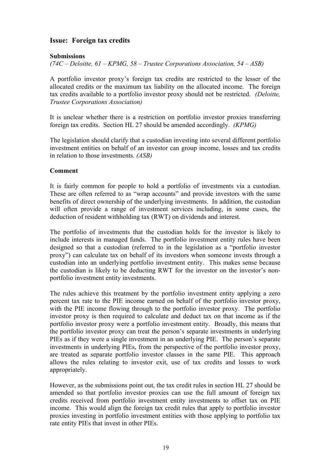## **Issue: Foreign tax credits**

## **Submissions**

*(74C – Deloitte, 61 – KPMG, 58 – Trustee Corporations Association, 54 – ASB)* 

A portfolio investor proxy's foreign tax credits are restricted to the lesser of the allocated credits or the maximum tax liability on the allocated income. The foreign tax credits available to a portfolio investor proxy should not be restricted. *(Deloitte, Trustee Corporations Association)*

It is unclear whether there is a restriction on portfolio investor proxies transferring foreign tax credits. Section HL 27 should be amended accordingly. *(KPMG)*

The legislation should clarify that a custodian investing into several different portfolio investment entities on behalf of an investor can group income, losses and tax credits in relation to those investments. *(ASB)*

## **Comment**

It is fairly common for people to hold a portfolio of investments via a custodian. These are often referred to as "wrap accounts" and provide investors with the same benefits of direct ownership of the underlying investments. In addition, the custodian will often provide a range of investment services including, in some cases, the deduction of resident withholding tax (RWT) on dividends and interest.

The portfolio of investments that the custodian holds for the investor is likely to include interests in managed funds. The portfolio investment entity rules have been designed so that a custodian (referred to in the legislation as a "portfolio investor proxy") can calculate tax on behalf of its investors when someone invests through a custodian into an underlying portfolio investment entity. This makes sense because the custodian is likely to be deducting RWT for the investor on the investor's nonportfolio investment entity investments.

The rules achieve this treatment by the portfolio investment entity applying a zero percent tax rate to the PIE income earned on behalf of the portfolio investor proxy, with the PIE income flowing through to the portfolio investor proxy. The portfolio investor proxy is then required to calculate and deduct tax on that income as if the portfolio investor proxy were a portfolio investment entity. Broadly, this means that the portfolio investor proxy can treat the person's separate investments in underlying PIEs as if they were a single investment in an underlying PIE. The person's separate investments in underlying PIEs, from the perspective of the portfolio investor proxy, are treated as separate portfolio investor classes in the same PIE. This approach allows the rules relating to investor exit, use of tax credits and losses to work appropriately.

However, as the submissions point out, the tax credit rules in section HL 27 should be amended so that portfolio investor proxies can use the full amount of foreign tax credits received from portfolio investment entity investments to offset tax on PIE income. This would align the foreign tax credit rules that apply to portfolio investor proxies investing in portfolio investment entities with those applying to portfolio tax rate entity PIEs that invest in other PIEs.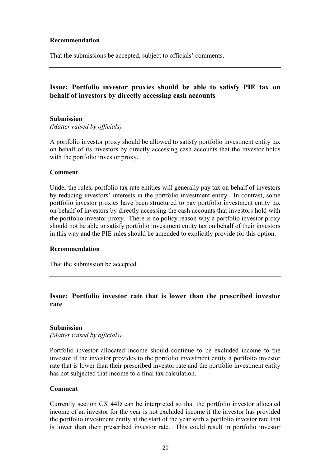## **Recommendation**

That the submissions be accepted, subject to officials' comments.

## **Issue: Portfolio investor proxies should be able to satisfy PIE tax on behalf of investors by directly accessing cash accounts**

## **Submission**

*(Matter raised by officials)* 

A portfolio investor proxy should be allowed to satisfy portfolio investment entity tax on behalf of its investors by directly accessing cash accounts that the investor holds with the portfolio investor proxy.

#### **Comment**

Under the rules, portfolio tax rate entities will generally pay tax on behalf of investors by reducing investors' interests in the portfolio investment entity. In contrast, some portfolio investor proxies have been structured to pay portfolio investment entity tax on behalf of investors by directly accessing the cash accounts that investors hold with the portfolio investor proxy. There is no policy reason why a portfolio investor proxy should not be able to satisfy portfolio investment entity tax on behalf of their investors in this way and the PIE rules should be amended to explicitly provide for this option.

#### **Recommendation**

That the submission be accepted.

## **Issue: Portfolio investor rate that is lower than the prescribed investor rate**

#### **Submission**

*(Matter raised by officials)* 

Portfolio investor allocated income should continue to be excluded income to the investor if the investor provides to the portfolio investment entity a portfolio investor rate that is lower than their prescribed investor rate and the portfolio investment entity has not subjected that income to a final tax calculation.

## **Comment**

Currently section CX 44D can be interpreted so that the portfolio investor allocated income of an investor for the year is not excluded income if the investor has provided the portfolio investment entity at the start of the year with a portfolio investor rate that is lower than their prescribed investor rate. This could result in portfolio investor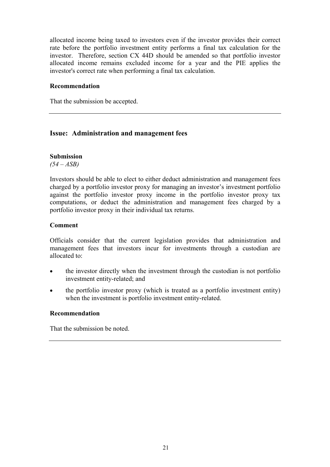allocated income being taxed to investors even if the investor provides their correct rate before the portfolio investment entity performs a final tax calculation for the investor. Therefore, section CX 44D should be amended so that portfolio investor allocated income remains excluded income for a year and the PIE applies the investor's correct rate when performing a final tax calculation.

## **Recommendation**

That the submission be accepted.

## **Issue: Administration and management fees**

## **Submission**

*(54 – ASB)* 

Investors should be able to elect to either deduct administration and management fees charged by a portfolio investor proxy for managing an investor's investment portfolio against the portfolio investor proxy income in the portfolio investor proxy tax computations, or deduct the administration and management fees charged by a portfolio investor proxy in their individual tax returns.

## **Comment**

Officials consider that the current legislation provides that administration and management fees that investors incur for investments through a custodian are allocated to:

- the investor directly when the investment through the custodian is not portfolio investment entity-related; and
- the portfolio investor proxy (which is treated as a portfolio investment entity) when the investment is portfolio investment entity-related.

## **Recommendation**

That the submission be noted.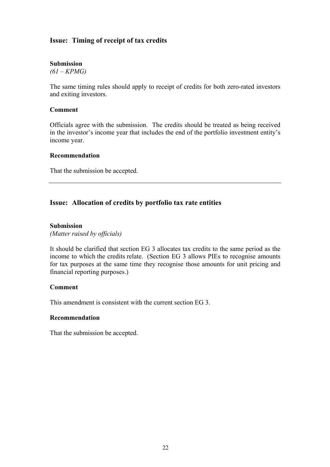## **Issue: Timing of receipt of tax credits**

## **Submission**

*(61 – KPMG)* 

The same timing rules should apply to receipt of credits for both zero-rated investors and exiting investors.

## **Comment**

Officials agree with the submission. The credits should be treated as being received in the investor's income year that includes the end of the portfolio investment entity's income year.

## **Recommendation**

That the submission be accepted.

## **Issue: Allocation of credits by portfolio tax rate entities**

#### **Submission**

*(Matter raised by officials)* 

It should be clarified that section EG 3 allocates tax credits to the same period as the income to which the credits relate. (Section EG 3 allows PIEs to recognise amounts for tax purposes at the same time they recognise those amounts for unit pricing and financial reporting purposes.)

## **Comment**

This amendment is consistent with the current section EG 3.

## **Recommendation**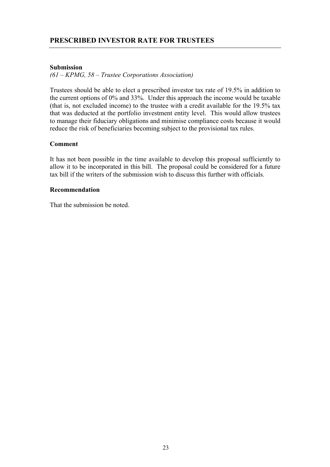## **Submission**

*(61 – KPMG, 58 – Trustee Corporations Association)* 

Trustees should be able to elect a prescribed investor tax rate of 19.5% in addition to the current options of 0% and 33%. Under this approach the income would be taxable (that is, not excluded income) to the trustee with a credit available for the 19.5% tax that was deducted at the portfolio investment entity level. This would allow trustees to manage their fiduciary obligations and minimise compliance costs because it would reduce the risk of beneficiaries becoming subject to the provisional tax rules.

## **Comment**

It has not been possible in the time available to develop this proposal sufficiently to allow it to be incorporated in this bill. The proposal could be considered for a future tax bill if the writers of the submission wish to discuss this further with officials.

## **Recommendation**

That the submission be noted.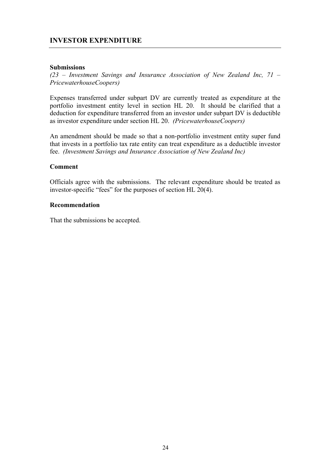## **INVESTOR EXPENDITURE**

## **Submissions**

*(23 – Investment Savings and Insurance Association of New Zealand Inc, 71 – PricewaterhouseCoopers)* 

Expenses transferred under subpart DV are currently treated as expenditure at the portfolio investment entity level in section HL 20. It should be clarified that a deduction for expenditure transferred from an investor under subpart DV is deductible as investor expenditure under section HL 20. *(PricewaterhouseCoopers)* 

An amendment should be made so that a non-portfolio investment entity super fund that invests in a portfolio tax rate entity can treat expenditure as a deductible investor fee. *(Investment Savings and Insurance Association of New Zealand Inc)* 

#### **Comment**

Officials agree with the submissions. The relevant expenditure should be treated as investor-specific "fees" for the purposes of section HL 20(4).

#### **Recommendation**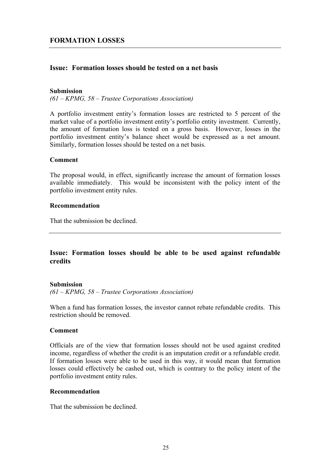## **Issue: Formation losses should be tested on a net basis**

#### **Submission**

*(61 – KPMG, 58 – Trustee Corporations Association)* 

A portfolio investment entity's formation losses are restricted to 5 percent of the market value of a portfolio investment entity's portfolio entity investment. Currently, the amount of formation loss is tested on a gross basis. However, losses in the portfolio investment entity's balance sheet would be expressed as a net amount. Similarly, formation losses should be tested on a net basis.

#### **Comment**

The proposal would, in effect, significantly increase the amount of formation losses available immediately. This would be inconsistent with the policy intent of the portfolio investment entity rules.

#### **Recommendation**

That the submission be declined.

## **Issue: Formation losses should be able to be used against refundable credits**

#### **Submission**

*(61 – KPMG, 58 – Trustee Corporations Association)* 

When a fund has formation losses, the investor cannot rebate refundable credits. This restriction should be removed.

#### **Comment**

Officials are of the view that formation losses should not be used against credited income, regardless of whether the credit is an imputation credit or a refundable credit. If formation losses were able to be used in this way, it would mean that formation losses could effectively be cashed out, which is contrary to the policy intent of the portfolio investment entity rules.

## **Recommendation**

That the submission be declined.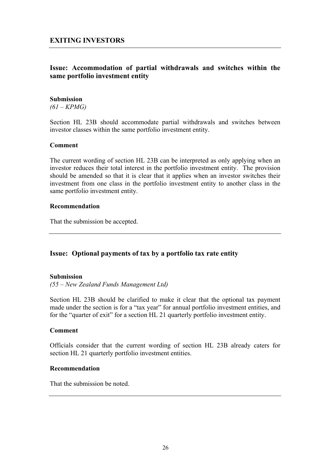## **Issue: Accommodation of partial withdrawals and switches within the same portfolio investment entity**

## **Submission**

*(61 – KPMG)* 

Section HL 23B should accommodate partial withdrawals and switches between investor classes within the same portfolio investment entity.

#### **Comment**

The current wording of section HL 23B can be interpreted as only applying when an investor reduces their total interest in the portfolio investment entity. The provision should be amended so that it is clear that it applies when an investor switches their investment from one class in the portfolio investment entity to another class in the same portfolio investment entity.

#### **Recommendation**

That the submission be accepted.

## **Issue: Optional payments of tax by a portfolio tax rate entity**

## **Submission**

*(55 – New Zealand Funds Management Ltd)* 

Section HL 23B should be clarified to make it clear that the optional tax payment made under the section is for a "tax year" for annual portfolio investment entities, and for the "quarter of exit" for a section HL 21 quarterly portfolio investment entity.

#### **Comment**

Officials consider that the current wording of section HL 23B already caters for section HL 21 quarterly portfolio investment entities.

## **Recommendation**

That the submission be noted.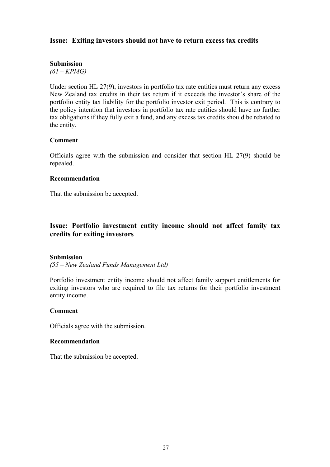## **Issue: Exiting investors should not have to return excess tax credits**

## **Submission**

*(61 – KPMG)* 

Under section HL 27(9), investors in portfolio tax rate entities must return any excess New Zealand tax credits in their tax return if it exceeds the investor's share of the portfolio entity tax liability for the portfolio investor exit period. This is contrary to the policy intention that investors in portfolio tax rate entities should have no further tax obligations if they fully exit a fund, and any excess tax credits should be rebated to the entity.

#### **Comment**

Officials agree with the submission and consider that section HL 27(9) should be repealed.

## **Recommendation**

That the submission be accepted.

## **Issue: Portfolio investment entity income should not affect family tax credits for exiting investors**

## **Submission**

*(55 – New Zealand Funds Management Ltd)* 

Portfolio investment entity income should not affect family support entitlements for exiting investors who are required to file tax returns for their portfolio investment entity income.

#### **Comment**

Officials agree with the submission.

#### **Recommendation**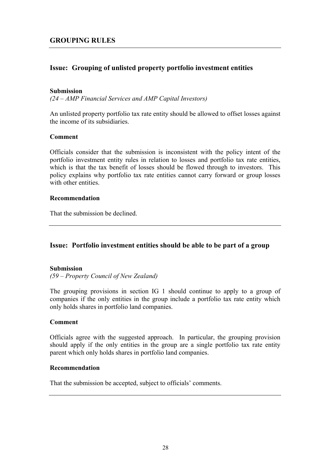## **Issue: Grouping of unlisted property portfolio investment entities**

## **Submission**

*(24 – AMP Financial Services and AMP Capital Investors)* 

An unlisted property portfolio tax rate entity should be allowed to offset losses against the income of its subsidiaries.

#### **Comment**

Officials consider that the submission is inconsistent with the policy intent of the portfolio investment entity rules in relation to losses and portfolio tax rate entities, which is that the tax benefit of losses should be flowed through to investors. This policy explains why portfolio tax rate entities cannot carry forward or group losses with other entities.

#### **Recommendation**

That the submission be declined.

## **Issue: Portfolio investment entities should be able to be part of a group**

## **Submission**

*(59 – Property Council of New Zealand)* 

The grouping provisions in section IG 1 should continue to apply to a group of companies if the only entities in the group include a portfolio tax rate entity which only holds shares in portfolio land companies.

## **Comment**

Officials agree with the suggested approach. In particular, the grouping provision should apply if the only entities in the group are a single portfolio tax rate entity parent which only holds shares in portfolio land companies.

## **Recommendation**

That the submission be accepted, subject to officials' comments.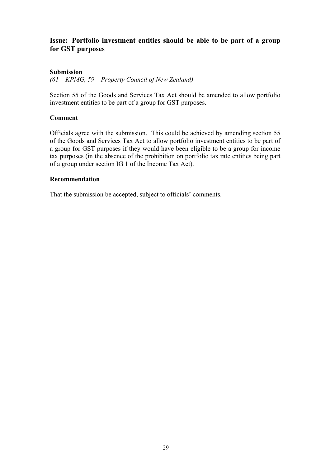# **Issue: Portfolio investment entities should be able to be part of a group for GST purposes**

# **Submission**

*(61 – KPMG, 59 – Property Council of New Zealand)* 

Section 55 of the Goods and Services Tax Act should be amended to allow portfolio investment entities to be part of a group for GST purposes.

#### **Comment**

Officials agree with the submission. This could be achieved by amending section 55 of the Goods and Services Tax Act to allow portfolio investment entities to be part of a group for GST purposes if they would have been eligible to be a group for income tax purposes (in the absence of the prohibition on portfolio tax rate entities being part of a group under section IG 1 of the Income Tax Act).

#### **Recommendation**

That the submission be accepted, subject to officials' comments.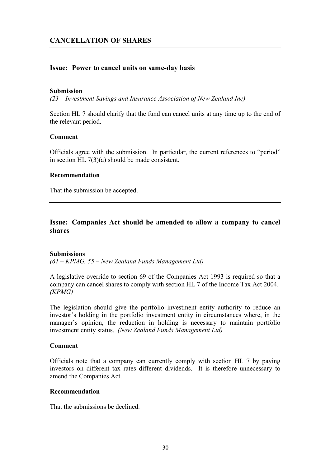# **Issue: Power to cancel units on same-day basis**

#### **Submission**

*(23 – Investment Savings and Insurance Association of New Zealand Inc)* 

Section HL 7 should clarify that the fund can cancel units at any time up to the end of the relevant period.

#### **Comment**

Officials agree with the submission. In particular, the current references to "period" in section HL 7(3)(a) should be made consistent.

#### **Recommendation**

That the submission be accepted.

# **Issue: Companies Act should be amended to allow a company to cancel shares**

#### **Submissions**

*(61 – KPMG, 55 – New Zealand Funds Management Ltd)* 

A legislative override to section 69 of the Companies Act 1993 is required so that a company can cancel shares to comply with section HL 7 of the Income Tax Act 2004. *(KPMG)* 

The legislation should give the portfolio investment entity authority to reduce an investor's holding in the portfolio investment entity in circumstances where, in the manager's opinion, the reduction in holding is necessary to maintain portfolio investment entity status. *(New Zealand Funds Management Ltd)* 

#### **Comment**

Officials note that a company can currently comply with section HL 7 by paying investors on different tax rates different dividends. It is therefore unnecessary to amend the Companies Act.

# **Recommendation**

That the submissions be declined.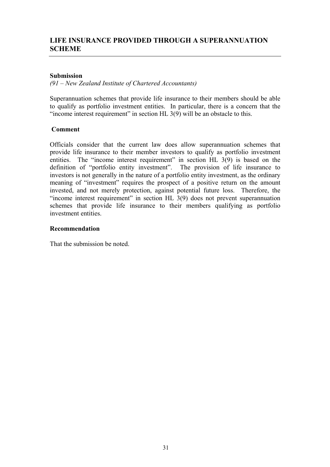# **LIFE INSURANCE PROVIDED THROUGH A SUPERANNUATION SCHEME**

# **Submission**

# *(91 – New Zealand Institute of Chartered Accountants)*

Superannuation schemes that provide life insurance to their members should be able to qualify as portfolio investment entities. In particular, there is a concern that the "income interest requirement" in section HL 3(9) will be an obstacle to this.

#### **Comment**

Officials consider that the current law does allow superannuation schemes that provide life insurance to their member investors to qualify as portfolio investment entities. The "income interest requirement" in section HL 3(9) is based on the definition of "portfolio entity investment". The provision of life insurance to investors is not generally in the nature of a portfolio entity investment, as the ordinary meaning of "investment" requires the prospect of a positive return on the amount invested, and not merely protection, against potential future loss. Therefore, the "income interest requirement" in section HL 3(9) does not prevent superannuation schemes that provide life insurance to their members qualifying as portfolio investment entities.

# **Recommendation**

That the submission be noted.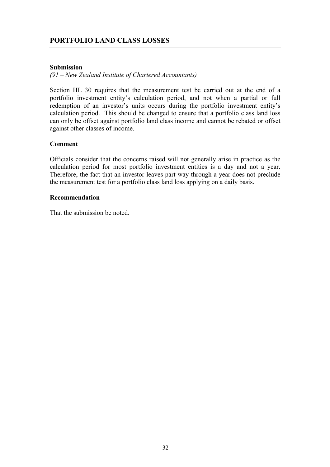## **Submission**

## *(91 – New Zealand Institute of Chartered Accountants)*

Section HL 30 requires that the measurement test be carried out at the end of a portfolio investment entity's calculation period, and not when a partial or full redemption of an investor's units occurs during the portfolio investment entity's calculation period. This should be changed to ensure that a portfolio class land loss can only be offset against portfolio land class income and cannot be rebated or offset against other classes of income.

# **Comment**

Officials consider that the concerns raised will not generally arise in practice as the calculation period for most portfolio investment entities is a day and not a year. Therefore, the fact that an investor leaves part-way through a year does not preclude the measurement test for a portfolio class land loss applying on a daily basis.

#### **Recommendation**

That the submission be noted.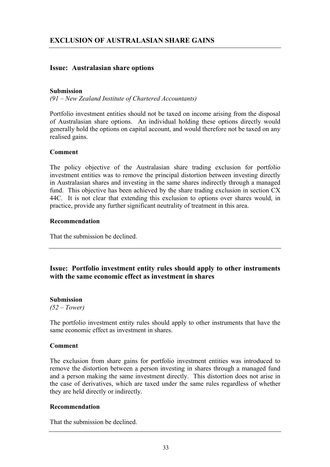# **Issue: Australasian share options**

#### **Submission**

*(91 – New Zealand Institute of Chartered Accountants)* 

Portfolio investment entities should not be taxed on income arising from the disposal of Australasian share options. An individual holding these options directly would generally hold the options on capital account, and would therefore not be taxed on any realised gains.

#### **Comment**

The policy objective of the Australasian share trading exclusion for portfolio investment entities was to remove the principal distortion between investing directly in Australasian shares and investing in the same shares indirectly through a managed fund. This objective has been achieved by the share trading exclusion in section CX 44C. It is not clear that extending this exclusion to options over shares would, in practice, provide any further significant neutrality of treatment in this area.

#### **Recommendation**

That the submission be declined.

# **Issue: Portfolio investment entity rules should apply to other instruments with the same economic effect as investment in shares**

#### **Submission**

*(52 – Tower)* 

The portfolio investment entity rules should apply to other instruments that have the same economic effect as investment in shares.

#### **Comment**

The exclusion from share gains for portfolio investment entities was introduced to remove the distortion between a person investing in shares through a managed fund and a person making the same investment directly. This distortion does not arise in the case of derivatives, which are taxed under the same rules regardless of whether they are held directly or indirectly.

#### **Recommendation**

That the submission be declined.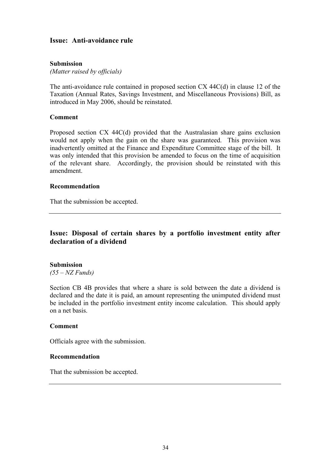# **Issue: Anti-avoidance rule**

#### **Submission**

*(Matter raised by officials)* 

The anti-avoidance rule contained in proposed section CX 44C(d) in clause 12 of the Taxation (Annual Rates, Savings Investment, and Miscellaneous Provisions) Bill, as introduced in May 2006, should be reinstated.

#### **Comment**

Proposed section CX 44C(d) provided that the Australasian share gains exclusion would not apply when the gain on the share was guaranteed. This provision was inadvertently omitted at the Finance and Expenditure Committee stage of the bill. It was only intended that this provision be amended to focus on the time of acquisition of the relevant share. Accordingly, the provision should be reinstated with this amendment.

#### **Recommendation**

That the submission be accepted.

# **Issue: Disposal of certain shares by a portfolio investment entity after declaration of a dividend**

#### **Submission**

*(55 – NZ Funds)* 

Section CB 4B provides that where a share is sold between the date a dividend is declared and the date it is paid, an amount representing the unimputed dividend must be included in the portfolio investment entity income calculation. This should apply on a net basis.

#### **Comment**

Officials agree with the submission.

#### **Recommendation**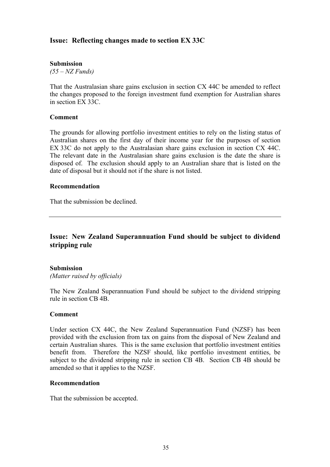# **Issue: Reflecting changes made to section EX 33C**

## **Submission**

*(55 – NZ Funds)* 

That the Australasian share gains exclusion in section CX 44C be amended to reflect the changes proposed to the foreign investment fund exemption for Australian shares in section EX 33C.

#### **Comment**

The grounds for allowing portfolio investment entities to rely on the listing status of Australian shares on the first day of their income year for the purposes of section EX 33C do not apply to the Australasian share gains exclusion in section CX 44C. The relevant date in the Australasian share gains exclusion is the date the share is disposed of. The exclusion should apply to an Australian share that is listed on the date of disposal but it should not if the share is not listed.

# **Recommendation**

That the submission be declined.

# **Issue: New Zealand Superannuation Fund should be subject to dividend stripping rule**

#### **Submission**

*(Matter raised by officials)* 

The New Zealand Superannuation Fund should be subject to the dividend stripping rule in section CB 4B.

#### **Comment**

Under section CX 44C, the New Zealand Superannuation Fund (NZSF) has been provided with the exclusion from tax on gains from the disposal of New Zealand and certain Australian shares. This is the same exclusion that portfolio investment entities benefit from. Therefore the NZSF should, like portfolio investment entities, be subject to the dividend stripping rule in section CB 4B. Section CB 4B should be amended so that it applies to the NZSF.

#### **Recommendation**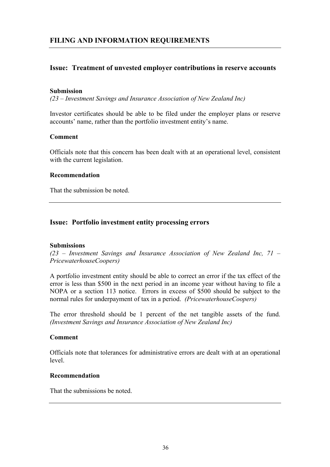# **Issue: Treatment of unvested employer contributions in reserve accounts**

#### **Submission**

*(23 – Investment Savings and Insurance Association of New Zealand Inc)* 

Investor certificates should be able to be filed under the employer plans or reserve accounts' name, rather than the portfolio investment entity's name.

#### **Comment**

Officials note that this concern has been dealt with at an operational level, consistent with the current legislation.

#### **Recommendation**

That the submission be noted.

# **Issue: Portfolio investment entity processing errors**

#### **Submissions**

*(23 – Investment Savings and Insurance Association of New Zealand Inc, 71 – PricewaterhouseCoopers)* 

A portfolio investment entity should be able to correct an error if the tax effect of the error is less than \$500 in the next period in an income year without having to file a NOPA or a section 113 notice. Errors in excess of \$500 should be subject to the normal rules for underpayment of tax in a period. *(PricewaterhouseCoopers)* 

The error threshold should be 1 percent of the net tangible assets of the fund. *(Investment Savings and Insurance Association of New Zealand Inc)* 

#### **Comment**

Officials note that tolerances for administrative errors are dealt with at an operational level.

# **Recommendation**

That the submissions be noted.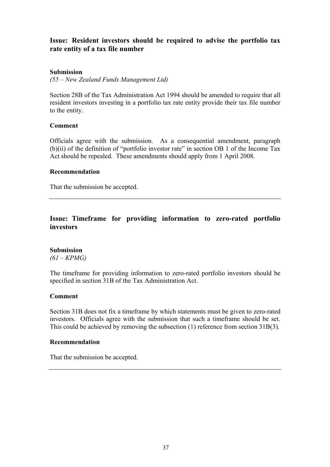# **Issue: Resident investors should be required to advise the portfolio tax rate entity of a tax file number**

## **Submission**

*(55 – New Zealand Funds Management Ltd)* 

Section 28B of the Tax Administration Act 1994 should be amended to require that all resident investors investing in a portfolio tax rate entity provide their tax file number to the entity.

# **Comment**

Officials agree with the submission. As a consequential amendment, paragraph (b)(ii) of the definition of "portfolio investor rate" in section OB 1 of the Income Tax Act should be repealed. These amendments should apply from 1 April 2008.

#### **Recommendation**

That the submission be accepted.

# **Issue: Timeframe for providing information to zero-rated portfolio investors**

#### **Submission**

*(61 – KPMG)* 

The timeframe for providing information to zero-rated portfolio investors should be specified in section 31B of the Tax Administration Act.

#### **Comment**

Section 31B does not fix a timeframe by which statements must be given to zero-rated investors. Officials agree with the submission that such a timeframe should be set. This could be achieved by removing the subsection (1) reference from section 31B(3).

#### **Recommendation**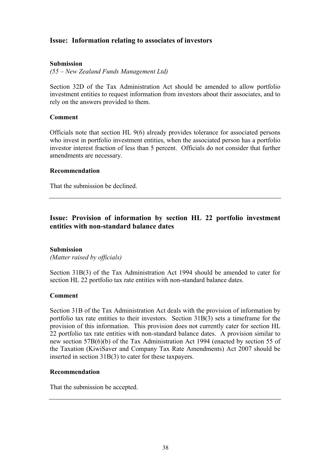# **Issue: Information relating to associates of investors**

## **Submission**

*(55 – New Zealand Funds Management Ltd)* 

Section 32D of the Tax Administration Act should be amended to allow portfolio investment entities to request information from investors about their associates, and to rely on the answers provided to them.

#### **Comment**

Officials note that section HL 9(6) already provides tolerance for associated persons who invest in portfolio investment entities, when the associated person has a portfolio investor interest fraction of less than 5 percent. Officials do not consider that further amendments are necessary.

#### **Recommendation**

That the submission be declined.

# **Issue: Provision of information by section HL 22 portfolio investment entities with non-standard balance dates**

#### **Submission**

*(Matter raised by officials)* 

Section 31B(3) of the Tax Administration Act 1994 should be amended to cater for section HL 22 portfolio tax rate entities with non-standard balance dates.

#### **Comment**

Section 31B of the Tax Administration Act deals with the provision of information by portfolio tax rate entities to their investors. Section 31B(3) sets a timeframe for the provision of this information. This provision does not currently cater for section HL 22 portfolio tax rate entities with non-standard balance dates. A provision similar to new section 57B(6)(b) of the Tax Administration Act 1994 (enacted by section 55 of the Taxation (KiwiSaver and Company Tax Rate Amendments) Act 2007 should be inserted in section 31B(3) to cater for these taxpayers.

#### **Recommendation**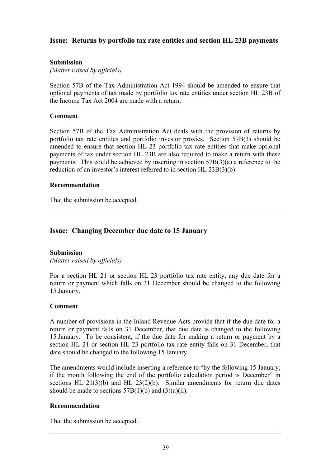# **Issue: Returns by portfolio tax rate entities and section HL 23B payments**

# **Submission**

*(Matter raised by officials)* 

Section 57B of the Tax Administration Act 1994 should be amended to ensure that optional payments of tax made by portfolio tax rate entities under section HL 23B of the Income Tax Act 2004 are made with a return.

# **Comment**

Section 57B of the Tax Administration Act deals with the provision of returns by portfolio tax rate entities and portfolio investor proxies. Section 57B(3) should be amended to ensure that section HL 23 portfolio tax rate entities that make optional payments of tax under section HL 23B are also required to make a return with these payments. This could be achieved by inserting in section 57B(3)(a) a reference to the reduction of an investor's interest referred to in section HL 23B(3)(b).

# **Recommendation**

That the submission be accepted.

# **Issue: Changing December due date to 15 January**

# **Submission**

*(Matter raised by officials)* 

For a section HL 21 or section HL 23 portfolio tax rate entity, any due date for a return or payment which falls on 31 December should be changed to the following 15 January.

#### **Comment**

A number of provisions in the Inland Revenue Acts provide that if the due date for a return or payment falls on 31 December, that due date is changed to the following 15 January. To be consistent, if the due date for making a return or payment by a section HL 21 or section HL 23 portfolio tax rate entity falls on 31 December, that date should be changed to the following 15 January.

The amendments would include inserting a reference to "by the following 15 January, if the month following the end of the portfolio calculation period is December" in sections HL  $21(3)(b)$  and HL  $23(2)(b)$ . Similar amendments for return due dates should be made to sections  $57B(1)(b)$  and  $(3)(a)(ii)$ .

# **Recommendation**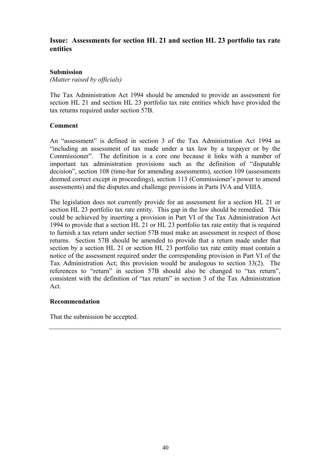# **Issue: Assessments for section HL 21 and section HL 23 portfolio tax rate entities**

# **Submission**

*(Matter raised by officials)* 

The Tax Administration Act 1994 should be amended to provide an assessment for section HL 21 and section HL 23 portfolio tax rate entities which have provided the tax returns required under section 57B.

# **Comment**

An "assessment" is defined in section 3 of the Tax Administration Act 1994 as "including an assessment of tax made under a tax law by a taxpayer or by the Commissioner". The definition is a core one because it links with a number of important tax administration provisions such as the definition of "disputable decision", section 108 (time-bar for amending assessments), section 109 (assessments deemed correct except in proceedings), section 113 (Commissioner's power to amend assessments) and the disputes and challenge provisions in Parts IVA and VIIIA.

The legislation does not currently provide for an assessment for a section HL 21 or section HL 23 portfolio tax rate entity. This gap in the law should be remedied. This could be achieved by inserting a provision in Part VI of the Tax Administration Act 1994 to provide that a section HL 21 or HL 23 portfolio tax rate entity that is required to furnish a tax return under section 57B must make an assessment in respect of those returns. Section 57B should be amended to provide that a return made under that section by a section HL 21 or section HL 23 portfolio tax rate entity must contain a notice of the assessment required under the corresponding provision in Part VI of the Tax Administration Act; this provision would be analogous to section 33(2). The references to "return" in section 57B should also be changed to "tax return", consistent with the definition of "tax return" in section 3 of the Tax Administration Act.

# **Recommendation**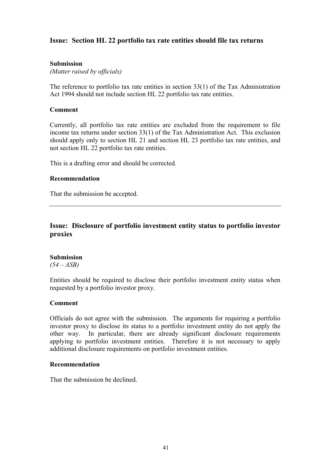# **Issue: Section HL 22 portfolio tax rate entities should file tax returns**

# **Submission**

*(Matter raised by officials)* 

The reference to portfolio tax rate entities in section 33(1) of the Tax Administration Act 1994 should not include section HL 22 portfolio tax rate entities.

#### **Comment**

Currently, all portfolio tax rate entities are excluded from the requirement to file income tax returns under section 33(1) of the Tax Administration Act. This exclusion should apply only to section HL 21 and section HL 23 portfolio tax rate entities, and not section HL 22 portfolio tax rate entities.

This is a drafting error and should be corrected.

#### **Recommendation**

That the submission be accepted.

# **Issue: Disclosure of portfolio investment entity status to portfolio investor proxies**

#### **Submission**

*(54 – ASB)* 

Entities should be required to disclose their portfolio investment entity status when requested by a portfolio investor proxy.

#### **Comment**

Officials do not agree with the submission. The arguments for requiring a portfolio investor proxy to disclose its status to a portfolio investment entity do not apply the other way. In particular, there are already significant disclosure requirements applying to portfolio investment entities. Therefore it is not necessary to apply additional disclosure requirements on portfolio investment entities.

#### **Recommendation**

That the submission be declined.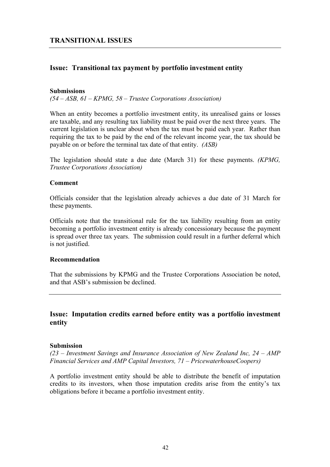# **Issue: Transitional tax payment by portfolio investment entity**

#### **Submissions**

*(54 – ASB, 61 – KPMG, 58 – Trustee Corporations Association)* 

When an entity becomes a portfolio investment entity, its unrealised gains or losses are taxable, and any resulting tax liability must be paid over the next three years. The current legislation is unclear about when the tax must be paid each year. Rather than requiring the tax to be paid by the end of the relevant income year, the tax should be payable on or before the terminal tax date of that entity. *(ASB)*

The legislation should state a due date (March 31) for these payments. *(KPMG, Trustee Corporations Association)* 

#### **Comment**

Officials consider that the legislation already achieves a due date of 31 March for these payments.

Officials note that the transitional rule for the tax liability resulting from an entity becoming a portfolio investment entity is already concessionary because the payment is spread over three tax years. The submission could result in a further deferral which is not justified.

#### **Recommendation**

That the submissions by KPMG and the Trustee Corporations Association be noted, and that ASB's submission be declined.

# **Issue: Imputation credits earned before entity was a portfolio investment entity**

#### **Submission**

*(23 – Investment Savings and Insurance Association of New Zealand Inc, 24 – AMP Financial Services and AMP Capital Investors, 71 – PricewaterhouseCoopers)* 

A portfolio investment entity should be able to distribute the benefit of imputation credits to its investors, when those imputation credits arise from the entity's tax obligations before it became a portfolio investment entity.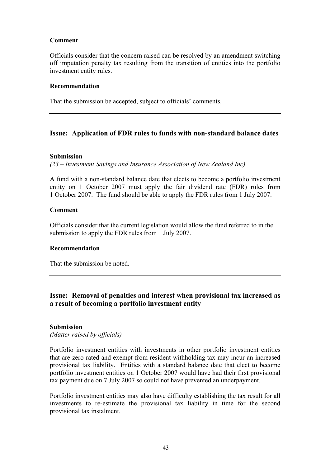# **Comment**

Officials consider that the concern raised can be resolved by an amendment switching off imputation penalty tax resulting from the transition of entities into the portfolio investment entity rules.

## **Recommendation**

That the submission be accepted, subject to officials' comments.

# **Issue: Application of FDR rules to funds with non-standard balance dates**

#### **Submission**

*(23 – Investment Savings and Insurance Association of New Zealand Inc)* 

A fund with a non-standard balance date that elects to become a portfolio investment entity on 1 October 2007 must apply the fair dividend rate (FDR) rules from 1 October 2007. The fund should be able to apply the FDR rules from 1 July 2007.

#### **Comment**

Officials consider that the current legislation would allow the fund referred to in the submission to apply the FDR rules from 1 July 2007.

#### **Recommendation**

That the submission be noted.

# **Issue: Removal of penalties and interest when provisional tax increased as a result of becoming a portfolio investment entity**

#### **Submission**

*(Matter raised by officials)* 

Portfolio investment entities with investments in other portfolio investment entities that are zero-rated and exempt from resident withholding tax may incur an increased provisional tax liability. Entities with a standard balance date that elect to become portfolio investment entities on 1 October 2007 would have had their first provisional tax payment due on 7 July 2007 so could not have prevented an underpayment.

Portfolio investment entities may also have difficulty establishing the tax result for all investments to re-estimate the provisional tax liability in time for the second provisional tax instalment.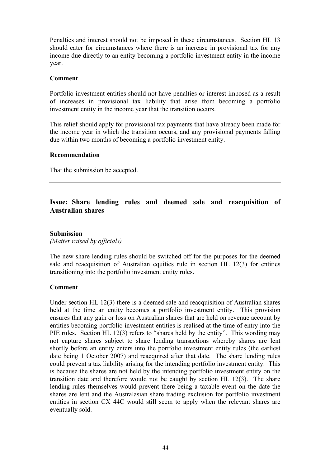Penalties and interest should not be imposed in these circumstances. Section HL 13 should cater for circumstances where there is an increase in provisional tax for any income due directly to an entity becoming a portfolio investment entity in the income year.

#### **Comment**

Portfolio investment entities should not have penalties or interest imposed as a result of increases in provisional tax liability that arise from becoming a portfolio investment entity in the income year that the transition occurs.

This relief should apply for provisional tax payments that have already been made for the income year in which the transition occurs, and any provisional payments falling due within two months of becoming a portfolio investment entity.

#### **Recommendation**

That the submission be accepted.

# **Issue: Share lending rules and deemed sale and reacquisition of Australian shares**

#### **Submission**

*(Matter raised by officials)* 

The new share lending rules should be switched off for the purposes for the deemed sale and reacquisition of Australian equities rule in section HL 12(3) for entities transitioning into the portfolio investment entity rules.

#### **Comment**

Under section HL 12(3) there is a deemed sale and reacquisition of Australian shares held at the time an entity becomes a portfolio investment entity. This provision ensures that any gain or loss on Australian shares that are held on revenue account by entities becoming portfolio investment entities is realised at the time of entry into the PIE rules. Section HL 12(3) refers to "shares held by the entity". This wording may not capture shares subject to share lending transactions whereby shares are lent shortly before an entity enters into the portfolio investment entity rules (the earliest date being 1 October 2007) and reacquired after that date. The share lending rules could prevent a tax liability arising for the intending portfolio investment entity. This is because the shares are not held by the intending portfolio investment entity on the transition date and therefore would not be caught by section HL 12(3). The share lending rules themselves would prevent there being a taxable event on the date the shares are lent and the Australasian share trading exclusion for portfolio investment entities in section CX 44C would still seem to apply when the relevant shares are eventually sold.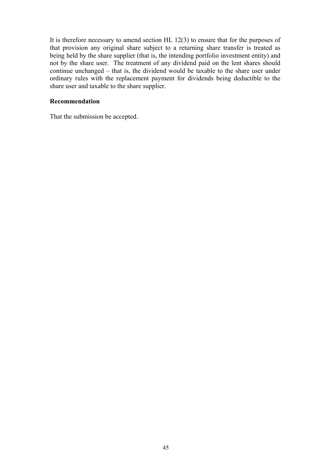It is therefore necessary to amend section HL 12(3) to ensure that for the purposes of that provision any original share subject to a returning share transfer is treated as being held by the share supplier (that is, the intending portfolio investment entity) and not by the share user. The treatment of any dividend paid on the lent shares should continue unchanged – that is, the dividend would be taxable to the share user under ordinary rules with the replacement payment for dividends being deductible to the share user and taxable to the share supplier.

#### **Recommendation**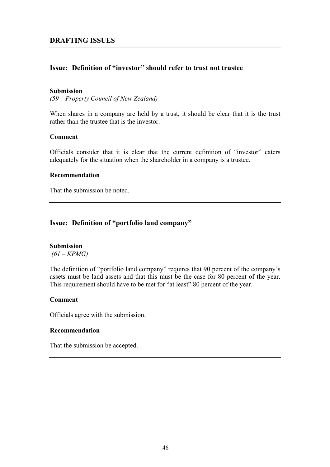# **Issue: Definition of "investor" should refer to trust not trustee**

#### **Submission**

*(59 – Property Council of New Zealand)* 

When shares in a company are held by a trust, it should be clear that it is the trust rather than the trustee that is the investor.

# **Comment**

Officials consider that it is clear that the current definition of "investor" caters adequately for the situation when the shareholder in a company is a trustee.

#### **Recommendation**

That the submission be noted.

# **Issue: Definition of "portfolio land company"**

#### **Submission**

 *(61 – KPMG)* 

The definition of "portfolio land company" requires that 90 percent of the company's assets must be land assets and that this must be the case for 80 percent of the year. This requirement should have to be met for "at least" 80 percent of the year.

#### **Comment**

Officials agree with the submission.

#### **Recommendation**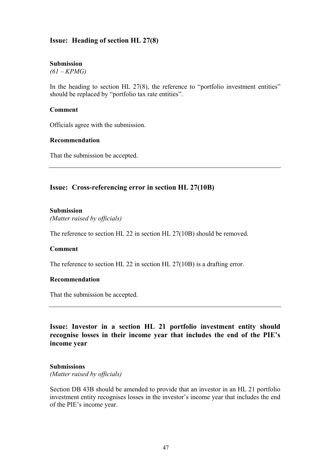# **Issue: Heading of section HL 27(8)**

## **Submission**

*(61 – KPMG)* 

In the heading to section HL 27(8), the reference to "portfolio investment entities" should be replaced by "portfolio tax rate entities".

## **Comment**

Officials agree with the submission.

#### **Recommendation**

That the submission be accepted.

# **Issue: Cross-referencing error in section HL 27(10B)**

#### **Submission**

*(Matter raised by officials)* 

The reference to section HL 22 in section HL 27(10B) should be removed.

#### **Comment**

The reference to section HL 22 in section HL 27(10B) is a drafting error.

#### **Recommendation**

That the submission be accepted.

**Issue: Investor in a section HL 21 portfolio investment entity should recognise losses in their income year that includes the end of the PIE's income year** 

#### **Submissions**

*(Matter raised by officials)* 

Section DB 43B should be amended to provide that an investor in an HL 21 portfolio investment entity recognises losses in the investor's income year that includes the end of the PIE's income year.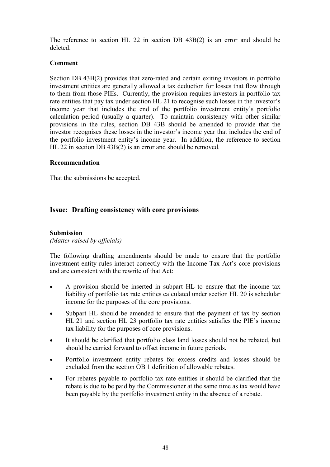The reference to section HL 22 in section DB 43B(2) is an error and should be deleted.

## **Comment**

Section DB 43B(2) provides that zero-rated and certain exiting investors in portfolio investment entities are generally allowed a tax deduction for losses that flow through to them from those PIEs. Currently, the provision requires investors in portfolio tax rate entities that pay tax under section HL 21 to recognise such losses in the investor's income year that includes the end of the portfolio investment entity's portfolio calculation period (usually a quarter). To maintain consistency with other similar provisions in the rules, section DB 43B should be amended to provide that the investor recognises these losses in the investor's income year that includes the end of the portfolio investment entity's income year. In addition, the reference to section HL 22 in section DB 43B(2) is an error and should be removed.

# **Recommendation**

That the submissions be accepted.

# **Issue: Drafting consistency with core provisions**

## **Submission**

*(Matter raised by officials)* 

The following drafting amendments should be made to ensure that the portfolio investment entity rules interact correctly with the Income Tax Act's core provisions and are consistent with the rewrite of that Act:

- A provision should be inserted in subpart HL to ensure that the income tax liability of portfolio tax rate entities calculated under section HL 20 is schedular income for the purposes of the core provisions.
- Subpart HL should be amended to ensure that the payment of tax by section HL 21 and section HL 23 portfolio tax rate entities satisfies the PIE's income tax liability for the purposes of core provisions.
- It should be clarified that portfolio class land losses should not be rebated, but should be carried forward to offset income in future periods.
- Portfolio investment entity rebates for excess credits and losses should be excluded from the section OB 1 definition of allowable rebates.
- For rebates payable to portfolio tax rate entities it should be clarified that the rebate is due to be paid by the Commissioner at the same time as tax would have been payable by the portfolio investment entity in the absence of a rebate.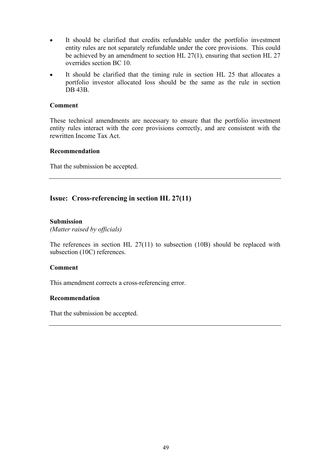- It should be clarified that credits refundable under the portfolio investment entity rules are not separately refundable under the core provisions. This could be achieved by an amendment to section HL 27(1), ensuring that section HL 27 overrides section BC 10.
- It should be clarified that the timing rule in section HL 25 that allocates a portfolio investor allocated loss should be the same as the rule in section DB 43B.

#### **Comment**

These technical amendments are necessary to ensure that the portfolio investment entity rules interact with the core provisions correctly, and are consistent with the rewritten Income Tax Act.

#### **Recommendation**

That the submission be accepted.

# **Issue: Cross-referencing in section HL 27(11)**

#### **Submission**

*(Matter raised by officials)* 

The references in section HL 27(11) to subsection (10B) should be replaced with subsection (10C) references.

#### **Comment**

This amendment corrects a cross-referencing error.

#### **Recommendation**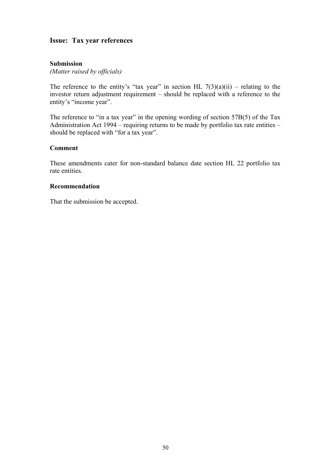# **Issue: Tax year references**

# **Submission**

*(Matter raised by officials)* 

The reference to the entity's "tax year" in section HL  $7(3)(a)(ii)$  – relating to the investor return adjustment requirement – should be replaced with a reference to the entity's "income year".

The reference to "in a tax year" in the opening wording of section 57B(5) of the Tax Administration Act 1994 – requiring returns to be made by portfolio tax rate entities – should be replaced with "for a tax year".

#### **Comment**

These amendments cater for non-standard balance date section HL 22 portfolio tax rate entities.

#### **Recommendation**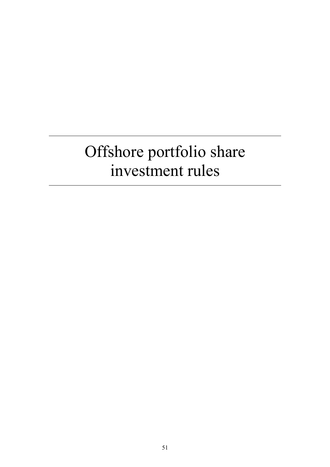# Offshore portfolio share investment rules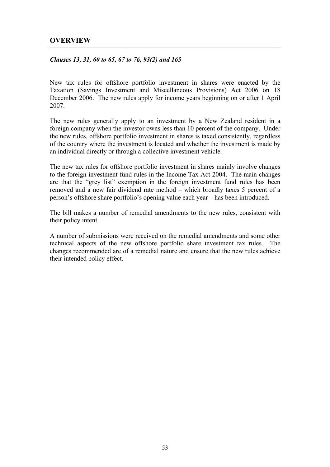# **OVERVIEW**

## *Clauses 13, 31, 60 to 65, 67 to 76, 93(2) and 165*

New tax rules for offshore portfolio investment in shares were enacted by the Taxation (Savings Investment and Miscellaneous Provisions) Act 2006 on 18 December 2006. The new rules apply for income years beginning on or after 1 April 2007.

The new rules generally apply to an investment by a New Zealand resident in a foreign company when the investor owns less than 10 percent of the company. Under the new rules, offshore portfolio investment in shares is taxed consistently, regardless of the country where the investment is located and whether the investment is made by an individual directly or through a collective investment vehicle.

The new tax rules for offshore portfolio investment in shares mainly involve changes to the foreign investment fund rules in the Income Tax Act 2004. The main changes are that the "grey list" exemption in the foreign investment fund rules has been removed and a new fair dividend rate method – which broadly taxes 5 percent of a person's offshore share portfolio's opening value each year – has been introduced.

The bill makes a number of remedial amendments to the new rules, consistent with their policy intent.

A number of submissions were received on the remedial amendments and some other technical aspects of the new offshore portfolio share investment tax rules. The changes recommended are of a remedial nature and ensure that the new rules achieve their intended policy effect.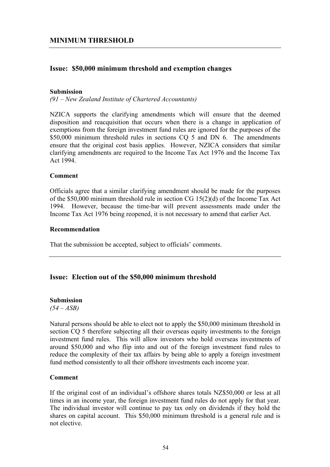# **Issue: \$50,000 minimum threshold and exemption changes**

#### **Submission**

*(91 – New Zealand Institute of Chartered Accountants)* 

NZICA supports the clarifying amendments which will ensure that the deemed disposition and reacquisition that occurs when there is a change in application of exemptions from the foreign investment fund rules are ignored for the purposes of the \$50,000 minimum threshold rules in sections CQ 5 and DN 6. The amendments ensure that the original cost basis applies. However, NZICA considers that similar clarifying amendments are required to the Income Tax Act 1976 and the Income Tax Act 1994.

#### **Comment**

Officials agree that a similar clarifying amendment should be made for the purposes of the \$50,000 minimum threshold rule in section CG 15(2)(d) of the Income Tax Act 1994. However, because the time-bar will prevent assessments made under the Income Tax Act 1976 being reopened, it is not necessary to amend that earlier Act.

#### **Recommendation**

That the submission be accepted, subject to officials' comments.

# **Issue: Election out of the \$50,000 minimum threshold**

#### **Submission**

*(54 – ASB)* 

Natural persons should be able to elect not to apply the \$50,000 minimum threshold in section CO 5 therefore subjecting all their overseas equity investments to the foreign investment fund rules. This will allow investors who hold overseas investments of around \$50,000 and who flip into and out of the foreign investment fund rules to reduce the complexity of their tax affairs by being able to apply a foreign investment fund method consistently to all their offshore investments each income year.

#### **Comment**

If the original cost of an individual's offshore shares totals NZ\$50,000 or less at all times in an income year, the foreign investment fund rules do not apply for that year. The individual investor will continue to pay tax only on dividends if they hold the shares on capital account. This \$50,000 minimum threshold is a general rule and is not elective.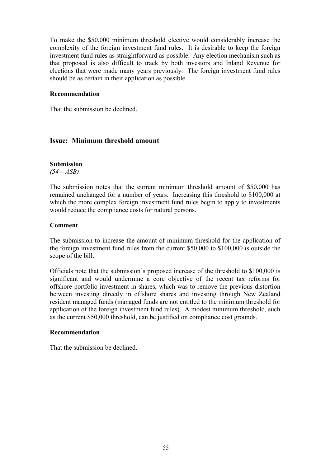To make the \$50,000 minimum threshold elective would considerably increase the complexity of the foreign investment fund rules. It is desirable to keep the foreign investment fund rules as straightforward as possible. Any election mechanism such as that proposed is also difficult to track by both investors and Inland Revenue for elections that were made many years previously. The foreign investment fund rules should be as certain in their application as possible.

#### **Recommendation**

That the submission be declined.

#### **Issue: Minimum threshold amount**

# **Submission**

*(54 – ASB)* 

The submission notes that the current minimum threshold amount of \$50,000 has remained unchanged for a number of years. Increasing this threshold to \$100,000 at which the more complex foreign investment fund rules begin to apply to investments would reduce the compliance costs for natural persons.

#### **Comment**

The submission to increase the amount of minimum threshold for the application of the foreign investment fund rules from the current \$50,000 to \$100,000 is outside the scope of the bill.

Officials note that the submission's proposed increase of the threshold to \$100,000 is significant and would undermine a core objective of the recent tax reforms for offshore portfolio investment in shares, which was to remove the previous distortion between investing directly in offshore shares and investing through New Zealand resident managed funds (managed funds are not entitled to the minimum threshold for application of the foreign investment fund rules). A modest minimum threshold, such as the current \$50,000 threshold, can be justified on compliance cost grounds.

#### **Recommendation**

That the submission be declined.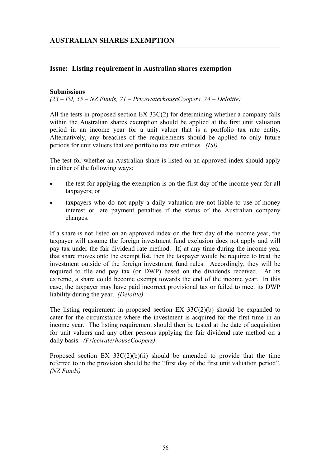# **Issue: Listing requirement in Australian shares exemption**

#### **Submissions**

*(23 – ISI, 55 – NZ Funds, 71 – PricewaterhouseCoopers, 74 – Deloitte)* 

All the tests in proposed section EX 33C(2) for determining whether a company falls within the Australian shares exemption should be applied at the first unit valuation period in an income year for a unit valuer that is a portfolio tax rate entity. Alternatively, any breaches of the requirements should be applied to only future periods for unit valuers that are portfolio tax rate entities. *(ISI)*

The test for whether an Australian share is listed on an approved index should apply in either of the following ways:

- the test for applying the exemption is on the first day of the income year for all taxpayers; or
- taxpayers who do not apply a daily valuation are not liable to use-of-money interest or late payment penalties if the status of the Australian company changes.

If a share is not listed on an approved index on the first day of the income year, the taxpayer will assume the foreign investment fund exclusion does not apply and will pay tax under the fair dividend rate method. If, at any time during the income year that share moves onto the exempt list, then the taxpayer would be required to treat the investment outside of the foreign investment fund rules. Accordingly, they will be required to file and pay tax (or DWP) based on the dividends received. At its extreme, a share could become exempt towards the end of the income year. In this case, the taxpayer may have paid incorrect provisional tax or failed to meet its DWP liability during the year. *(Deloitte)* 

The listing requirement in proposed section EX 33C(2)(b) should be expanded to cater for the circumstance where the investment is acquired for the first time in an income year. The listing requirement should then be tested at the date of acquisition for unit valuers and any other persons applying the fair dividend rate method on a daily basis. *(PricewaterhouseCoopers)*

Proposed section EX  $33C(2)(b)(ii)$  should be amended to provide that the time referred to in the provision should be the "first day of the first unit valuation period". *(NZ Funds)*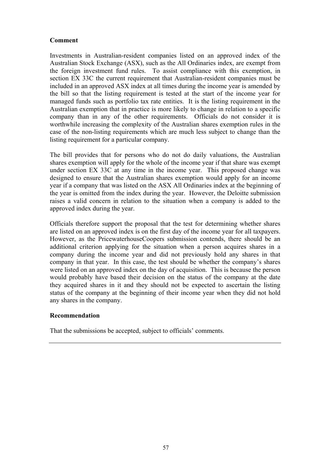# **Comment**

Investments in Australian-resident companies listed on an approved index of the Australian Stock Exchange (ASX), such as the All Ordinaries index, are exempt from the foreign investment fund rules. To assist compliance with this exemption, in section EX 33C the current requirement that Australian-resident companies must be included in an approved ASX index at all times during the income year is amended by the bill so that the listing requirement is tested at the start of the income year for managed funds such as portfolio tax rate entities. It is the listing requirement in the Australian exemption that in practice is more likely to change in relation to a specific company than in any of the other requirements. Officials do not consider it is worthwhile increasing the complexity of the Australian shares exemption rules in the case of the non-listing requirements which are much less subject to change than the listing requirement for a particular company.

The bill provides that for persons who do not do daily valuations, the Australian shares exemption will apply for the whole of the income year if that share was exempt under section EX 33C at any time in the income year. This proposed change was designed to ensure that the Australian shares exemption would apply for an income year if a company that was listed on the ASX All Ordinaries index at the beginning of the year is omitted from the index during the year. However, the Deloitte submission raises a valid concern in relation to the situation when a company is added to the approved index during the year.

Officials therefore support the proposal that the test for determining whether shares are listed on an approved index is on the first day of the income year for all taxpayers. However, as the PricewaterhouseCoopers submission contends, there should be an additional criterion applying for the situation when a person acquires shares in a company during the income year and did not previously hold any shares in that company in that year. In this case, the test should be whether the company's shares were listed on an approved index on the day of acquisition. This is because the person would probably have based their decision on the status of the company at the date they acquired shares in it and they should not be expected to ascertain the listing status of the company at the beginning of their income year when they did not hold any shares in the company.

#### **Recommendation**

That the submissions be accepted, subject to officials' comments.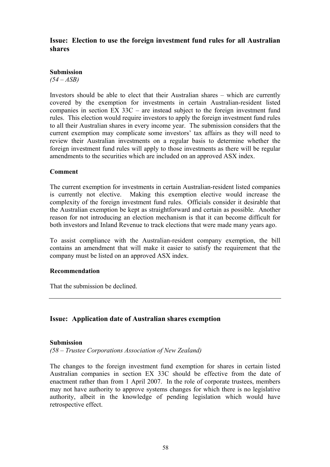# **Issue: Election to use the foreign investment fund rules for all Australian shares**

## **Submission**

*(54 – ASB)* 

Investors should be able to elect that their Australian shares – which are currently covered by the exemption for investments in certain Australian-resident listed companies in section EX 33C – are instead subject to the foreign investment fund rules. This election would require investors to apply the foreign investment fund rules to all their Australian shares in every income year. The submission considers that the current exemption may complicate some investors' tax affairs as they will need to review their Australian investments on a regular basis to determine whether the foreign investment fund rules will apply to those investments as there will be regular amendments to the securities which are included on an approved ASX index.

# **Comment**

The current exemption for investments in certain Australian-resident listed companies is currently not elective. Making this exemption elective would increase the complexity of the foreign investment fund rules. Officials consider it desirable that the Australian exemption be kept as straightforward and certain as possible. Another reason for not introducing an election mechanism is that it can become difficult for both investors and Inland Revenue to track elections that were made many years ago.

To assist compliance with the Australian-resident company exemption, the bill contains an amendment that will make it easier to satisfy the requirement that the company must be listed on an approved ASX index.

#### **Recommendation**

That the submission be declined.

# **Issue: Application date of Australian shares exemption**

#### **Submission**

*(58 – Trustee Corporations Association of New Zealand)* 

The changes to the foreign investment fund exemption for shares in certain listed Australian companies in section EX 33C should be effective from the date of enactment rather than from 1 April 2007. In the role of corporate trustees, members may not have authority to approve systems changes for which there is no legislative authority, albeit in the knowledge of pending legislation which would have retrospective effect.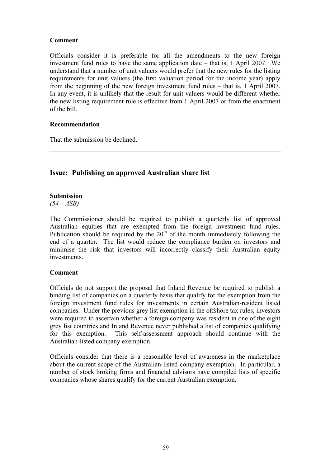# **Comment**

Officials consider it is preferable for all the amendments to the new foreign investment fund rules to have the same application date – that is, 1 April 2007. We understand that a number of unit valuers would prefer that the new rules for the listing requirements for unit valuers (the first valuation period for the income year) apply from the beginning of the new foreign investment fund rules – that is, 1 April 2007. In any event, it is unlikely that the result for unit valuers would be different whether the new listing requirement rule is effective from 1 April 2007 or from the enactment of the bill.

# **Recommendation**

That the submission be declined.

# **Issue: Publishing an approved Australian share list**

# **Submission**

*(54 – ASB)* 

The Commissioner should be required to publish a quarterly list of approved Australian equities that are exempted from the foreign investment fund rules. Publication should be required by the  $20<sup>th</sup>$  of the month immediately following the end of a quarter. The list would reduce the compliance burden on investors and minimise the risk that investors will incorrectly classify their Australian equity investments.

#### **Comment**

Officials do not support the proposal that Inland Revenue be required to publish a binding list of companies on a quarterly basis that qualify for the exemption from the foreign investment fund rules for investments in certain Australian-resident listed companies. Under the previous grey list exemption in the offshore tax rules, investors were required to ascertain whether a foreign company was resident in one of the eight grey list countries and Inland Revenue never published a list of companies qualifying for this exemption. This self-assessment approach should continue with the Australian-listed company exemption.

Officials consider that there is a reasonable level of awareness in the marketplace about the current scope of the Australian-listed company exemption. In particular, a number of stock broking firms and financial advisors have compiled lists of specific companies whose shares qualify for the current Australian exemption.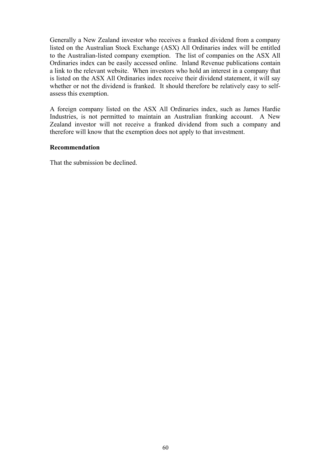Generally a New Zealand investor who receives a franked dividend from a company listed on the Australian Stock Exchange (ASX) All Ordinaries index will be entitled to the Australian-listed company exemption. The list of companies on the ASX All Ordinaries index can be easily accessed online. Inland Revenue publications contain a link to the relevant website. When investors who hold an interest in a company that is listed on the ASX All Ordinaries index receive their dividend statement, it will say whether or not the dividend is franked. It should therefore be relatively easy to selfassess this exemption.

A foreign company listed on the ASX All Ordinaries index, such as James Hardie Industries, is not permitted to maintain an Australian franking account. A New Zealand investor will not receive a franked dividend from such a company and therefore will know that the exemption does not apply to that investment.

# **Recommendation**

That the submission be declined.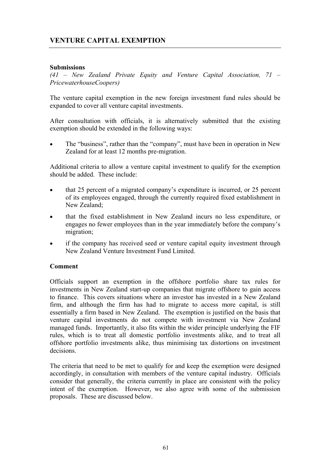# **VENTURE CAPITAL EXEMPTION**

## **Submissions**

*(41 – New Zealand Private Equity and Venture Capital Association, 71 – PricewaterhouseCoopers)* 

The venture capital exemption in the new foreign investment fund rules should be expanded to cover all venture capital investments.

After consultation with officials, it is alternatively submitted that the existing exemption should be extended in the following ways:

• The "business", rather than the "company", must have been in operation in New Zealand for at least 12 months pre-migration.

Additional criteria to allow a venture capital investment to qualify for the exemption should be added. These include:

- that 25 percent of a migrated company's expenditure is incurred, or 25 percent of its employees engaged, through the currently required fixed establishment in New Zealand;
- that the fixed establishment in New Zealand incurs no less expenditure, or engages no fewer employees than in the year immediately before the company's migration;
- if the company has received seed or venture capital equity investment through New Zealand Venture Investment Fund Limited.

#### **Comment**

Officials support an exemption in the offshore portfolio share tax rules for investments in New Zealand start-up companies that migrate offshore to gain access to finance. This covers situations where an investor has invested in a New Zealand firm, and although the firm has had to migrate to access more capital, is still essentially a firm based in New Zealand. The exemption is justified on the basis that venture capital investments do not compete with investment via New Zealand managed funds. Importantly, it also fits within the wider principle underlying the FIF rules, which is to treat all domestic portfolio investments alike, and to treat all offshore portfolio investments alike, thus minimising tax distortions on investment decisions.

The criteria that need to be met to qualify for and keep the exemption were designed accordingly, in consultation with members of the venture capital industry. Officials consider that generally, the criteria currently in place are consistent with the policy intent of the exemption. However, we also agree with some of the submission proposals. These are discussed below.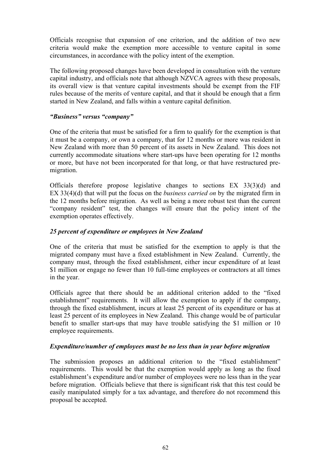Officials recognise that expansion of one criterion, and the addition of two new criteria would make the exemption more accessible to venture capital in some circumstances, in accordance with the policy intent of the exemption.

The following proposed changes have been developed in consultation with the venture capital industry, and officials note that although NZVCA agrees with these proposals, its overall view is that venture capital investments should be exempt from the FIF rules because of the merits of venture capital, and that it should be enough that a firm started in New Zealand, and falls within a venture capital definition.

# *"Business" versus "company"*

One of the criteria that must be satisfied for a firm to qualify for the exemption is that it must be a company, or own a company, that for 12 months or more was resident in New Zealand with more than 50 percent of its assets in New Zealand. This does not currently accommodate situations where start-ups have been operating for 12 months or more, but have not been incorporated for that long, or that have restructured premigration.

Officials therefore propose legislative changes to sections EX 33(3)(d) and EX 33(4)(d) that will put the focus on the *business carried on* by the migrated firm in the 12 months before migration. As well as being a more robust test than the current "company resident" test, the changes will ensure that the policy intent of the exemption operates effectively.

# *25 percent of expenditure or employees in New Zealand*

One of the criteria that must be satisfied for the exemption to apply is that the migrated company must have a fixed establishment in New Zealand. Currently, the company must, through the fixed establishment, either incur expenditure of at least \$1 million or engage no fewer than 10 full-time employees or contractors at all times in the year.

Officials agree that there should be an additional criterion added to the "fixed establishment" requirements. It will allow the exemption to apply if the company, through the fixed establishment, incurs at least 25 percent of its expenditure or has at least 25 percent of its employees in New Zealand. This change would be of particular benefit to smaller start-ups that may have trouble satisfying the \$1 million or 10 employee requirements.

# *Expenditure/number of employees must be no less than in year before migration*

The submission proposes an additional criterion to the "fixed establishment" requirements. This would be that the exemption would apply as long as the fixed establishment's expenditure and/or number of employees were no less than in the year before migration. Officials believe that there is significant risk that this test could be easily manipulated simply for a tax advantage, and therefore do not recommend this proposal be accepted.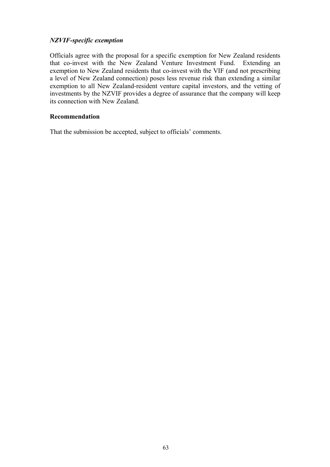# *NZVIF-specific exemption*

Officials agree with the proposal for a specific exemption for New Zealand residents that co-invest with the New Zealand Venture Investment Fund. Extending an exemption to New Zealand residents that co-invest with the VIF (and not prescribing a level of New Zealand connection) poses less revenue risk than extending a similar exemption to all New Zealand-resident venture capital investors, and the vetting of investments by the NZVIF provides a degree of assurance that the company will keep its connection with New Zealand.

# **Recommendation**

That the submission be accepted, subject to officials' comments.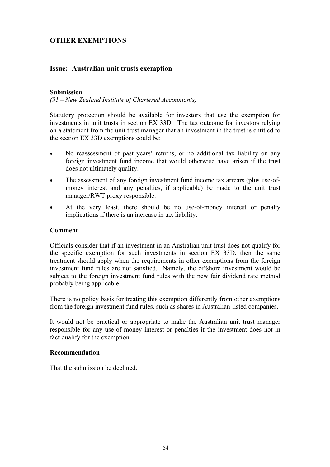# **OTHER EXEMPTIONS**

# **Issue: Australian unit trusts exemption**

#### **Submission**

*(91 – New Zealand Institute of Chartered Accountants)* 

Statutory protection should be available for investors that use the exemption for investments in unit trusts in section EX 33D. The tax outcome for investors relying on a statement from the unit trust manager that an investment in the trust is entitled to the section EX 33D exemptions could be:

- No reassessment of past years' returns, or no additional tax liability on any foreign investment fund income that would otherwise have arisen if the trust does not ultimately qualify.
- The assessment of any foreign investment fund income tax arrears (plus use-ofmoney interest and any penalties, if applicable) be made to the unit trust manager/RWT proxy responsible.
- At the very least, there should be no use-of-money interest or penalty implications if there is an increase in tax liability.

#### **Comment**

Officials consider that if an investment in an Australian unit trust does not qualify for the specific exemption for such investments in section EX 33D, then the same treatment should apply when the requirements in other exemptions from the foreign investment fund rules are not satisfied. Namely, the offshore investment would be subject to the foreign investment fund rules with the new fair dividend rate method probably being applicable.

There is no policy basis for treating this exemption differently from other exemptions from the foreign investment fund rules, such as shares in Australian-listed companies.

It would not be practical or appropriate to make the Australian unit trust manager responsible for any use-of-money interest or penalties if the investment does not in fact qualify for the exemption.

#### **Recommendation**

That the submission be declined.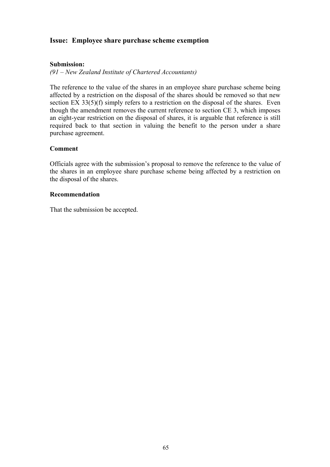# **Issue: Employee share purchase scheme exemption**

# **Submission:**

*(91 – New Zealand Institute of Chartered Accountants)* 

The reference to the value of the shares in an employee share purchase scheme being affected by a restriction on the disposal of the shares should be removed so that new section EX 33(5)(f) simply refers to a restriction on the disposal of the shares. Even though the amendment removes the current reference to section CE 3, which imposes an eight-year restriction on the disposal of shares, it is arguable that reference is still required back to that section in valuing the benefit to the person under a share purchase agreement.

# **Comment**

Officials agree with the submission's proposal to remove the reference to the value of the shares in an employee share purchase scheme being affected by a restriction on the disposal of the shares.

# **Recommendation**

That the submission be accepted.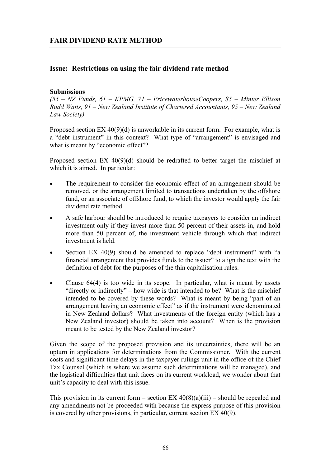# **Issue: Restrictions on using the fair dividend rate method**

# **Submissions**

*(55 – NZ Funds, 61 – KPMG, 71 – PricewaterhouseCoopers, 85 – Minter Ellison Rudd Watts, 91 – New Zealand Institute of Chartered Accountants, 95 – New Zealand Law Society)* 

Proposed section EX 40(9)(d) is unworkable in its current form. For example, what is a "debt instrument" in this context? What type of "arrangement" is envisaged and what is meant by "economic effect"?

Proposed section EX 40(9)(d) should be redrafted to better target the mischief at which it is aimed. In particular:

- The requirement to consider the economic effect of an arrangement should be removed, or the arrangement limited to transactions undertaken by the offshore fund, or an associate of offshore fund, to which the investor would apply the fair dividend rate method.
- A safe harbour should be introduced to require taxpayers to consider an indirect investment only if they invest more than 50 percent of their assets in, and hold more than 50 percent of, the investment vehicle through which that indirect investment is held.
- Section EX 40(9) should be amended to replace "debt instrument" with "a financial arrangement that provides funds to the issuer" to align the text with the definition of debt for the purposes of the thin capitalisation rules.
- Clause 64(4) is too wide in its scope. In particular, what is meant by assets "directly or indirectly" – how wide is that intended to be? What is the mischief intended to be covered by these words? What is meant by being "part of an arrangement having an economic effect" as if the instrument were denominated in New Zealand dollars? What investments of the foreign entity (which has a New Zealand investor) should be taken into account? When is the provision meant to be tested by the New Zealand investor?

Given the scope of the proposed provision and its uncertainties, there will be an upturn in applications for determinations from the Commissioner. With the current costs and significant time delays in the taxpayer rulings unit in the office of the Chief Tax Counsel (which is where we assume such determinations will be managed), and the logistical difficulties that unit faces on its current workload, we wonder about that unit's capacity to deal with this issue.

This provision in its current form – section EX  $40(8)(a)(iii)$  – should be repealed and any amendments not be proceeded with because the express purpose of this provision is covered by other provisions, in particular, current section EX 40(9).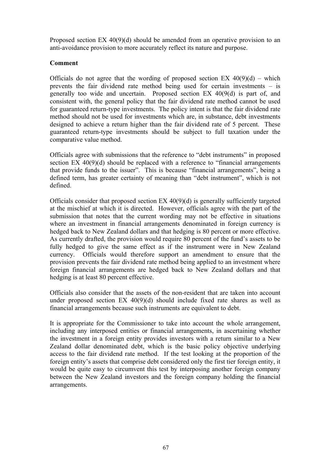Proposed section EX 40(9)(d) should be amended from an operative provision to an anti-avoidance provision to more accurately reflect its nature and purpose.

# **Comment**

Officials do not agree that the wording of proposed section EX  $40(9)(d)$  – which prevents the fair dividend rate method being used for certain investments – is generally too wide and uncertain. Proposed section EX 40(9(d) is part of, and consistent with, the general policy that the fair dividend rate method cannot be used for guaranteed return-type investments. The policy intent is that the fair dividend rate method should not be used for investments which are, in substance, debt investments designed to achieve a return higher than the fair dividend rate of 5 percent. These guaranteed return-type investments should be subject to full taxation under the comparative value method.

Officials agree with submissions that the reference to "debt instruments" in proposed section EX 40(9)(d) should be replaced with a reference to "financial arrangements that provide funds to the issuer". This is because "financial arrangements", being a defined term, has greater certainty of meaning than "debt instrument", which is not defined.

Officials consider that proposed section  $EX\ 40(9)(d)$  is generally sufficiently targeted at the mischief at which it is directed. However, officials agree with the part of the submission that notes that the current wording may not be effective in situations where an investment in financial arrangements denominated in foreign currency is hedged back to New Zealand dollars and that hedging is 80 percent or more effective. As currently drafted, the provision would require 80 percent of the fund's assets to be fully hedged to give the same effect as if the instrument were in New Zealand currency. Officials would therefore support an amendment to ensure that the provision prevents the fair dividend rate method being applied to an investment where foreign financial arrangements are hedged back to New Zealand dollars and that hedging is at least 80 percent effective.

Officials also consider that the assets of the non-resident that are taken into account under proposed section EX  $40(9)(d)$  should include fixed rate shares as well as financial arrangements because such instruments are equivalent to debt.

It is appropriate for the Commissioner to take into account the whole arrangement, including any interposed entities or financial arrangements, in ascertaining whether the investment in a foreign entity provides investors with a return similar to a New Zealand dollar denominated debt, which is the basic policy objective underlying access to the fair dividend rate method. If the test looking at the proportion of the foreign entity's assets that comprise debt considered only the first tier foreign entity, it would be quite easy to circumvent this test by interposing another foreign company between the New Zealand investors and the foreign company holding the financial arrangements.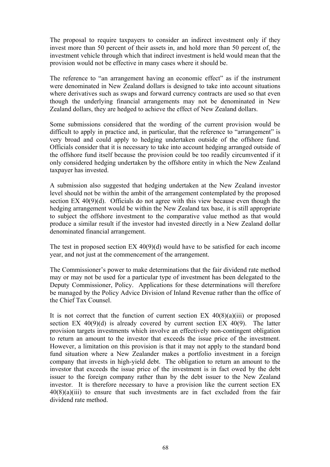The proposal to require taxpayers to consider an indirect investment only if they invest more than 50 percent of their assets in, and hold more than 50 percent of, the investment vehicle through which that indirect investment is held would mean that the provision would not be effective in many cases where it should be.

The reference to "an arrangement having an economic effect" as if the instrument were denominated in New Zealand dollars is designed to take into account situations where derivatives such as swaps and forward currency contracts are used so that even though the underlying financial arrangements may not be denominated in New Zealand dollars, they are hedged to achieve the effect of New Zealand dollars.

Some submissions considered that the wording of the current provision would be difficult to apply in practice and, in particular, that the reference to "arrangement" is very broad and could apply to hedging undertaken outside of the offshore fund. Officials consider that it is necessary to take into account hedging arranged outside of the offshore fund itself because the provision could be too readily circumvented if it only considered hedging undertaken by the offshore entity in which the New Zealand taxpayer has invested.

A submission also suggested that hedging undertaken at the New Zealand investor level should not be within the ambit of the arrangement contemplated by the proposed section EX 40(9)(d). Officials do not agree with this view because even though the hedging arrangement would be within the New Zealand tax base, it is still appropriate to subject the offshore investment to the comparative value method as that would produce a similar result if the investor had invested directly in a New Zealand dollar denominated financial arrangement.

The test in proposed section EX 40(9)(d) would have to be satisfied for each income year, and not just at the commencement of the arrangement.

The Commissioner's power to make determinations that the fair dividend rate method may or may not be used for a particular type of investment has been delegated to the Deputy Commissioner, Policy. Applications for these determinations will therefore be managed by the Policy Advice Division of Inland Revenue rather than the office of the Chief Tax Counsel.

It is not correct that the function of current section  $EX\ 40(8)(a)(iii)$  or proposed section EX  $40(9)(d)$  is already covered by current section EX  $40(9)$ . The latter provision targets investments which involve an effectively non-contingent obligation to return an amount to the investor that exceeds the issue price of the investment. However, a limitation on this provision is that it may not apply to the standard bond fund situation where a New Zealander makes a portfolio investment in a foreign company that invests in high-yield debt. The obligation to return an amount to the investor that exceeds the issue price of the investment is in fact owed by the debt issuer to the foreign company rather than by the debt issuer to the New Zealand investor. It is therefore necessary to have a provision like the current section EX 40(8)(a)(iii) to ensure that such investments are in fact excluded from the fair dividend rate method.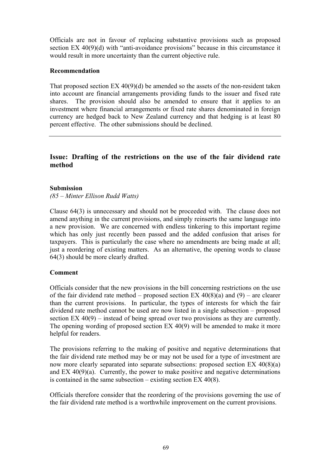Officials are not in favour of replacing substantive provisions such as proposed section EX 40(9)(d) with "anti-avoidance provisions" because in this circumstance it would result in more uncertainty than the current objective rule.

# **Recommendation**

That proposed section  $EX\ 40(9)(d)$  be amended so the assets of the non-resident taken into account are financial arrangements providing funds to the issuer and fixed rate shares. The provision should also be amended to ensure that it applies to an investment where financial arrangements or fixed rate shares denominated in foreign currency are hedged back to New Zealand currency and that hedging is at least 80 percent effective. The other submissions should be declined.

# **Issue: Drafting of the restrictions on the use of the fair dividend rate method**

# **Submission**

*(85 – Minter Ellison Rudd Watts)* 

Clause 64(3) is unnecessary and should not be proceeded with. The clause does not amend anything in the current provisions, and simply reinserts the same language into a new provision. We are concerned with endless tinkering to this important regime which has only just recently been passed and the added confusion that arises for taxpayers. This is particularly the case where no amendments are being made at all; just a reordering of existing matters. As an alternative, the opening words to clause 64(3) should be more clearly drafted.

# **Comment**

Officials consider that the new provisions in the bill concerning restrictions on the use of the fair dividend rate method – proposed section EX  $40(8)(a)$  and  $(9)$  – are clearer than the current provisions. In particular, the types of interests for which the fair dividend rate method cannot be used are now listed in a single subsection – proposed section EX 40(9) – instead of being spread over two provisions as they are currently. The opening wording of proposed section EX 40(9) will be amended to make it more helpful for readers.

The provisions referring to the making of positive and negative determinations that the fair dividend rate method may be or may not be used for a type of investment are now more clearly separated into separate subsections: proposed section EX 40(8)(a) and EX  $40(9)(a)$ . Currently, the power to make positive and negative determinations is contained in the same subsection – existing section EX 40(8).

Officials therefore consider that the reordering of the provisions governing the use of the fair dividend rate method is a worthwhile improvement on the current provisions.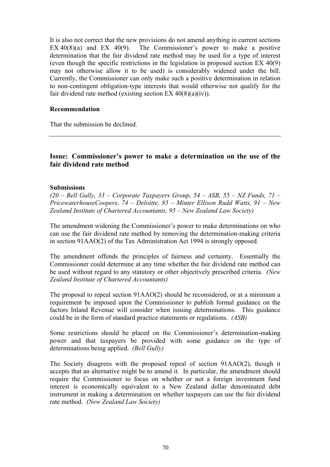It is also not correct that the new provisions do not amend anything in current sections EX  $40(8)(a)$  and EX  $40(9)$ . The Commissioner's power to make a positive determination that the fair dividend rate method may be used for a type of interest (even though the specific restrictions in the legislation in proposed section EX 40(9) may not otherwise allow it to be used) is considerably widened under the bill. Currently, the Commissioner can only make such a positive determination in relation to non-contingent obligation-type interests that would otherwise not qualify for the fair dividend rate method (existing section EX  $40(8)(a)(iv)$ ).

# **Recommendation**

That the submission be declined.

# **Issue: Commissioner's power to make a determination on the use of the fair dividend rate method**

# **Submissions**

*(20 – Bell Gully, 33 – Corporate Taxpayers Group, 54 – ASB, 55 – NZ Funds, 71 – PricewaterhouseCoopers, 74 – Deloitte, 85 – Minter Ellison Rudd Watts, 91 – New Zealand Institute of Chartered Accountants, 95 – New Zealand Law Society)* 

The amendment widening the Commissioner's power to make determinations on who can use the fair dividend rate method by removing the determination-making criteria in section 91AAO(2) of the Tax Administration Act 1994 is strongly opposed.

The amendment offends the principles of fairness and certainty. Essentially the Commissioner could determine at any time whether the fair dividend rate method can be used without regard to any statutory or other objectively prescribed criteria. *(New Zealand Institute of Chartered Accountants)* 

The proposal to repeal section 91AAO(2) should be reconsidered, or at a minimum a requirement be imposed upon the Commissioner to publish formal guidance on the factors Inland Revenue will consider when issuing determinations. This guidance could be in the form of standard practice statements or regulations. *(ASB)*

Some restrictions should be placed on the Commissioner's determination-making power and that taxpayers be provided with some guidance on the type of determinations being applied. *(Bell Gully)* 

The Society disagrees with the proposed repeal of section 91AAO(2), though it accepts that an alternative might be to amend it. In particular, the amendment should require the Commissioner to focus on whether or not a foreign investment fund interest is economically equivalent to a New Zealand dollar denominated debt instrument in making a determination on whether taxpayers can use the fair dividend rate method. *(New Zealand Law Society)*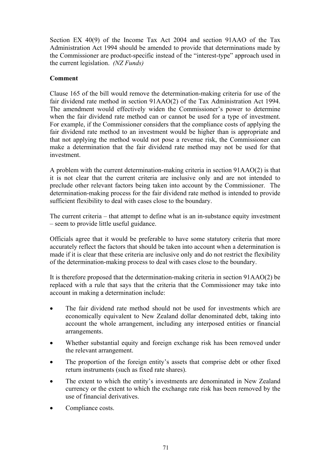Section EX 40(9) of the Income Tax Act 2004 and section 91AAO of the Tax Administration Act 1994 should be amended to provide that determinations made by the Commissioner are product-specific instead of the "interest-type" approach used in the current legislation. *(NZ Funds)*

# **Comment**

Clause 165 of the bill would remove the determination-making criteria for use of the fair dividend rate method in section 91AAO(2) of the Tax Administration Act 1994. The amendment would effectively widen the Commissioner's power to determine when the fair dividend rate method can or cannot be used for a type of investment. For example, if the Commissioner considers that the compliance costs of applying the fair dividend rate method to an investment would be higher than is appropriate and that not applying the method would not pose a revenue risk, the Commissioner can make a determination that the fair dividend rate method may not be used for that investment.

A problem with the current determination-making criteria in section 91AAO(2) is that it is not clear that the current criteria are inclusive only and are not intended to preclude other relevant factors being taken into account by the Commissioner. The determination-making process for the fair dividend rate method is intended to provide sufficient flexibility to deal with cases close to the boundary.

The current criteria – that attempt to define what is an in-substance equity investment – seem to provide little useful guidance.

Officials agree that it would be preferable to have some statutory criteria that more accurately reflect the factors that should be taken into account when a determination is made if it is clear that these criteria are inclusive only and do not restrict the flexibility of the determination-making process to deal with cases close to the boundary.

It is therefore proposed that the determination-making criteria in section 91AAO(2) be replaced with a rule that says that the criteria that the Commissioner may take into account in making a determination include:

- The fair dividend rate method should not be used for investments which are economically equivalent to New Zealand dollar denominated debt, taking into account the whole arrangement, including any interposed entities or financial arrangements.
- Whether substantial equity and foreign exchange risk has been removed under the relevant arrangement.
- The proportion of the foreign entity's assets that comprise debt or other fixed return instruments (such as fixed rate shares).
- The extent to which the entity's investments are denominated in New Zealand currency or the extent to which the exchange rate risk has been removed by the use of financial derivatives.
- Compliance costs.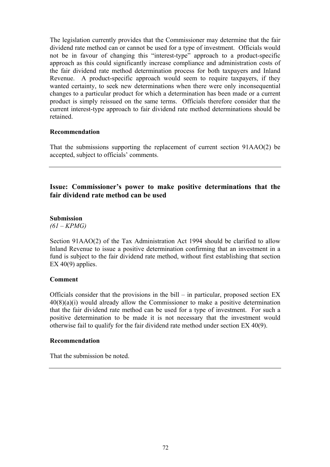The legislation currently provides that the Commissioner may determine that the fair dividend rate method can or cannot be used for a type of investment. Officials would not be in favour of changing this "interest-type" approach to a product-specific approach as this could significantly increase compliance and administration costs of the fair dividend rate method determination process for both taxpayers and Inland Revenue. A product-specific approach would seem to require taxpayers, if they wanted certainty, to seek new determinations when there were only inconsequential changes to a particular product for which a determination has been made or a current product is simply reissued on the same terms. Officials therefore consider that the current interest-type approach to fair dividend rate method determinations should be retained.

# **Recommendation**

That the submissions supporting the replacement of current section 91AAO(2) be accepted, subject to officials' comments.

# **Issue: Commissioner's power to make positive determinations that the fair dividend rate method can be used**

# **Submission**

*(61 – KPMG)* 

Section 91AAO(2) of the Tax Administration Act 1994 should be clarified to allow Inland Revenue to issue a positive determination confirming that an investment in a fund is subject to the fair dividend rate method, without first establishing that section  $EX\,40(9)$  applies.

# **Comment**

Officials consider that the provisions in the bill – in particular, proposed section EX  $40(8)(a)(i)$  would already allow the Commissioner to make a positive determination that the fair dividend rate method can be used for a type of investment. For such a positive determination to be made it is not necessary that the investment would otherwise fail to qualify for the fair dividend rate method under section EX 40(9).

# **Recommendation**

That the submission be noted.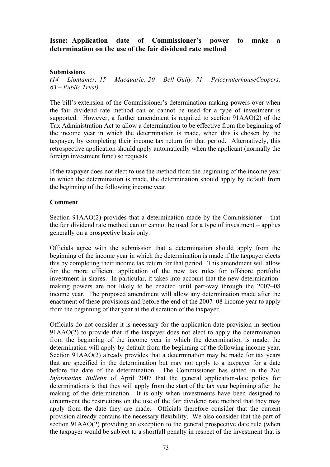# **Issue: Application date of Commissioner's power to make a determination on the use of the fair dividend rate method**

# **Submissions**

*(14 – Liontamer, 15 – Macquarie, 20 – Bell Gully, 71 – PricewaterhouseCoopers, 83 – Public Trust)* 

The bill's extension of the Commissioner's determination-making powers over when the fair dividend rate method can or cannot be used for a type of investment is supported. However, a further amendment is required to section 91AAO(2) of the Tax Administration Act to allow a determination to be effective from the beginning of the income year in which the determination is made, when this is chosen by the taxpayer, by completing their income tax return for that period. Alternatively, this retrospective application should apply automatically when the applicant (normally the foreign investment fund) so requests.

If the taxpayer does not elect to use the method from the beginning of the income year in which the determination is made, the determination should apply by default from the beginning of the following income year.

# **Comment**

Section 91AAO(2) provides that a determination made by the Commissioner – that the fair dividend rate method can or cannot be used for a type of investment – applies generally on a prospective basis only.

Officials agree with the submission that a determination should apply from the beginning of the income year in which the determination is made if the taxpayer elects this by completing their income tax return for that period. This amendment will allow for the more efficient application of the new tax rules for offshore portfolio investment in shares. In particular, it takes into account that the new determinationmaking powers are not likely to be enacted until part-way through the 2007–08 income year. The proposed amendment will allow any determination made after the enactment of these provisions and before the end of the 2007–08 income year to apply from the beginning of that year at the discretion of the taxpayer.

Officials do not consider it is necessary for the application date provision in section 91AAO(2) to provide that if the taxpayer does not elect to apply the determination from the beginning of the income year in which the determination is made, the determination will apply by default from the beginning of the following income year. Section 91AAO(2) already provides that a determination may be made for tax years that are specified in the determination but may not apply to a taxpayer for a date before the date of the determination. The Commissioner has stated in the *Tax Information Bulletin* of April 2007 that the general application-date policy for determinations is that they will apply from the start of the tax year beginning after the making of the determination. It is only when investments have been designed to circumvent the restrictions on the use of the fair dividend rate method that they may apply from the date they are made. Officials therefore consider that the current provision already contains the necessary flexibility. We also consider that the part of section 91AAO(2) providing an exception to the general prospective date rule (when the taxpayer would be subject to a shortfall penalty in respect of the investment that is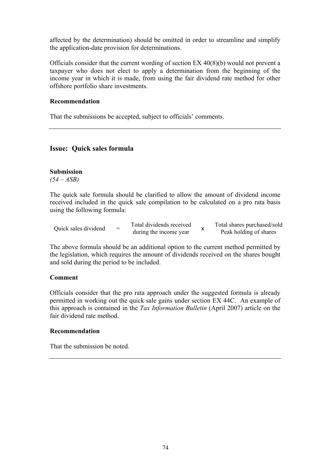affected by the determination) should be omitted in order to streamline and simplify the application-date provision for determinations.

Officials consider that the current wording of section EX 40(8)(b) would not prevent a taxpayer who does not elect to apply a determination from the beginning of the income year in which it is made, from using the fair dividend rate method for other offshore portfolio share investments.

# **Recommendation**

That the submissions be accepted, subject to officials' comments.

# **Issue: Quick sales formula**

# **Submission**

*(54 – ASB)* 

The quick sale formula should be clarified to allow the amount of dividend income received included in the quick sale compilation to be calculated on a pro rata basis using the following formula:

| Quick sales dividend | Total dividends received<br>during the income year | Total shares purchased/sold<br>Peak holding of shares |
|----------------------|----------------------------------------------------|-------------------------------------------------------|
|                      |                                                    |                                                       |

The above formula should be an additional option to the current method permitted by the legislation, which requires the amount of dividends received on the shares bought and sold during the period to be included.

# **Comment**

Officials consider that the pro rata approach under the suggested formula is already permitted in working out the quick sale gains under section EX 44C. An example of this approach is contained in the *Tax Information Bulletin* (April 2007) article on the fair dividend rate method.

# **Recommendation**

That the submission be noted.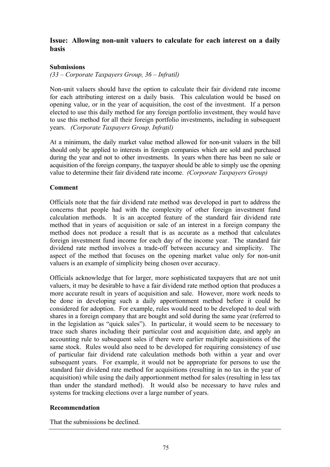# **Issue: Allowing non-unit valuers to calculate for each interest on a daily basis**

# **Submissions**

*(33 – Corporate Taxpayers Group, 36 – Infratil)* 

Non-unit valuers should have the option to calculate their fair dividend rate income for each attributing interest on a daily basis. This calculation would be based on opening value, or in the year of acquisition, the cost of the investment. If a person elected to use this daily method for any foreign portfolio investment, they would have to use this method for all their foreign portfolio investments, including in subsequent years. *(Corporate Taxpayers Group, Infratil)*

At a minimum, the daily market value method allowed for non-unit valuers in the bill should only be applied to interests in foreign companies which are sold and purchased during the year and not to other investments. In years when there has been no sale or acquisition of the foreign company, the taxpayer should be able to simply use the opening value to determine their fair dividend rate income. *(Corporate Taxpayers Group)*

# **Comment**

Officials note that the fair dividend rate method was developed in part to address the concerns that people had with the complexity of other foreign investment fund calculation methods. It is an accepted feature of the standard fair dividend rate method that in years of acquisition or sale of an interest in a foreign company the method does not produce a result that is as accurate as a method that calculates foreign investment fund income for each day of the income year. The standard fair dividend rate method involves a trade-off between accuracy and simplicity. The aspect of the method that focuses on the opening market value only for non-unit valuers is an example of simplicity being chosen over accuracy.

Officials acknowledge that for larger, more sophisticated taxpayers that are not unit valuers, it may be desirable to have a fair dividend rate method option that produces a more accurate result in years of acquisition and sale. However, more work needs to be done in developing such a daily apportionment method before it could be considered for adoption. For example, rules would need to be developed to deal with shares in a foreign company that are bought and sold during the same year (referred to in the legislation as "quick sales"). In particular, it would seem to be necessary to trace such shares including their particular cost and acquisition date, and apply an accounting rule to subsequent sales if there were earlier multiple acquisitions of the same stock. Rules would also need to be developed for requiring consistency of use of particular fair dividend rate calculation methods both within a year and over subsequent years. For example, it would not be appropriate for persons to use the standard fair dividend rate method for acquisitions (resulting in no tax in the year of acquisition) while using the daily apportionment method for sales (resulting in less tax than under the standard method). It would also be necessary to have rules and systems for tracking elections over a large number of years.

# **Recommendation**

That the submissions be declined.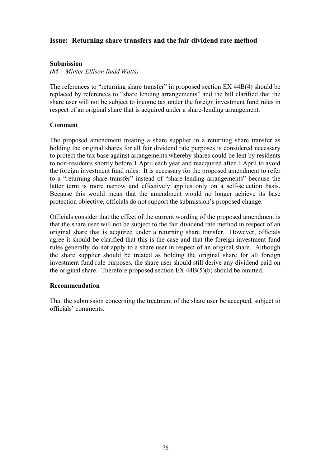# **Issue: Returning share transfers and the fair dividend rate method**

# **Submission**

*(85 – Minter Ellison Rudd Watts)* 

The references to "returning share transfer" in proposed section EX 44B(4) should be replaced by references to "share lending arrangements" and the bill clarified that the share user will not be subject to income tax under the foreign investment fund rules in respect of an original share that is acquired under a share-lending arrangement.

# **Comment**

The proposed amendment treating a share supplier in a returning share transfer as holding the original shares for all fair dividend rate purposes is considered necessary to protect the tax base against arrangements whereby shares could be lent by residents to non-residents shortly before 1 April each year and reacquired after 1 April to avoid the foreign investment fund rules. It is necessary for the proposed amendment to refer to a "returning share transfer" instead of "share-lending arrangements" because the latter term is more narrow and effectively applies only on a self-selection basis. Because this would mean that the amendment would no longer achieve its base protection objective, officials do not support the submission's proposed change.

Officials consider that the effect of the current wording of the proposed amendment is that the share user will not be subject to the fair dividend rate method in respect of an original share that is acquired under a returning share transfer. However, officials agree it should be clarified that this is the case and that the foreign investment fund rules generally do not apply to a share user in respect of an original share. Although the share supplier should be treated as holding the original share for all foreign investment fund rule purposes, the share user should still derive any dividend paid on the original share. Therefore proposed section EX 44B(5)(b) should be omitted.

# **Recommendation**

That the submission concerning the treatment of the share user be accepted, subject to officials' comments.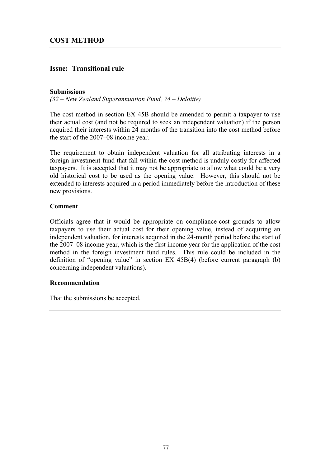# **Issue: Transitional rule**

# **Submissions**

*(32 – New Zealand Superannuation Fund, 74 – Deloitte)* 

The cost method in section EX 45B should be amended to permit a taxpayer to use their actual cost (and not be required to seek an independent valuation) if the person acquired their interests within 24 months of the transition into the cost method before the start of the 2007–08 income year.

The requirement to obtain independent valuation for all attributing interests in a foreign investment fund that fall within the cost method is unduly costly for affected taxpayers. It is accepted that it may not be appropriate to allow what could be a very old historical cost to be used as the opening value. However, this should not be extended to interests acquired in a period immediately before the introduction of these new provisions.

# **Comment**

Officials agree that it would be appropriate on compliance-cost grounds to allow taxpayers to use their actual cost for their opening value, instead of acquiring an independent valuation, for interests acquired in the 24-month period before the start of the 2007–08 income year, which is the first income year for the application of the cost method in the foreign investment fund rules. This rule could be included in the definition of "opening value" in section EX 45B(4) (before current paragraph (b) concerning independent valuations).

# **Recommendation**

That the submissions be accepted.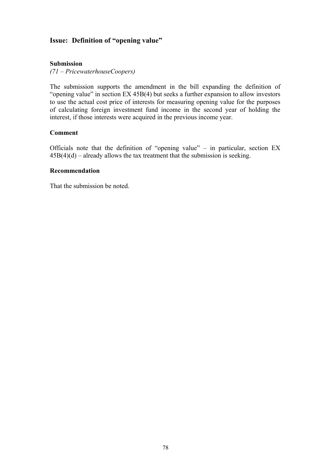# **Issue: Definition of "opening value"**

# **Submission**

*(71 – PricewaterhouseCoopers)* 

The submission supports the amendment in the bill expanding the definition of "opening value" in section EX 45B(4) but seeks a further expansion to allow investors to use the actual cost price of interests for measuring opening value for the purposes of calculating foreign investment fund income in the second year of holding the interest, if those interests were acquired in the previous income year.

# **Comment**

Officials note that the definition of "opening value" – in particular, section EX  $45B(4)(d)$  – already allows the tax treatment that the submission is seeking.

# **Recommendation**

That the submission be noted.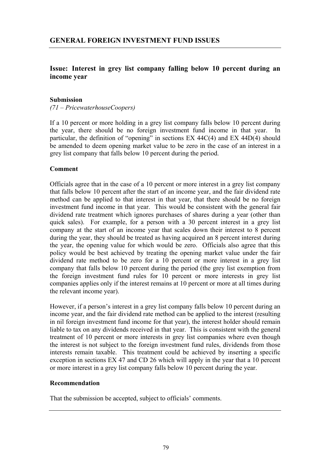# **Issue: Interest in grey list company falling below 10 percent during an income year**

# **Submission**

*(71 – PricewaterhouseCoopers)* 

If a 10 percent or more holding in a grey list company falls below 10 percent during the year, there should be no foreign investment fund income in that year. In particular, the definition of "opening" in sections EX 44C(4) and EX 44D(4) should be amended to deem opening market value to be zero in the case of an interest in a grey list company that falls below 10 percent during the period.

# **Comment**

Officials agree that in the case of a 10 percent or more interest in a grey list company that falls below 10 percent after the start of an income year, and the fair dividend rate method can be applied to that interest in that year, that there should be no foreign investment fund income in that year. This would be consistent with the general fair dividend rate treatment which ignores purchases of shares during a year (other than quick sales). For example, for a person with a 30 percent interest in a grey list company at the start of an income year that scales down their interest to 8 percent during the year, they should be treated as having acquired an 8 percent interest during the year, the opening value for which would be zero. Officials also agree that this policy would be best achieved by treating the opening market value under the fair dividend rate method to be zero for a 10 percent or more interest in a grey list company that falls below 10 percent during the period (the grey list exemption from the foreign investment fund rules for 10 percent or more interests in grey list companies applies only if the interest remains at 10 percent or more at all times during the relevant income year).

However, if a person's interest in a grey list company falls below 10 percent during an income year, and the fair dividend rate method can be applied to the interest (resulting in nil foreign investment fund income for that year), the interest holder should remain liable to tax on any dividends received in that year. This is consistent with the general treatment of 10 percent or more interests in grey list companies where even though the interest is not subject to the foreign investment fund rules, dividends from those interests remain taxable. This treatment could be achieved by inserting a specific exception in sections EX 47 and CD 26 which will apply in the year that a 10 percent or more interest in a grey list company falls below 10 percent during the year.

#### **Recommendation**

That the submission be accepted, subject to officials' comments.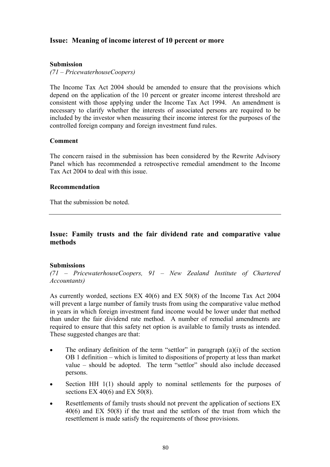# **Issue: Meaning of income interest of 10 percent or more**

# **Submission**

*(71 – PricewaterhouseCoopers)* 

The Income Tax Act 2004 should be amended to ensure that the provisions which depend on the application of the 10 percent or greater income interest threshold are consistent with those applying under the Income Tax Act 1994. An amendment is necessary to clarify whether the interests of associated persons are required to be included by the investor when measuring their income interest for the purposes of the controlled foreign company and foreign investment fund rules.

# **Comment**

The concern raised in the submission has been considered by the Rewrite Advisory Panel which has recommended a retrospective remedial amendment to the Income Tax Act 2004 to deal with this issue.

# **Recommendation**

That the submission be noted.

# **Issue: Family trusts and the fair dividend rate and comparative value methods**

# **Submissions**

*(71 – PricewaterhouseCoopers, 91 – New Zealand Institute of Chartered Accountants)* 

As currently worded, sections EX 40(6) and EX 50(8) of the Income Tax Act 2004 will prevent a large number of family trusts from using the comparative value method in years in which foreign investment fund income would be lower under that method than under the fair dividend rate method. A number of remedial amendments are required to ensure that this safety net option is available to family trusts as intended. These suggested changes are that:

- The ordinary definition of the term "settlor" in paragraph  $(a)(i)$  of the section OB 1 definition – which is limited to dispositions of property at less than market value – should be adopted. The term "settlor" should also include deceased persons.
- Section HH 1(1) should apply to nominal settlements for the purposes of sections EX  $40(6)$  and EX  $50(8)$ .
- Resettlements of family trusts should not prevent the application of sections EX 40(6) and EX 50(8) if the trust and the settlors of the trust from which the resettlement is made satisfy the requirements of those provisions.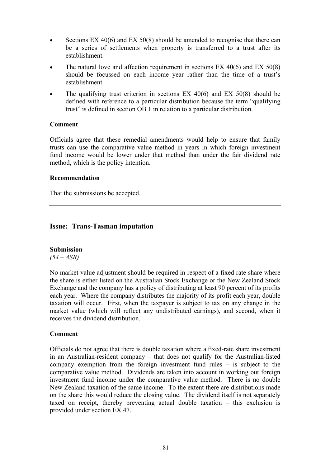- Sections EX 40(6) and EX 50(8) should be amended to recognise that there can be a series of settlements when property is transferred to a trust after its establishment.
- The natural love and affection requirement in sections  $EX\ 40(6)$  and  $EX\ 50(8)$ should be focussed on each income year rather than the time of a trust's establishment.
- The qualifying trust criterion in sections EX  $40(6)$  and EX  $50(8)$  should be defined with reference to a particular distribution because the term "qualifying trust" is defined in section OB 1 in relation to a particular distribution.

# **Comment**

Officials agree that these remedial amendments would help to ensure that family trusts can use the comparative value method in years in which foreign investment fund income would be lower under that method than under the fair dividend rate method, which is the policy intention.

# **Recommendation**

That the submissions be accepted.

# **Issue: Trans-Tasman imputation**

# **Submission**

*(54 – ASB)* 

No market value adjustment should be required in respect of a fixed rate share where the share is either listed on the Australian Stock Exchange or the New Zealand Stock Exchange and the company has a policy of distributing at least 90 percent of its profits each year. Where the company distributes the majority of its profit each year, double taxation will occur. First, when the taxpayer is subject to tax on any change in the market value (which will reflect any undistributed earnings), and second, when it receives the dividend distribution.

# **Comment**

Officials do not agree that there is double taxation where a fixed-rate share investment in an Australian-resident company – that does not qualify for the Australian-listed company exemption from the foreign investment fund rules – is subject to the comparative value method. Dividends are taken into account in working out foreign investment fund income under the comparative value method. There is no double New Zealand taxation of the same income. To the extent there are distributions made on the share this would reduce the closing value. The dividend itself is not separately taxed on receipt, thereby preventing actual double taxation – this exclusion is provided under section EX 47.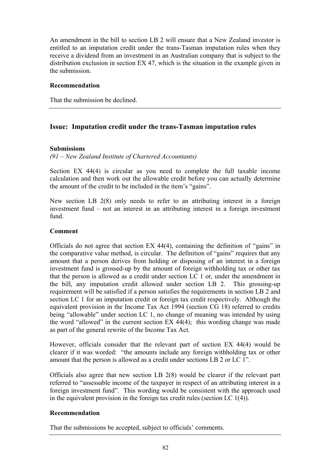An amendment in the bill to section LB 2 will ensure that a New Zealand investor is entitled to an imputation credit under the trans-Tasman imputation rules when they receive a dividend from an investment in an Australian company that is subject to the distribution exclusion in section EX 47, which is the situation in the example given in the submission.

# **Recommendation**

That the submission be declined.

# **Issue: Imputation credit under the trans-Tasman imputation rules**

#### **Submissions**

*(91 – New Zealand Institute of Chartered Accountants)* 

Section EX 44(4) is circular as you need to complete the full taxable income calculation and then work out the allowable credit before you can actually determine the amount of the credit to be included in the item's "gains".

New section LB 2(8) only needs to refer to an attributing interest in a foreign investment fund – not an interest in an attributing interest in a foreign investment fund.

# **Comment**

Officials do not agree that section EX 44(4), containing the definition of "gains" in the comparative value method, is circular. The definition of "gains" requires that any amount that a person derives from holding or disposing of an interest in a foreign investment fund is grossed-up by the amount of foreign withholding tax or other tax that the person is allowed as a credit under section LC 1 or, under the amendment in the bill, any imputation credit allowed under section LB 2. This grossing-up requirement will be satisfied if a person satisfies the requirements in section LB 2 and section LC 1 for an imputation credit or foreign tax credit respectively. Although the equivalent provision in the Income Tax Act 1994 (section CG 18) referred to credits being "allowable" under section LC 1, no change of meaning was intended by using the word "allowed" in the current section  $EX\ 44(4)$ ; this wording change was made as part of the general rewrite of the Income Tax Act.

However, officials consider that the relevant part of section EX 44(4) would be clearer if it was worded: "the amounts include any foreign withholding tax or other amount that the person is allowed as a credit under sections LB 2 or LC 1".

Officials also agree that new section LB 2(8) would be clearer if the relevant part referred to "assessable income of the taxpayer in respect of an attributing interest in a foreign investment fund". This wording would be consistent with the approach used in the equivalent provision in the foreign tax credit rules (section LC 1(4)).

# **Recommendation**

That the submissions be accepted, subject to officials' comments.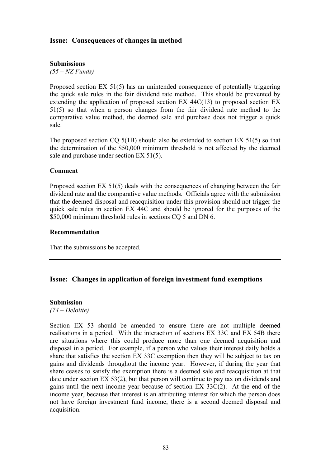# **Issue: Consequences of changes in method**

#### **Submissions**

*(55 – NZ Funds)* 

Proposed section EX 51(5) has an unintended consequence of potentially triggering the quick sale rules in the fair dividend rate method. This should be prevented by extending the application of proposed section EX 44C(13) to proposed section EX 51(5) so that when a person changes from the fair dividend rate method to the comparative value method, the deemed sale and purchase does not trigger a quick sale.

The proposed section CQ 5(1B) should also be extended to section EX 51(5) so that the determination of the \$50,000 minimum threshold is not affected by the deemed sale and purchase under section EX 51(5).

#### **Comment**

Proposed section EX 51(5) deals with the consequences of changing between the fair dividend rate and the comparative value methods. Officials agree with the submission that the deemed disposal and reacquisition under this provision should not trigger the quick sale rules in section EX 44C and should be ignored for the purposes of the \$50,000 minimum threshold rules in sections CQ 5 and DN 6.

#### **Recommendation**

That the submissions be accepted.

# **Issue: Changes in application of foreign investment fund exemptions**

#### **Submission**

*(74 – Deloitte)* 

Section EX 53 should be amended to ensure there are not multiple deemed realisations in a period. With the interaction of sections EX 33C and EX 54B there are situations where this could produce more than one deemed acquisition and disposal in a period. For example, if a person who values their interest daily holds a share that satisfies the section EX 33C exemption then they will be subject to tax on gains and dividends throughout the income year. However, if during the year that share ceases to satisfy the exemption there is a deemed sale and reacquisition at that date under section EX 53(2), but that person will continue to pay tax on dividends and gains until the next income year because of section EX 33C(2). At the end of the income year, because that interest is an attributing interest for which the person does not have foreign investment fund income, there is a second deemed disposal and acquisition.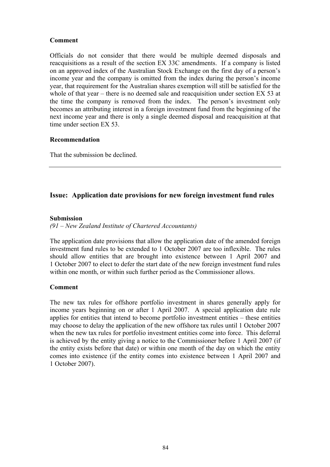# **Comment**

Officials do not consider that there would be multiple deemed disposals and reacquisitions as a result of the section EX 33C amendments. If a company is listed on an approved index of the Australian Stock Exchange on the first day of a person's income year and the company is omitted from the index during the person's income year, that requirement for the Australian shares exemption will still be satisfied for the whole of that year – there is no deemed sale and reacquisition under section EX 53 at the time the company is removed from the index. The person's investment only becomes an attributing interest in a foreign investment fund from the beginning of the next income year and there is only a single deemed disposal and reacquisition at that time under section EX 53.

# **Recommendation**

That the submission be declined.

# **Issue: Application date provisions for new foreign investment fund rules**

# **Submission**

*(91 – New Zealand Institute of Chartered Accountants)* 

The application date provisions that allow the application date of the amended foreign investment fund rules to be extended to 1 October 2007 are too inflexible. The rules should allow entities that are brought into existence between 1 April 2007 and 1 October 2007 to elect to defer the start date of the new foreign investment fund rules within one month, or within such further period as the Commissioner allows.

# **Comment**

The new tax rules for offshore portfolio investment in shares generally apply for income years beginning on or after 1 April 2007. A special application date rule applies for entities that intend to become portfolio investment entities – these entities may choose to delay the application of the new offshore tax rules until 1 October 2007 when the new tax rules for portfolio investment entities come into force. This deferral is achieved by the entity giving a notice to the Commissioner before 1 April 2007 (if the entity exists before that date) or within one month of the day on which the entity comes into existence (if the entity comes into existence between 1 April 2007 and 1 October 2007).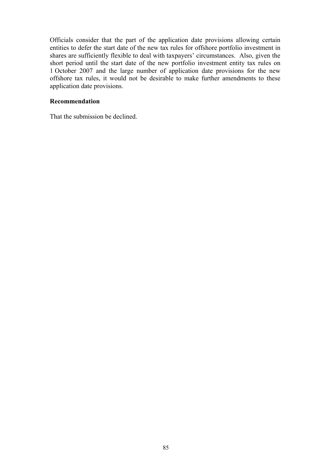Officials consider that the part of the application date provisions allowing certain entities to defer the start date of the new tax rules for offshore portfolio investment in shares are sufficiently flexible to deal with taxpayers' circumstances. Also, given the short period until the start date of the new portfolio investment entity tax rules on 1 October 2007 and the large number of application date provisions for the new offshore tax rules, it would not be desirable to make further amendments to these application date provisions.

#### **Recommendation**

That the submission be declined.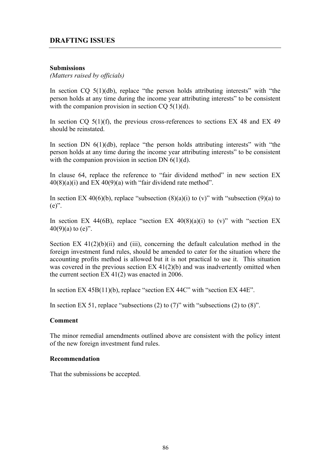# **DRAFTING ISSUES**

#### **Submissions**

*(Matters raised by officials)* 

In section  $CQ$   $5(1)(db)$ , replace "the person holds attributing interests" with "the person holds at any time during the income year attributing interests" to be consistent with the companion provision in section  $CQ$  5(1)(d).

In section CQ 5(1)(f), the previous cross-references to sections EX 48 and EX 49 should be reinstated.

In section DN  $6(1)(db)$ , replace "the person holds attributing interests" with "the person holds at any time during the income year attributing interests" to be consistent with the companion provision in section DN  $6(1)(d)$ .

In clause 64, replace the reference to "fair dividend method" in new section EX  $40(8)(a)(i)$  and EX  $40(9)(a)$  with "fair dividend rate method".

In section EX 40(6)(b), replace "subsection  $(8)(a)(i)$  to  $(v)$ " with "subsection  $(9)(a)$  to (e)".

In section EX 44(6B), replace "section EX 40(8)(a)(i) to (v)" with "section EX  $40(9)(a)$  to (e)".

Section EX  $41(2)(b)(ii)$  and (iii), concerning the default calculation method in the foreign investment fund rules, should be amended to cater for the situation where the accounting profits method is allowed but it is not practical to use it. This situation was covered in the previous section EX 41(2)(b) and was inadvertently omitted when the current section EX 41(2) was enacted in 2006.

In section EX 45B(11)(b), replace "section EX 44C" with "section EX 44E".

In section EX 51, replace "subsections  $(2)$  to  $(7)$ " with "subsections  $(2)$  to  $(8)$ ".

#### **Comment**

The minor remedial amendments outlined above are consistent with the policy intent of the new foreign investment fund rules.

#### **Recommendation**

That the submissions be accepted.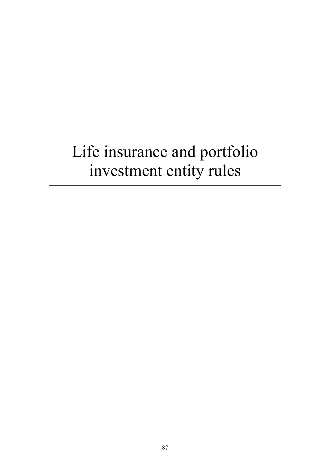# Life insurance and portfolio investment entity rules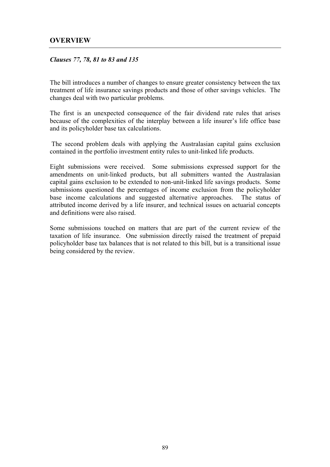# **OVERVIEW**

# *Clauses 77, 78, 81 to 83 and 135*

The bill introduces a number of changes to ensure greater consistency between the tax treatment of life insurance savings products and those of other savings vehicles. The changes deal with two particular problems.

The first is an unexpected consequence of the fair dividend rate rules that arises because of the complexities of the interplay between a life insurer's life office base and its policyholder base tax calculations.

 The second problem deals with applying the Australasian capital gains exclusion contained in the portfolio investment entity rules to unit-linked life products.

Eight submissions were received. Some submissions expressed support for the amendments on unit-linked products, but all submitters wanted the Australasian capital gains exclusion to be extended to non-unit-linked life savings products. Some submissions questioned the percentages of income exclusion from the policyholder base income calculations and suggested alternative approaches. The status of attributed income derived by a life insurer, and technical issues on actuarial concepts and definitions were also raised.

Some submissions touched on matters that are part of the current review of the taxation of life insurance. One submission directly raised the treatment of prepaid policyholder base tax balances that is not related to this bill, but is a transitional issue being considered by the review.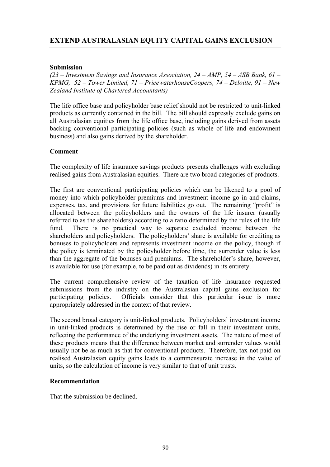# **Submission**

*(23 – Investment Savings and Insurance Association, 24 – AMP, 54 – ASB Bank, 61 – KPMG, 52 – Tower Limited, 71 – PricewaterhouseCoopers, 74 – Deloitte, 91 – New Zealand Institute of Chartered Accountants)* 

The life office base and policyholder base relief should not be restricted to unit-linked products as currently contained in the bill. The bill should expressly exclude gains on all Australasian equities from the life office base, including gains derived from assets backing conventional participating policies (such as whole of life and endowment business) and also gains derived by the shareholder.

# **Comment**

The complexity of life insurance savings products presents challenges with excluding realised gains from Australasian equities. There are two broad categories of products.

The first are conventional participating policies which can be likened to a pool of money into which policyholder premiums and investment income go in and claims, expenses, tax, and provisions for future liabilities go out. The remaining "profit" is allocated between the policyholders and the owners of the life insurer (usually referred to as the shareholders) according to a ratio determined by the rules of the life fund. There is no practical way to separate excluded income between the shareholders and policyholders. The policyholders' share is available for crediting as bonuses to policyholders and represents investment income on the policy, though if the policy is terminated by the policyholder before time, the surrender value is less than the aggregate of the bonuses and premiums. The shareholder's share, however, is available for use (for example, to be paid out as dividends) in its entirety.

The current comprehensive review of the taxation of life insurance requested submissions from the industry on the Australasian capital gains exclusion for participating policies. Officials consider that this particular issue is more appropriately addressed in the context of that review.

The second broad category is unit-linked products. Policyholders' investment income in unit-linked products is determined by the rise or fall in their investment units, reflecting the performance of the underlying investment assets. The nature of most of these products means that the difference between market and surrender values would usually not be as much as that for conventional products. Therefore, tax not paid on realised Australasian equity gains leads to a commensurate increase in the value of units, so the calculation of income is very similar to that of unit trusts.

# **Recommendation**

That the submission be declined.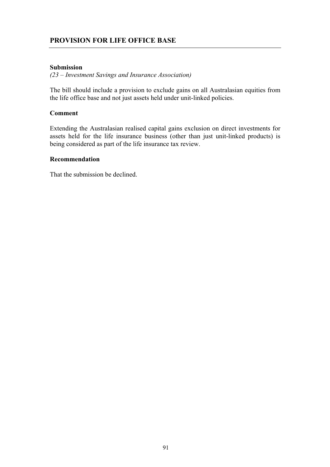# **PROVISION FOR LIFE OFFICE BASE**

# **Submission**

*(23 – Investment Savings and Insurance Association)* 

The bill should include a provision to exclude gains on all Australasian equities from the life office base and not just assets held under unit-linked policies.

# **Comment**

Extending the Australasian realised capital gains exclusion on direct investments for assets held for the life insurance business (other than just unit-linked products) is being considered as part of the life insurance tax review.

# **Recommendation**

That the submission be declined.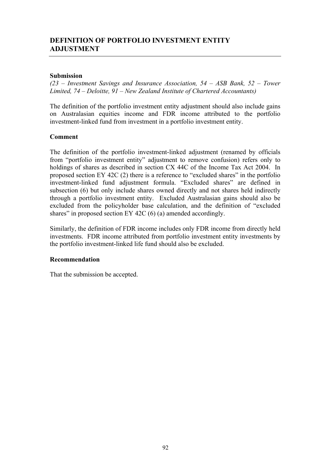# **DEFINITION OF PORTFOLIO INVESTMENT ENTITY ADJUSTMENT**

# **Submission**

*(23 – Investment Savings and Insurance Association, 54 – ASB Bank, 52 – Tower Limited, 74 – Deloitte, 91 – New Zealand Institute of Chartered Accountants)* 

The definition of the portfolio investment entity adjustment should also include gains on Australasian equities income and FDR income attributed to the portfolio investment-linked fund from investment in a portfolio investment entity.

# **Comment**

The definition of the portfolio investment-linked adjustment (renamed by officials from "portfolio investment entity" adjustment to remove confusion) refers only to holdings of shares as described in section CX 44C of the Income Tax Act 2004. In proposed section EY 42C (2) there is a reference to "excluded shares" in the portfolio investment-linked fund adjustment formula. "Excluded shares" are defined in subsection (6) but only include shares owned directly and not shares held indirectly through a portfolio investment entity. Excluded Australasian gains should also be excluded from the policyholder base calculation, and the definition of "excluded shares" in proposed section EY 42C (6) (a) amended accordingly.

Similarly, the definition of FDR income includes only FDR income from directly held investments. FDR income attributed from portfolio investment entity investments by the portfolio investment-linked life fund should also be excluded.

# **Recommendation**

That the submission be accepted.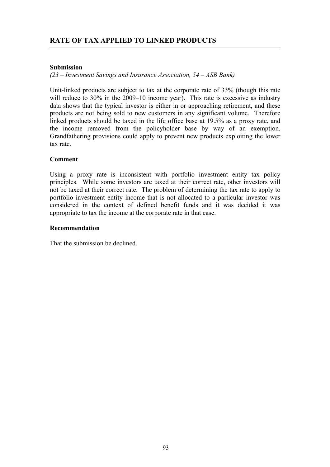# **Submission**

# *(23 – Investment Savings and Insurance Association, 54 – ASB Bank)*

Unit-linked products are subject to tax at the corporate rate of 33% (though this rate will reduce to 30% in the 2009–10 income year). This rate is excessive as industry data shows that the typical investor is either in or approaching retirement, and these products are not being sold to new customers in any significant volume. Therefore linked products should be taxed in the life office base at 19.5% as a proxy rate, and the income removed from the policyholder base by way of an exemption. Grandfathering provisions could apply to prevent new products exploiting the lower tax rate.

# **Comment**

Using a proxy rate is inconsistent with portfolio investment entity tax policy principles. While some investors are taxed at their correct rate, other investors will not be taxed at their correct rate. The problem of determining the tax rate to apply to portfolio investment entity income that is not allocated to a particular investor was considered in the context of defined benefit funds and it was decided it was appropriate to tax the income at the corporate rate in that case.

# **Recommendation**

That the submission be declined.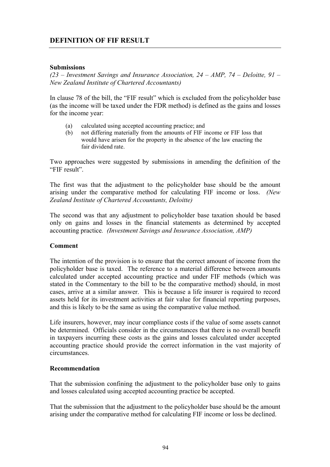# **DEFINITION OF FIF RESULT**

# **Submissions**

*(23 – Investment Savings and Insurance Association, 24 – AMP, 74 – Deloitte, 91 – New Zealand Institute of Chartered Accountants)* 

In clause 78 of the bill, the "FIF result" which is excluded from the policyholder base (as the income will be taxed under the FDR method) is defined as the gains and losses for the income year:

- (a) calculated using accepted accounting practice; and
- (b) not differing materially from the amounts of FIF income or FIF loss that would have arisen for the property in the absence of the law enacting the fair dividend rate.

Two approaches were suggested by submissions in amending the definition of the "FIF result".

The first was that the adjustment to the policyholder base should be the amount arising under the comparative method for calculating FIF income or loss. *(New Zealand Institute of Chartered Accountants, Deloitte)*

The second was that any adjustment to policyholder base taxation should be based only on gains and losses in the financial statements as determined by accepted accounting practice*. (Investment Savings and Insurance Association, AMP)* 

# **Comment**

The intention of the provision is to ensure that the correct amount of income from the policyholder base is taxed. The reference to a material difference between amounts calculated under accepted accounting practice and under FIF methods (which was stated in the Commentary to the bill to be the comparative method) should, in most cases, arrive at a similar answer. This is because a life insurer is required to record assets held for its investment activities at fair value for financial reporting purposes, and this is likely to be the same as using the comparative value method.

Life insurers, however, may incur compliance costs if the value of some assets cannot be determined. Officials consider in the circumstances that there is no overall benefit in taxpayers incurring these costs as the gains and losses calculated under accepted accounting practice should provide the correct information in the vast majority of circumstances.

#### **Recommendation**

That the submission confining the adjustment to the policyholder base only to gains and losses calculated using accepted accounting practice be accepted.

That the submission that the adjustment to the policyholder base should be the amount arising under the comparative method for calculating FIF income or loss be declined.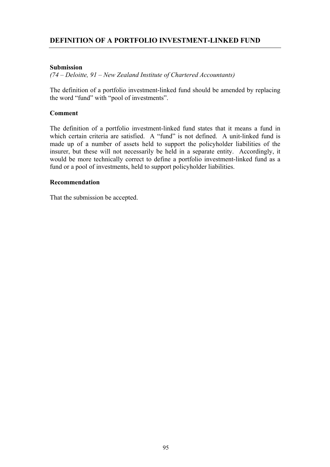# **DEFINITION OF A PORTFOLIO INVESTMENT-LINKED FUND**

# **Submission**

*(74 – Deloitte, 91 – New Zealand Institute of Chartered Accountants)* 

The definition of a portfolio investment-linked fund should be amended by replacing the word "fund" with "pool of investments".

# **Comment**

The definition of a portfolio investment-linked fund states that it means a fund in which certain criteria are satisfied. A "fund" is not defined. A unit-linked fund is made up of a number of assets held to support the policyholder liabilities of the insurer, but these will not necessarily be held in a separate entity. Accordingly, it would be more technically correct to define a portfolio investment-linked fund as a fund or a pool of investments, held to support policyholder liabilities.

# **Recommendation**

That the submission be accepted.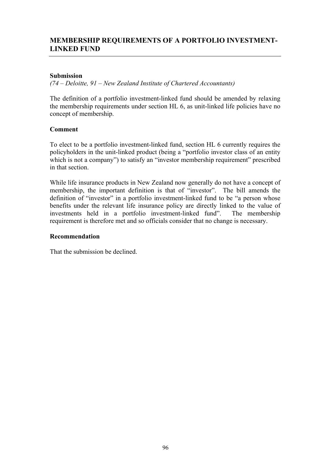# **MEMBERSHIP REQUIREMENTS OF A PORTFOLIO INVESTMENT-LINKED FUND**

# **Submission**

# *(74 – Deloitte, 91 – New Zealand Institute of Chartered Accountants)*

The definition of a portfolio investment-linked fund should be amended by relaxing the membership requirements under section HL 6, as unit-linked life policies have no concept of membership.

# **Comment**

To elect to be a portfolio investment-linked fund, section HL 6 currently requires the policyholders in the unit-linked product (being a "portfolio investor class of an entity which is not a company") to satisfy an "investor membership requirement" prescribed in that section.

While life insurance products in New Zealand now generally do not have a concept of membership, the important definition is that of "investor". The bill amends the definition of "investor" in a portfolio investment-linked fund to be "a person whose benefits under the relevant life insurance policy are directly linked to the value of investments held in a portfolio investment-linked fund". The membership requirement is therefore met and so officials consider that no change is necessary.

# **Recommendation**

That the submission be declined.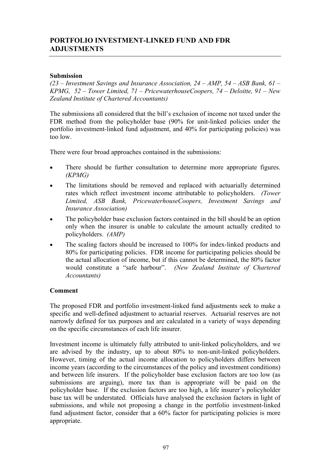# **PORTFOLIO INVESTMENT-LINKED FUND AND FDR ADJUSTMENTS**

# **Submission**

*(23 – Investment Savings and Insurance Association, 24 – AMP, 54 – ASB Bank, 61 – KPMG, 52 – Tower Limited, 71 – PricewaterhouseCoopers, 74 – Deloitte, 91 – New Zealand Institute of Chartered Accountants)* 

The submissions all considered that the bill's exclusion of income not taxed under the FDR method from the policyholder base (90% for unit-linked policies under the portfolio investment-linked fund adjustment, and 40% for participating policies) was too low.

There were four broad approaches contained in the submissions:

- There should be further consultation to determine more appropriate figures. *(KPMG)*
- The limitations should be removed and replaced with actuarially determined rates which reflect investment income attributable to policyholders. *(Tower Limited, ASB Bank, PricewaterhouseCoopers, Investment Savings and Insurance Association)*
- The policyholder base exclusion factors contained in the bill should be an option only when the insurer is unable to calculate the amount actually credited to policyholders. *(AMP)*
- The scaling factors should be increased to 100% for index-linked products and 80% for participating policies. FDR income for participating policies should be the actual allocation of income, but if this cannot be determined, the 80% factor would constitute a "safe harbour". *(New Zealand Institute of Chartered Accountants)*

# **Comment**

The proposed FDR and portfolio investment-linked fund adjustments seek to make a specific and well-defined adjustment to actuarial reserves. Actuarial reserves are not narrowly defined for tax purposes and are calculated in a variety of ways depending on the specific circumstances of each life insurer.

Investment income is ultimately fully attributed to unit-linked policyholders, and we are advised by the industry, up to about 80% to non-unit-linked policyholders. However, timing of the actual income allocation to policyholders differs between income years (according to the circumstances of the policy and investment conditions) and between life insurers. If the policyholder base exclusion factors are too low (as submissions are arguing), more tax than is appropriate will be paid on the policyholder base. If the exclusion factors are too high, a life insurer's policyholder base tax will be understated. Officials have analysed the exclusion factors in light of submissions, and while not proposing a change in the portfolio investment-linked fund adjustment factor, consider that a 60% factor for participating policies is more appropriate.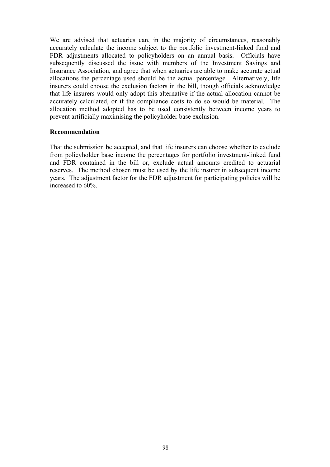We are advised that actuaries can, in the majority of circumstances, reasonably accurately calculate the income subject to the portfolio investment-linked fund and FDR adjustments allocated to policyholders on an annual basis. Officials have subsequently discussed the issue with members of the Investment Savings and Insurance Association, and agree that when actuaries are able to make accurate actual allocations the percentage used should be the actual percentage. Alternatively, life insurers could choose the exclusion factors in the bill, though officials acknowledge that life insurers would only adopt this alternative if the actual allocation cannot be accurately calculated, or if the compliance costs to do so would be material. The allocation method adopted has to be used consistently between income years to prevent artificially maximising the policyholder base exclusion.

#### **Recommendation**

That the submission be accepted, and that life insurers can choose whether to exclude from policyholder base income the percentages for portfolio investment-linked fund and FDR contained in the bill or, exclude actual amounts credited to actuarial reserves. The method chosen must be used by the life insurer in subsequent income years. The adjustment factor for the FDR adjustment for participating policies will be increased to 60%.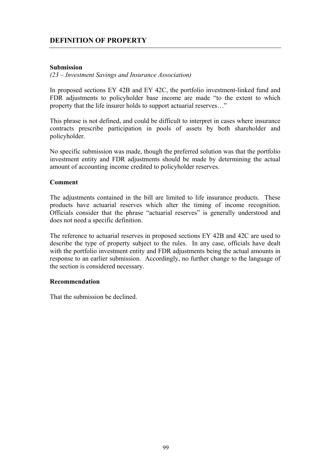# **DEFINITION OF PROPERTY**

# **Submission**

*(23 – Investment Savings and Insurance Association)* 

In proposed sections EY 42B and EY 42C, the portfolio investment-linked fund and FDR adjustments to policyholder base income are made "to the extent to which property that the life insurer holds to support actuarial reserves…"

This phrase is not defined, and could be difficult to interpret in cases where insurance contracts prescribe participation in pools of assets by both shareholder and policyholder.

No specific submission was made, though the preferred solution was that the portfolio investment entity and FDR adjustments should be made by determining the actual amount of accounting income credited to policyholder reserves.

# **Comment**

The adjustments contained in the bill are limited to life insurance products. These products have actuarial reserves which alter the timing of income recognition. Officials consider that the phrase "actuarial reserves" is generally understood and does not need a specific definition.

The reference to actuarial reserves in proposed sections EY 42B and 42C are used to describe the type of property subject to the rules. In any case, officials have dealt with the portfolio investment entity and FDR adjustments being the actual amounts in response to an earlier submission. Accordingly, no further change to the language of the section is considered necessary.

# **Recommendation**

That the submission be declined.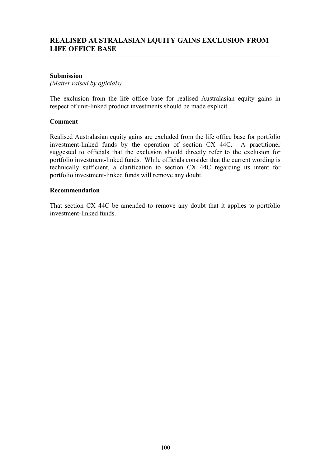# **REALISED AUSTRALASIAN EQUITY GAINS EXCLUSION FROM LIFE OFFICE BASE**

# **Submission**

*(Matter raised by officials)* 

The exclusion from the life office base for realised Australasian equity gains in respect of unit-linked product investments should be made explicit.

# **Comment**

Realised Australasian equity gains are excluded from the life office base for portfolio investment-linked funds by the operation of section CX 44C. A practitioner suggested to officials that the exclusion should directly refer to the exclusion for portfolio investment-linked funds. While officials consider that the current wording is technically sufficient, a clarification to section CX 44C regarding its intent for portfolio investment-linked funds will remove any doubt.

# **Recommendation**

That section CX 44C be amended to remove any doubt that it applies to portfolio investment-linked funds.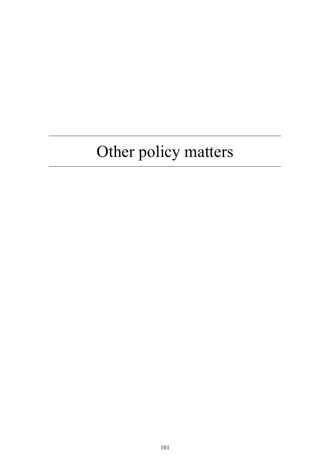# Other policy matters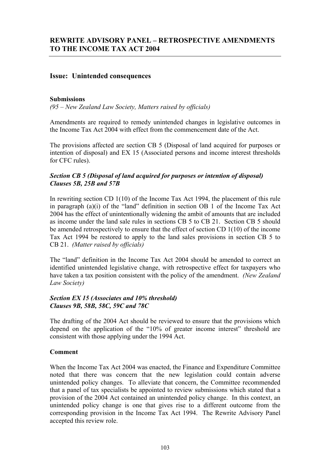# **Issue: Unintended consequences**

#### **Submissions**

*(95 – New Zealand Law Society, Matters raised by officials)* 

Amendments are required to remedy unintended changes in legislative outcomes in the Income Tax Act 2004 with effect from the commencement date of the Act.

The provisions affected are section CB 5 (Disposal of land acquired for purposes or intention of disposal) and EX 15 (Associated persons and income interest thresholds for CFC rules).

## *Section CB 5 (Disposal of land acquired for purposes or intention of disposal) Clauses 5B, 25B and 57B*

In rewriting section CD 1(10) of the Income Tax Act 1994, the placement of this rule in paragraph (a)(i) of the "land" definition in section OB 1 of the Income Tax Act 2004 has the effect of unintentionally widening the ambit of amounts that are included as income under the land sale rules in sections CB 5 to CB 21. Section CB 5 should be amended retrospectively to ensure that the effect of section CD 1(10) of the income Tax Act 1994 be restored to apply to the land sales provisions in section CB 5 to CB 21. *(Matter raised by officials)*

The "land" definition in the Income Tax Act 2004 should be amended to correct an identified unintended legislative change, with retrospective effect for taxpayers who have taken a tax position consistent with the policy of the amendment. *(New Zealand Law Society)*

## *Section EX 15 (Associates and 10% threshold) Clauses 9B, 58B, 58C, 59C and 78C*

The drafting of the 2004 Act should be reviewed to ensure that the provisions which depend on the application of the "10% of greater income interest" threshold are consistent with those applying under the 1994 Act.

#### **Comment**

When the Income Tax Act 2004 was enacted, the Finance and Expenditure Committee noted that there was concern that the new legislation could contain adverse unintended policy changes. To alleviate that concern, the Committee recommended that a panel of tax specialists be appointed to review submissions which stated that a provision of the 2004 Act contained an unintended policy change. In this context, an unintended policy change is one that gives rise to a different outcome from the corresponding provision in the Income Tax Act 1994. The Rewrite Advisory Panel accepted this review role.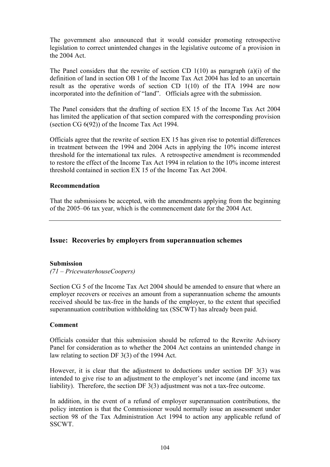The government also announced that it would consider promoting retrospective legislation to correct unintended changes in the legislative outcome of a provision in the 2004 Act.

The Panel considers that the rewrite of section CD 1(10) as paragraph (a)(i) of the definition of land in section OB 1 of the Income Tax Act 2004 has led to an uncertain result as the operative words of section CD 1(10) of the ITA 1994 are now incorporated into the definition of "land". Officials agree with the submission.

The Panel considers that the drafting of section EX 15 of the Income Tax Act 2004 has limited the application of that section compared with the corresponding provision (section CG 6(92)) of the Income Tax Act 1994.

Officials agree that the rewrite of section EX 15 has given rise to potential differences in treatment between the 1994 and 2004 Acts in applying the 10% income interest threshold for the international tax rules. A retrospective amendment is recommended to restore the effect of the Income Tax Act 1994 in relation to the 10% income interest threshold contained in section EX 15 of the Income Tax Act 2004.

## **Recommendation**

That the submissions be accepted, with the amendments applying from the beginning of the 2005–06 tax year, which is the commencement date for the 2004 Act.

## **Issue: Recoveries by employers from superannuation schemes**

#### **Submission**

*(71 – PricewaterhouseCoopers)* 

Section CG 5 of the Income Tax Act 2004 should be amended to ensure that where an employer recovers or receives an amount from a superannuation scheme the amounts received should be tax-free in the hands of the employer, to the extent that specified superannuation contribution withholding tax (SSCWT) has already been paid.

#### **Comment**

Officials consider that this submission should be referred to the Rewrite Advisory Panel for consideration as to whether the 2004 Act contains an unintended change in law relating to section DF 3(3) of the 1994 Act.

However, it is clear that the adjustment to deductions under section DF 3(3) was intended to give rise to an adjustment to the employer's net income (and income tax liability). Therefore, the section DF 3(3) adjustment was not a tax-free outcome.

In addition, in the event of a refund of employer superannuation contributions, the policy intention is that the Commissioner would normally issue an assessment under section 98 of the Tax Administration Act 1994 to action any applicable refund of **SSCWT**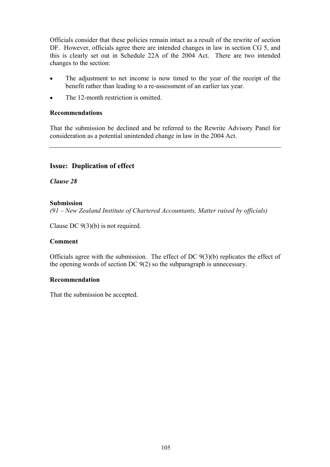Officials consider that these policies remain intact as a result of the rewrite of section DF. However, officials agree there are intended changes in law in section CG 5, and this is clearly set out in Schedule 22A of the 2004 Act. There are two intended changes to the section:

- The adjustment to net income is now timed to the year of the receipt of the benefit rather than leading to a re-assessment of an earlier tax year.
- The 12-month restriction is omitted.

#### **Recommendations**

That the submission be declined and be referred to the Rewrite Advisory Panel for consideration as a potential unintended change in law in the 2004 Act.

## **Issue: Duplication of effect**

## *Clause 28*

#### **Submission**

*(91 – New Zealand Institute of Chartered Accountants, Matter raised by officials)* 

Clause DC 9(3)(b) is not required.

#### **Comment**

Officials agree with the submission. The effect of DC 9(3)(b) replicates the effect of the opening words of section DC 9(2) so the subparagraph is unnecessary.

#### **Recommendation**

That the submission be accepted.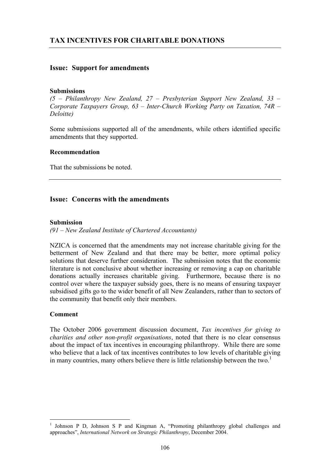# **Issue: Support for amendments**

#### **Submissions**

*(5 – Philanthropy New Zealand, 27 – Presbyterian Support New Zealand, 33 – Corporate Taxpayers Group, 63 – Inter-Church Working Party on Taxation, 74R – Deloitte)* 

Some submissions supported all of the amendments, while others identified specific amendments that they supported.

#### **Recommendation**

That the submissions be noted.

## **Issue: Concerns with the amendments**

#### **Submission**

*(91 – New Zealand Institute of Chartered Accountants)* 

NZICA is concerned that the amendments may not increase charitable giving for the betterment of New Zealand and that there may be better, more optimal policy solutions that deserve further consideration. The submission notes that the economic literature is not conclusive about whether increasing or removing a cap on charitable donations actually increases charitable giving. Furthermore, because there is no control over where the taxpayer subsidy goes, there is no means of ensuring taxpayer subsidised gifts go to the wider benefit of all New Zealanders, rather than to sectors of the community that benefit only their members.

#### **Comment**

 $\overline{a}$ 

The October 2006 government discussion document, *Tax incentives for giving to charities and other non-profit organisations*, noted that there is no clear consensus about the impact of tax incentives in encouraging philanthropy. While there are some who believe that a lack of tax incentives contributes to low levels of charitable giving in many countries, many others believe there is little relationship between the two.<sup>1</sup>

<sup>&</sup>lt;sup>1</sup> Johnson P D, Johnson S P and Kingman A, "Promoting philanthropy global challenges and approaches", *International Network on Strategic Philanthropy*, December 2004.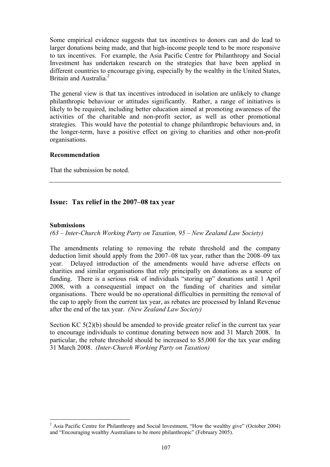Some empirical evidence suggests that tax incentives to donors can and do lead to larger donations being made, and that high-income people tend to be more responsive to tax incentives. For example, the Asia Pacific Centre for Philanthropy and Social Investment has undertaken research on the strategies that have been applied in different countries to encourage giving, especially by the wealthy in the United States, Britain and Australia.<sup>2</sup>

The general view is that tax incentives introduced in isolation are unlikely to change philanthropic behaviour or attitudes significantly. Rather, a range of initiatives is likely to be required, including better education aimed at promoting awareness of the activities of the charitable and non-profit sector, as well as other promotional strategies. This would have the potential to change philanthropic behaviours and, in the longer-term, have a positive effect on giving to charities and other non-profit organisations.

#### **Recommendation**

That the submission be noted.

# **Issue: Tax relief in the 2007–08 tax year**

#### **Submissions**

 $\overline{a}$ 

*(63 – Inter-Church Working Party on Taxation, 95 – New Zealand Law Society)* 

The amendments relating to removing the rebate threshold and the company deduction limit should apply from the 2007–08 tax year, rather than the 2008–09 tax year. Delayed introduction of the amendments would have adverse effects on charities and similar organisations that rely principally on donations as a source of funding. There is a serious risk of individuals "storing up" donations until 1 April 2008, with a consequential impact on the funding of charities and similar organisations. There would be no operational difficulties in permitting the removal of the cap to apply from the current tax year, as rebates are processed by Inland Revenue after the end of the tax year. *(New Zealand Law Society)*

Section KC 5(2)(b) should be amended to provide greater relief in the current tax year to encourage individuals to continue donating between now and 31 March 2008. In particular, the rebate threshold should be increased to \$5,000 for the tax year ending 31 March 2008. *(Inter-Church Working Party on Taxation)*

<sup>&</sup>lt;sup>2</sup> Asia Pacific Centre for Philanthropy and Social Investment, "How the wealthy give" (October 2004) and "Encouraging wealthy Australians to be more philanthropic" (February 2005).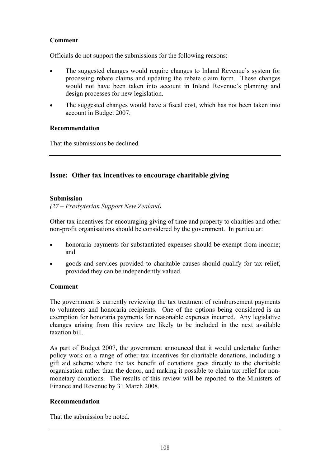# **Comment**

Officials do not support the submissions for the following reasons:

- The suggested changes would require changes to Inland Revenue's system for processing rebate claims and updating the rebate claim form. These changes would not have been taken into account in Inland Revenue's planning and design processes for new legislation.
- The suggested changes would have a fiscal cost, which has not been taken into account in Budget 2007.

## **Recommendation**

That the submissions be declined.

# **Issue: Other tax incentives to encourage charitable giving**

## **Submission**

*(27 – Presbyterian Support New Zealand)* 

Other tax incentives for encouraging giving of time and property to charities and other non-profit organisations should be considered by the government. In particular:

- honoraria payments for substantiated expenses should be exempt from income; and
- goods and services provided to charitable causes should qualify for tax relief, provided they can be independently valued.

## **Comment**

The government is currently reviewing the tax treatment of reimbursement payments to volunteers and honoraria recipients. One of the options being considered is an exemption for honoraria payments for reasonable expenses incurred. Any legislative changes arising from this review are likely to be included in the next available taxation bill.

As part of Budget 2007, the government announced that it would undertake further policy work on a range of other tax incentives for charitable donations, including a gift aid scheme where the tax benefit of donations goes directly to the charitable organisation rather than the donor, and making it possible to claim tax relief for nonmonetary donations. The results of this review will be reported to the Ministers of Finance and Revenue by 31 March 2008.

#### **Recommendation**

That the submission be noted.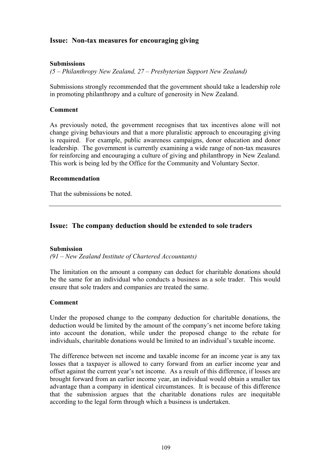# **Issue: Non-tax measures for encouraging giving**

## **Submissions**

*(5 – Philanthropy New Zealand, 27 – Presbyterian Support New Zealand)* 

Submissions strongly recommended that the government should take a leadership role in promoting philanthropy and a culture of generosity in New Zealand.

#### **Comment**

As previously noted, the government recognises that tax incentives alone will not change giving behaviours and that a more pluralistic approach to encouraging giving is required. For example, public awareness campaigns, donor education and donor leadership. The government is currently examining a wide range of non-tax measures for reinforcing and encouraging a culture of giving and philanthropy in New Zealand. This work is being led by the Office for the Community and Voluntary Sector.

#### **Recommendation**

That the submissions be noted.

# **Issue: The company deduction should be extended to sole traders**

#### **Submission**

*(91 – New Zealand Institute of Chartered Accountants)* 

The limitation on the amount a company can deduct for charitable donations should be the same for an individual who conducts a business as a sole trader. This would ensure that sole traders and companies are treated the same.

#### **Comment**

Under the proposed change to the company deduction for charitable donations, the deduction would be limited by the amount of the company's net income before taking into account the donation, while under the proposed change to the rebate for individuals, charitable donations would be limited to an individual's taxable income.

The difference between net income and taxable income for an income year is any tax losses that a taxpayer is allowed to carry forward from an earlier income year and offset against the current year's net income. As a result of this difference, if losses are brought forward from an earlier income year, an individual would obtain a smaller tax advantage than a company in identical circumstances. It is because of this difference that the submission argues that the charitable donations rules are inequitable according to the legal form through which a business is undertaken.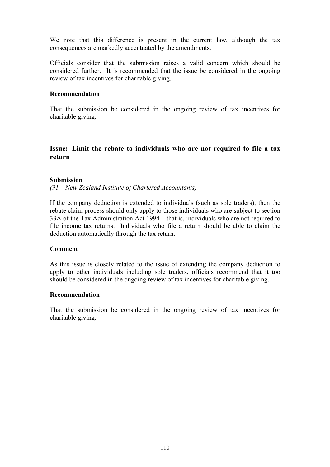We note that this difference is present in the current law, although the tax consequences are markedly accentuated by the amendments.

Officials consider that the submission raises a valid concern which should be considered further. It is recommended that the issue be considered in the ongoing review of tax incentives for charitable giving.

#### **Recommendation**

That the submission be considered in the ongoing review of tax incentives for charitable giving.

## **Issue: Limit the rebate to individuals who are not required to file a tax return**

#### **Submission**

*(91 – New Zealand Institute of Chartered Accountants)* 

If the company deduction is extended to individuals (such as sole traders), then the rebate claim process should only apply to those individuals who are subject to section 33A of the Tax Administration Act 1994 – that is, individuals who are not required to file income tax returns. Individuals who file a return should be able to claim the deduction automatically through the tax return.

#### **Comment**

As this issue is closely related to the issue of extending the company deduction to apply to other individuals including sole traders, officials recommend that it too should be considered in the ongoing review of tax incentives for charitable giving.

#### **Recommendation**

That the submission be considered in the ongoing review of tax incentives for charitable giving.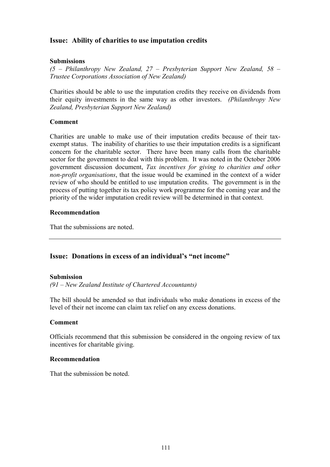# **Issue: Ability of charities to use imputation credits**

#### **Submissions**

*(5 – Philanthropy New Zealand, 27 – Presbyterian Support New Zealand, 58 – Trustee Corporations Association of New Zealand)* 

Charities should be able to use the imputation credits they receive on dividends from their equity investments in the same way as other investors. *(Philanthropy New Zealand, Presbyterian Support New Zealand)* 

#### **Comment**

Charities are unable to make use of their imputation credits because of their taxexempt status. The inability of charities to use their imputation credits is a significant concern for the charitable sector. There have been many calls from the charitable sector for the government to deal with this problem. It was noted in the October 2006 government discussion document, *Tax incentives for giving to charities and other non-profit organisations*, that the issue would be examined in the context of a wider review of who should be entitled to use imputation credits. The government is in the process of putting together its tax policy work programme for the coming year and the priority of the wider imputation credit review will be determined in that context.

## **Recommendation**

That the submissions are noted.

## **Issue: Donations in excess of an individual's "net income"**

#### **Submission**

*(91 – New Zealand Institute of Chartered Accountants)* 

The bill should be amended so that individuals who make donations in excess of the level of their net income can claim tax relief on any excess donations.

#### **Comment**

Officials recommend that this submission be considered in the ongoing review of tax incentives for charitable giving.

#### **Recommendation**

That the submission be noted.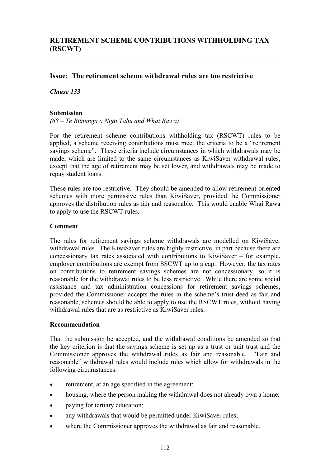# **Issue: The retirement scheme withdrawal rules are too restrictive**

*Clause 133* 

## **Submission**

*(68 – Te Rūnunga o Ngāi Tahu and Whai Rawa)* 

For the retirement scheme contributions withholding tax (RSCWT) rules to be applied, a scheme receiving contributions must meet the criteria to be a "retirement savings scheme". These criteria include circumstances in which withdrawals may be made, which are limited to the same circumstances as KiwiSaver withdrawal rules, except that the age of retirement may be set lower, and withdrawals may be made to repay student loans.

These rules are too restrictive. They should be amended to allow retirement-oriented schemes with more permissive rules than KiwiSaver, provided the Commissioner approves the distribution rules as fair and reasonable. This would enable Whai Rawa to apply to use the RSCWT rules.

#### **Comment**

The rules for retirement savings scheme withdrawals are modelled on KiwiSaver withdrawal rules. The KiwiSaver rules are highly restrictive, in part because there are concessionary tax rates associated with contributions to KiwiSaver – for example, employer contributions are exempt from SSCWT up to a cap. However, the tax rates on contributions to retirement savings schemes are not concessionary, so it is reasonable for the withdrawal rules to be less restrictive. While there are some social assistance and tax administration concessions for retirement savings schemes, provided the Commissioner accepts the rules in the scheme's trust deed as fair and reasonable, schemes should be able to apply to use the RSCWT rules, without having withdrawal rules that are as restrictive as KiwiSaver rules.

## **Recommendation**

That the submission be accepted, and the withdrawal conditions be amended so that the key criterion is that the savings scheme is set up as a trust or unit trust and the Commissioner approves the withdrawal rules as fair and reasonable. "Fair and reasonable" withdrawal rules would include rules which allow for withdrawals in the following circumstances:

- retirement, at an age specified in the agreement;
- housing, where the person making the withdrawal does not already own a home;
- paying for tertiary education;
- any withdrawals that would be permitted under KiwiSaver rules;
- where the Commissioner approves the withdrawal as fair and reasonable.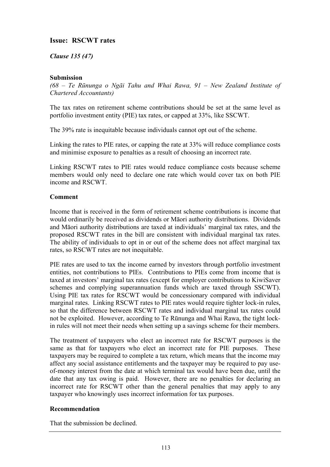# **Issue: RSCWT rates**

# *Clause 135 (47)*

## **Submission**

*(68 – Te Rūnunga o Ngāi Tahu and Whai Rawa, 91 – New Zealand Institute of Chartered Accountants)* 

The tax rates on retirement scheme contributions should be set at the same level as portfolio investment entity (PIE) tax rates, or capped at 33%, like SSCWT.

The 39% rate is inequitable because individuals cannot opt out of the scheme.

Linking the rates to PIE rates, or capping the rate at 33% will reduce compliance costs and minimise exposure to penalties as a result of choosing an incorrect rate.

Linking RSCWT rates to PIE rates would reduce compliance costs because scheme members would only need to declare one rate which would cover tax on both PIE income and RSCWT.

## **Comment**

Income that is received in the form of retirement scheme contributions is income that would ordinarily be received as dividends or Māori authority distributions. Dividends and Māori authority distributions are taxed at individuals' marginal tax rates, and the proposed RSCWT rates in the bill are consistent with individual marginal tax rates. The ability of individuals to opt in or out of the scheme does not affect marginal tax rates, so RSCWT rates are not inequitable.

PIE rates are used to tax the income earned by investors through portfolio investment entities, not contributions to PIEs. Contributions to PIEs come from income that is taxed at investors' marginal tax rates (except for employer contributions to KiwiSaver schemes and complying superannuation funds which are taxed through SSCWT). Using PIE tax rates for RSCWT would be concessionary compared with individual marginal rates. Linking RSCWT rates to PIE rates would require tighter lock-in rules, so that the difference between RSCWT rates and individual marginal tax rates could not be exploited. However, according to Te Rūnunga and Whai Rawa, the tight lockin rules will not meet their needs when setting up a savings scheme for their members.

The treatment of taxpayers who elect an incorrect rate for RSCWT purposes is the same as that for taxpayers who elect an incorrect rate for PIE purposes. These taxpayers may be required to complete a tax return, which means that the income may affect any social assistance entitlements and the taxpayer may be required to pay useof-money interest from the date at which terminal tax would have been due, until the date that any tax owing is paid. However, there are no penalties for declaring an incorrect rate for RSCWT other than the general penalties that may apply to any taxpayer who knowingly uses incorrect information for tax purposes.

## **Recommendation**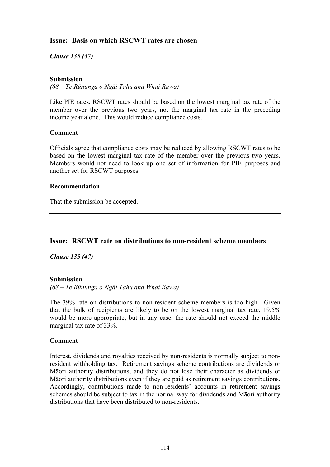# **Issue: Basis on which RSCWT rates are chosen**

# *Clause 135 (47)*

## **Submission**

*(68 – Te Rūnunga o Ngāi Tahu and Whai Rawa)* 

Like PIE rates, RSCWT rates should be based on the lowest marginal tax rate of the member over the previous two years, not the marginal tax rate in the preceding income year alone. This would reduce compliance costs.

#### **Comment**

Officials agree that compliance costs may be reduced by allowing RSCWT rates to be based on the lowest marginal tax rate of the member over the previous two years. Members would not need to look up one set of information for PIE purposes and another set for RSCWT purposes.

#### **Recommendation**

That the submission be accepted.

## **Issue: RSCWT rate on distributions to non-resident scheme members**

*Clause 135 (47)* 

#### **Submission**

*(68 – Te Rūnunga o Ngāi Tahu and Whai Rawa)* 

The 39% rate on distributions to non-resident scheme members is too high. Given that the bulk of recipients are likely to be on the lowest marginal tax rate, 19.5% would be more appropriate, but in any case, the rate should not exceed the middle marginal tax rate of 33%.

#### **Comment**

Interest, dividends and royalties received by non-residents is normally subject to nonresident withholding tax. Retirement savings scheme contributions are dividends or Māori authority distributions, and they do not lose their character as dividends or Māori authority distributions even if they are paid as retirement savings contributions. Accordingly, contributions made to non-residents' accounts in retirement savings schemes should be subject to tax in the normal way for dividends and Māori authority distributions that have been distributed to non-residents.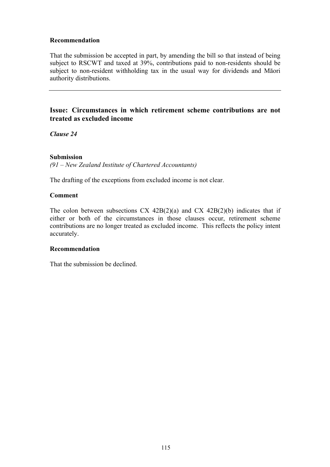## **Recommendation**

That the submission be accepted in part, by amending the bill so that instead of being subject to RSCWT and taxed at 39%, contributions paid to non-residents should be subject to non-resident withholding tax in the usual way for dividends and Māori authority distributions.

# **Issue: Circumstances in which retirement scheme contributions are not treated as excluded income**

*Clause 24* 

#### **Submission**

*(91 – New Zealand Institute of Chartered Accountants)* 

The drafting of the exceptions from excluded income is not clear.

#### **Comment**

The colon between subsections  $CX 42B(2)(a)$  and  $CX 42B(2)(b)$  indicates that if either or both of the circumstances in those clauses occur, retirement scheme contributions are no longer treated as excluded income. This reflects the policy intent accurately.

#### **Recommendation**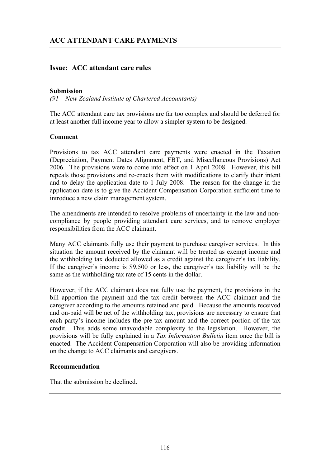# **Issue: ACC attendant care rules**

#### **Submission**

*(91 – New Zealand Institute of Chartered Accountants)* 

The ACC attendant care tax provisions are far too complex and should be deferred for at least another full income year to allow a simpler system to be designed.

#### **Comment**

Provisions to tax ACC attendant care payments were enacted in the Taxation (Depreciation, Payment Dates Alignment, FBT, and Miscellaneous Provisions) Act 2006. The provisions were to come into effect on 1 April 2008. However, this bill repeals those provisions and re-enacts them with modifications to clarify their intent and to delay the application date to 1 July 2008. The reason for the change in the application date is to give the Accident Compensation Corporation sufficient time to introduce a new claim management system.

The amendments are intended to resolve problems of uncertainty in the law and noncompliance by people providing attendant care services, and to remove employer responsibilities from the ACC claimant.

Many ACC claimants fully use their payment to purchase caregiver services. In this situation the amount received by the claimant will be treated as exempt income and the withholding tax deducted allowed as a credit against the caregiver's tax liability. If the caregiver's income is \$9,500 or less, the caregiver's tax liability will be the same as the withholding tax rate of 15 cents in the dollar.

However, if the ACC claimant does not fully use the payment, the provisions in the bill apportion the payment and the tax credit between the ACC claimant and the caregiver according to the amounts retained and paid. Because the amounts received and on-paid will be net of the withholding tax, provisions are necessary to ensure that each party's income includes the pre-tax amount and the correct portion of the tax credit. This adds some unavoidable complexity to the legislation. However, the provisions will be fully explained in a *Tax Information Bulletin* item once the bill is enacted. The Accident Compensation Corporation will also be providing information on the change to ACC claimants and caregivers.

#### **Recommendation**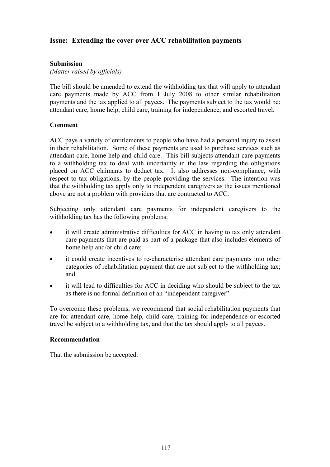# **Issue: Extending the cover over ACC rehabilitation payments**

## **Submission**

*(Matter raised by officials)* 

The bill should be amended to extend the withholding tax that will apply to attendant care payments made by ACC from 1 July 2008 to other similar rehabilitation payments and the tax applied to all payees. The payments subject to the tax would be: attendant care, home help, child care, training for independence, and escorted travel.

## **Comment**

ACC pays a variety of entitlements to people who have had a personal injury to assist in their rehabilitation. Some of these payments are used to purchase services such as attendant care, home help and child care. This bill subjects attendant care payments to a withholding tax to deal with uncertainty in the law regarding the obligations placed on ACC claimants to deduct tax. It also addresses non-compliance, with respect to tax obligations, by the people providing the services. The intention was that the withholding tax apply only to independent caregivers as the issues mentioned above are not a problem with providers that are contracted to ACC.

Subjecting only attendant care payments for independent caregivers to the withholding tax has the following problems:

- it will create administrative difficulties for ACC in having to tax only attendant care payments that are paid as part of a package that also includes elements of home help and/or child care;
- it could create incentives to re-characterise attendant care payments into other categories of rehabilitation payment that are not subject to the withholding tax; and
- it will lead to difficulties for ACC in deciding who should be subject to the tax as there is no formal definition of an "independent caregiver".

To overcome these problems, we recommend that social rehabilitation payments that are for attendant care, home help, child care, training for independence or escorted travel be subject to a withholding tax, and that the tax should apply to all payees.

#### **Recommendation**

That the submission be accepted.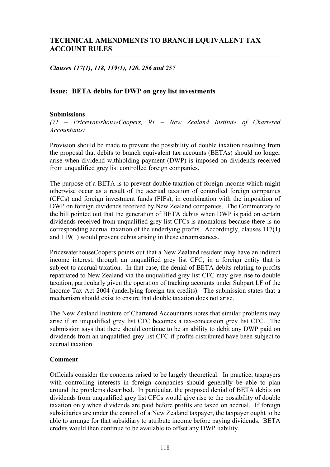# **TECHNICAL AMENDMENTS TO BRANCH EQUIVALENT TAX ACCOUNT RULES**

## *Clauses 117(1), 118, 119(1), 120, 256 and 257*

## **Issue: BETA debits for DWP on grey list investments**

#### **Submissions**

*(71 – PricewaterhouseCoopers, 91 – New Zealand Institute of Chartered Accountants)* 

Provision should be made to prevent the possibility of double taxation resulting from the proposal that debits to branch equivalent tax accounts (BETAs) should no longer arise when dividend withholding payment (DWP) is imposed on dividends received from unqualified grey list controlled foreign companies.

The purpose of a BETA is to prevent double taxation of foreign income which might otherwise occur as a result of the accrual taxation of controlled foreign companies (CFCs) and foreign investment funds (FIFs), in combination with the imposition of DWP on foreign dividends received by New Zealand companies. The Commentary to the bill pointed out that the generation of BETA debits when DWP is paid on certain dividends received from unqualified grey list CFCs is anomalous because there is no corresponding accrual taxation of the underlying profits. Accordingly, clauses 117(1) and 119(1) would prevent debits arising in these circumstances.

PricewaterhouseCoopers points out that a New Zealand resident may have an indirect income interest, through an unqualified grey list CFC, in a foreign entity that is subject to accrual taxation. In that case, the denial of BETA debits relating to profits repatriated to New Zealand via the unqualified grey list CFC may give rise to double taxation, particularly given the operation of tracking accounts under Subpart LF of the Income Tax Act 2004 (underlying foreign tax credits). The submission states that a mechanism should exist to ensure that double taxation does not arise.

The New Zealand Institute of Chartered Accountants notes that similar problems may arise if an unqualified grey list CFC becomes a tax-concession grey list CFC. The submission says that there should continue to be an ability to debit any DWP paid on dividends from an unqualified grey list CFC if profits distributed have been subject to accrual taxation.

#### **Comment**

Officials consider the concerns raised to be largely theoretical. In practice, taxpayers with controlling interests in foreign companies should generally be able to plan around the problems described. In particular, the proposed denial of BETA debits on dividends from unqualified grey list CFCs would give rise to the possibility of double taxation only when dividends are paid before profits are taxed on accrual. If foreign subsidiaries are under the control of a New Zealand taxpayer, the taxpayer ought to be able to arrange for that subsidiary to attribute income before paying dividends. BETA credits would then continue to be available to offset any DWP liability.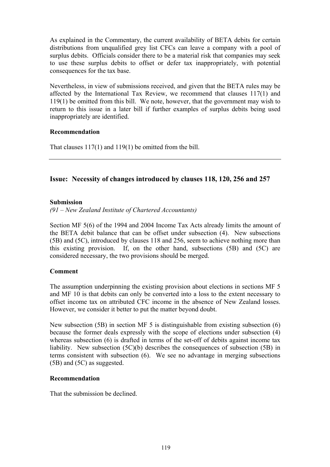As explained in the Commentary, the current availability of BETA debits for certain distributions from unqualified grey list CFCs can leave a company with a pool of surplus debits. Officials consider there to be a material risk that companies may seek to use these surplus debits to offset or defer tax inappropriately, with potential consequences for the tax base.

Nevertheless, in view of submissions received, and given that the BETA rules may be affected by the International Tax Review, we recommend that clauses 117(1) and 119(1) be omitted from this bill. We note, however, that the government may wish to return to this issue in a later bill if further examples of surplus debits being used inappropriately are identified.

## **Recommendation**

That clauses 117(1) and 119(1) be omitted from the bill.

## **Issue: Necessity of changes introduced by clauses 118, 120, 256 and 257**

## **Submission**

*(91 – New Zealand Institute of Chartered Accountants)* 

Section MF 5(6) of the 1994 and 2004 Income Tax Acts already limits the amount of the BETA debit balance that can be offset under subsection (4). New subsections (5B) and (5C), introduced by clauses 118 and 256, seem to achieve nothing more than this existing provision. If, on the other hand, subsections (5B) and (5C) are considered necessary, the two provisions should be merged.

## **Comment**

The assumption underpinning the existing provision about elections in sections MF 5 and MF 10 is that debits can only be converted into a loss to the extent necessary to offset income tax on attributed CFC income in the absence of New Zealand losses. However, we consider it better to put the matter beyond doubt.

New subsection (5B) in section MF 5 is distinguishable from existing subsection (6) because the former deals expressly with the scope of elections under subsection (4) whereas subsection (6) is drafted in terms of the set-off of debits against income tax liability. New subsection (5C)(b) describes the consequences of subsection (5B) in terms consistent with subsection (6). We see no advantage in merging subsections (5B) and (5C) as suggested.

## **Recommendation**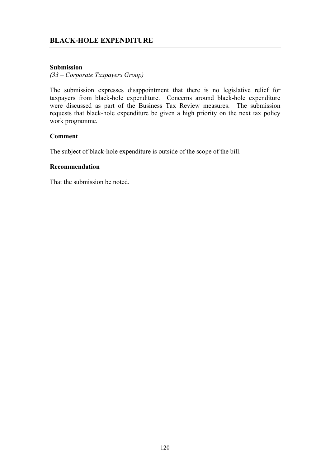# **BLACK-HOLE EXPENDITURE**

## **Submission**

*(33 – Corporate Taxpayers Group)* 

The submission expresses disappointment that there is no legislative relief for taxpayers from black-hole expenditure. Concerns around black-hole expenditure were discussed as part of the Business Tax Review measures. The submission requests that black-hole expenditure be given a high priority on the next tax policy work programme.

#### **Comment**

The subject of black-hole expenditure is outside of the scope of the bill.

#### **Recommendation**

That the submission be noted.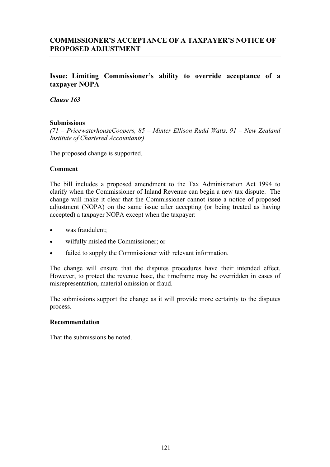# **COMMISSIONER'S ACCEPTANCE OF A TAXPAYER'S NOTICE OF PROPOSED ADJUSTMENT**

# **Issue: Limiting Commissioner's ability to override acceptance of a taxpayer NOPA**

## *Clause 163*

#### **Submissions**

*(71 – PricewaterhouseCoopers, 85 – Minter Ellison Rudd Watts, 91 – New Zealand Institute of Chartered Accountants)* 

The proposed change is supported.

#### **Comment**

The bill includes a proposed amendment to the Tax Administration Act 1994 to clarify when the Commissioner of Inland Revenue can begin a new tax dispute. The change will make it clear that the Commissioner cannot issue a notice of proposed adjustment (NOPA) on the same issue after accepting (or being treated as having accepted) a taxpayer NOPA except when the taxpayer:

- was fraudulent;
- wilfully misled the Commissioner; or
- failed to supply the Commissioner with relevant information.

The change will ensure that the disputes procedures have their intended effect. However, to protect the revenue base, the timeframe may be overridden in cases of misrepresentation, material omission or fraud.

The submissions support the change as it will provide more certainty to the disputes process.

#### **Recommendation**

That the submissions be noted.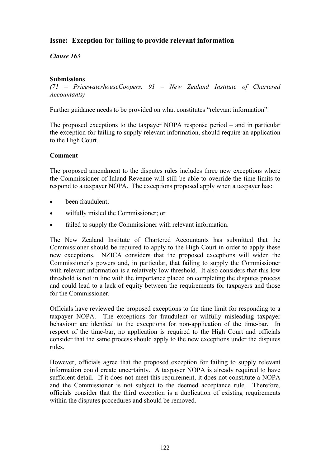# **Issue: Exception for failing to provide relevant information**

# *Clause 163*

## **Submissions**

*(71 – PricewaterhouseCoopers, 91 – New Zealand Institute of Chartered Accountants)* 

Further guidance needs to be provided on what constitutes "relevant information".

The proposed exceptions to the taxpayer NOPA response period – and in particular the exception for failing to supply relevant information, should require an application to the High Court.

#### **Comment**

The proposed amendment to the disputes rules includes three new exceptions where the Commissioner of Inland Revenue will still be able to override the time limits to respond to a taxpayer NOPA. The exceptions proposed apply when a taxpayer has:

- been fraudulent;
- wilfully misled the Commissioner; or
- failed to supply the Commissioner with relevant information.

The New Zealand Institute of Chartered Accountants has submitted that the Commissioner should be required to apply to the High Court in order to apply these new exceptions. NZICA considers that the proposed exceptions will widen the Commissioner's powers and, in particular, that failing to supply the Commissioner with relevant information is a relatively low threshold. It also considers that this low threshold is not in line with the importance placed on completing the disputes process and could lead to a lack of equity between the requirements for taxpayers and those for the Commissioner.

Officials have reviewed the proposed exceptions to the time limit for responding to a taxpayer NOPA. The exceptions for fraudulent or wilfully misleading taxpayer behaviour are identical to the exceptions for non-application of the time-bar. In respect of the time-bar, no application is required to the High Court and officials consider that the same process should apply to the new exceptions under the disputes rules.

However, officials agree that the proposed exception for failing to supply relevant information could create uncertainty. A taxpayer NOPA is already required to have sufficient detail. If it does not meet this requirement, it does not constitute a NOPA and the Commissioner is not subject to the deemed acceptance rule. Therefore, officials consider that the third exception is a duplication of existing requirements within the disputes procedures and should be removed.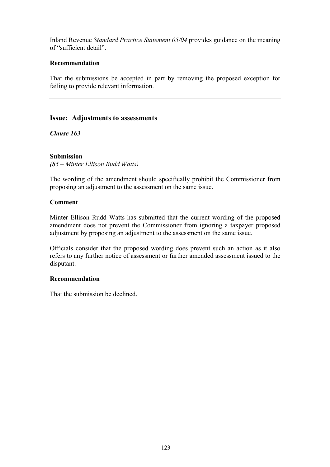Inland Revenue *Standard Practice Statement 05/04* provides guidance on the meaning of "sufficient detail".

## **Recommendation**

That the submissions be accepted in part by removing the proposed exception for failing to provide relevant information.

## **Issue: Adjustments to assessments**

*Clause 163* 

## **Submission**

*(85 – Minter Ellison Rudd Watts)* 

The wording of the amendment should specifically prohibit the Commissioner from proposing an adjustment to the assessment on the same issue.

## **Comment**

Minter Ellison Rudd Watts has submitted that the current wording of the proposed amendment does not prevent the Commissioner from ignoring a taxpayer proposed adjustment by proposing an adjustment to the assessment on the same issue.

Officials consider that the proposed wording does prevent such an action as it also refers to any further notice of assessment or further amended assessment issued to the disputant.

#### **Recommendation**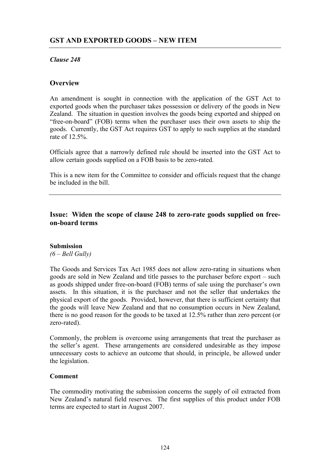# **GST AND EXPORTED GOODS – NEW ITEM**

## *Clause 248*

# **Overview**

An amendment is sought in connection with the application of the GST Act to exported goods when the purchaser takes possession or delivery of the goods in New Zealand. The situation in question involves the goods being exported and shipped on "free-on-board" (FOB) terms when the purchaser uses their own assets to ship the goods. Currently, the GST Act requires GST to apply to such supplies at the standard rate of 12.5%.

Officials agree that a narrowly defined rule should be inserted into the GST Act to allow certain goods supplied on a FOB basis to be zero-rated.

This is a new item for the Committee to consider and officials request that the change be included in the bill.

# **Issue: Widen the scope of clause 248 to zero-rate goods supplied on freeon-board terms**

#### **Submission**

*(6 – Bell Gully)* 

The Goods and Services Tax Act 1985 does not allow zero-rating in situations when goods are sold in New Zealand and title passes to the purchaser before export – such as goods shipped under free-on-board (FOB) terms of sale using the purchaser's own assets. In this situation, it is the purchaser and not the seller that undertakes the physical export of the goods. Provided, however, that there is sufficient certainty that the goods will leave New Zealand and that no consumption occurs in New Zealand, there is no good reason for the goods to be taxed at 12.5% rather than zero percent (or zero-rated).

Commonly, the problem is overcome using arrangements that treat the purchaser as the seller's agent. These arrangements are considered undesirable as they impose unnecessary costs to achieve an outcome that should, in principle, be allowed under the legislation.

## **Comment**

The commodity motivating the submission concerns the supply of oil extracted from New Zealand's natural field reserves. The first supplies of this product under FOB terms are expected to start in August 2007.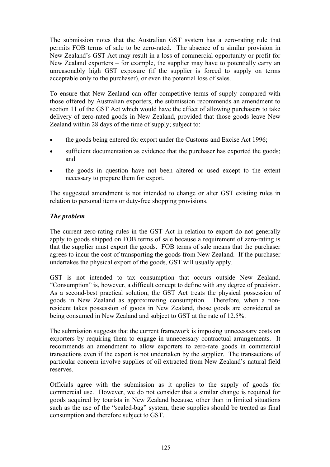The submission notes that the Australian GST system has a zero-rating rule that permits FOB terms of sale to be zero-rated. The absence of a similar provision in New Zealand's GST Act may result in a loss of commercial opportunity or profit for New Zealand exporters – for example, the supplier may have to potentially carry an unreasonably high GST exposure (if the supplier is forced to supply on terms acceptable only to the purchaser), or even the potential loss of sales.

To ensure that New Zealand can offer competitive terms of supply compared with those offered by Australian exporters, the submission recommends an amendment to section 11 of the GST Act which would have the effect of allowing purchasers to take delivery of zero-rated goods in New Zealand, provided that those goods leave New Zealand within 28 days of the time of supply; subject to:

- the goods being entered for export under the Customs and Excise Act 1996;
- sufficient documentation as evidence that the purchaser has exported the goods; and
- the goods in question have not been altered or used except to the extent necessary to prepare them for export.

The suggested amendment is not intended to change or alter GST existing rules in relation to personal items or duty-free shopping provisions.

## *The problem*

The current zero-rating rules in the GST Act in relation to export do not generally apply to goods shipped on FOB terms of sale because a requirement of zero-rating is that the supplier must export the goods. FOB terms of sale means that the purchaser agrees to incur the cost of transporting the goods from New Zealand. If the purchaser undertakes the physical export of the goods, GST will usually apply.

GST is not intended to tax consumption that occurs outside New Zealand. "Consumption" is, however, a difficult concept to define with any degree of precision. As a second-best practical solution, the GST Act treats the physical possession of goods in New Zealand as approximating consumption. Therefore, when a nonresident takes possession of goods in New Zealand, those goods are considered as being consumed in New Zealand and subject to GST at the rate of 12.5%.

The submission suggests that the current framework is imposing unnecessary costs on exporters by requiring them to engage in unnecessary contractual arrangements. It recommends an amendment to allow exporters to zero-rate goods in commercial transactions even if the export is not undertaken by the supplier. The transactions of particular concern involve supplies of oil extracted from New Zealand's natural field reserves.

Officials agree with the submission as it applies to the supply of goods for commercial use. However, we do not consider that a similar change is required for goods acquired by tourists in New Zealand because, other than in limited situations such as the use of the "sealed-bag" system, these supplies should be treated as final consumption and therefore subject to GST.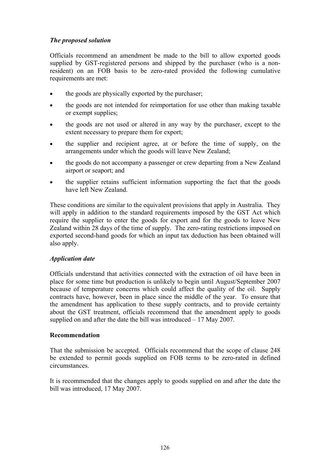# *The proposed solution*

Officials recommend an amendment be made to the bill to allow exported goods supplied by GST-registered persons and shipped by the purchaser (who is a nonresident) on an FOB basis to be zero-rated provided the following cumulative requirements are met:

- the goods are physically exported by the purchaser;
- the goods are not intended for reimportation for use other than making taxable or exempt supplies;
- the goods are not used or altered in any way by the purchaser, except to the extent necessary to prepare them for export;
- the supplier and recipient agree, at or before the time of supply, on the arrangements under which the goods will leave New Zealand;
- the goods do not accompany a passenger or crew departing from a New Zealand airport or seaport; and
- the supplier retains sufficient information supporting the fact that the goods have left New Zealand.

These conditions are similar to the equivalent provisions that apply in Australia. They will apply in addition to the standard requirements imposed by the GST Act which require the supplier to enter the goods for export and for the goods to leave New Zealand within 28 days of the time of supply. The zero-rating restrictions imposed on exported second-hand goods for which an input tax deduction has been obtained will also apply.

## *Application date*

Officials understand that activities connected with the extraction of oil have been in place for some time but production is unlikely to begin until August/September 2007 because of temperature concerns which could affect the quality of the oil. Supply contracts have, however, been in place since the middle of the year. To ensure that the amendment has application to these supply contracts, and to provide certainty about the GST treatment, officials recommend that the amendment apply to goods supplied on and after the date the bill was introduced – 17 May 2007.

#### **Recommendation**

That the submission be accepted. Officials recommend that the scope of clause 248 be extended to permit goods supplied on FOB terms to be zero-rated in defined circumstances.

It is recommended that the changes apply to goods supplied on and after the date the bill was introduced, 17 May 2007.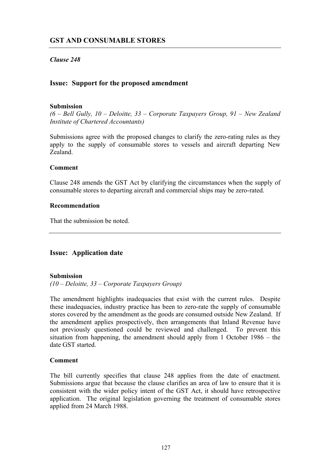# *Clause 248*

# **Issue: Support for the proposed amendment**

#### **Submission**

*(6 – Bell Gully, 10 – Deloitte, 33 – Corporate Taxpayers Group, 91 – New Zealand Institute of Chartered Accountants)* 

Submissions agree with the proposed changes to clarify the zero-rating rules as they apply to the supply of consumable stores to vessels and aircraft departing New Zealand.

#### **Comment**

Clause 248 amends the GST Act by clarifying the circumstances when the supply of consumable stores to departing aircraft and commercial ships may be zero-rated.

#### **Recommendation**

That the submission be noted.

## **Issue: Application date**

#### **Submission**

*(10 – Deloitte, 33 – Corporate Taxpayers Group)* 

The amendment highlights inadequacies that exist with the current rules. Despite these inadequacies, industry practice has been to zero-rate the supply of consumable stores covered by the amendment as the goods are consumed outside New Zealand. If the amendment applies prospectively, then arrangements that Inland Revenue have not previously questioned could be reviewed and challenged. To prevent this situation from happening, the amendment should apply from 1 October 1986 – the date GST started.

#### **Comment**

The bill currently specifies that clause 248 applies from the date of enactment. Submissions argue that because the clause clarifies an area of law to ensure that it is consistent with the wider policy intent of the GST Act, it should have retrospective application. The original legislation governing the treatment of consumable stores applied from 24 March 1988.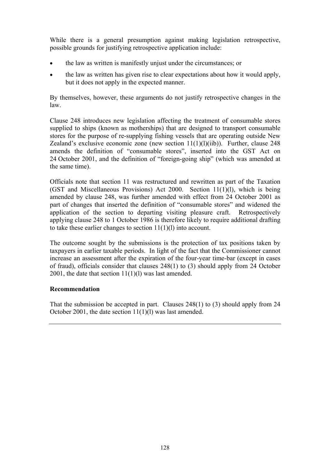While there is a general presumption against making legislation retrospective, possible grounds for justifying retrospective application include:

- the law as written is manifestly unjust under the circumstances; or
- the law as written has given rise to clear expectations about how it would apply, but it does not apply in the expected manner.

By themselves, however, these arguments do not justify retrospective changes in the law.

Clause 248 introduces new legislation affecting the treatment of consumable stores supplied to ships (known as motherships) that are designed to transport consumable stores for the purpose of re-supplying fishing vessels that are operating outside New Zealand's exclusive economic zone (new section 11(1)(1)(iib)). Further, clause 248 amends the definition of "consumable stores", inserted into the GST Act on 24 October 2001, and the definition of "foreign-going ship" (which was amended at the same time).

Officials note that section 11 was restructured and rewritten as part of the Taxation (GST and Miscellaneous Provisions) Act 2000. Section 11(1)(l), which is being amended by clause 248, was further amended with effect from 24 October 2001 as part of changes that inserted the definition of "consumable stores" and widened the application of the section to departing visiting pleasure craft. Retrospectively applying clause 248 to 1 October 1986 is therefore likely to require additional drafting to take these earlier changes to section 11(1)(l) into account.

The outcome sought by the submissions is the protection of tax positions taken by taxpayers in earlier taxable periods. In light of the fact that the Commissioner cannot increase an assessment after the expiration of the four-year time-bar (except in cases of fraud), officials consider that clauses 248(1) to (3) should apply from 24 October 2001, the date that section 11(1)(l) was last amended.

## **Recommendation**

That the submission be accepted in part. Clauses 248(1) to (3) should apply from 24 October 2001, the date section 11(1)(l) was last amended.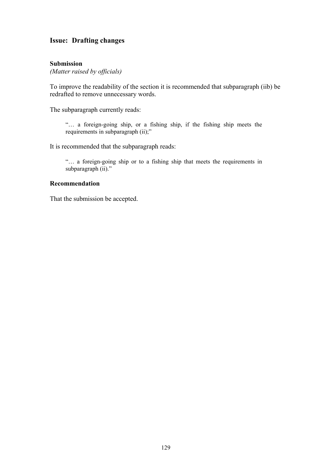# **Issue: Drafting changes**

## **Submission**

*(Matter raised by officials)* 

To improve the readability of the section it is recommended that subparagraph (iib) be redrafted to remove unnecessary words.

The subparagraph currently reads:

"… a foreign-going ship, or a fishing ship, if the fishing ship meets the requirements in subparagraph (ii);"

It is recommended that the subparagraph reads:

"… a foreign-going ship or to a fishing ship that meets the requirements in subparagraph (ii)."

#### **Recommendation**

That the submission be accepted.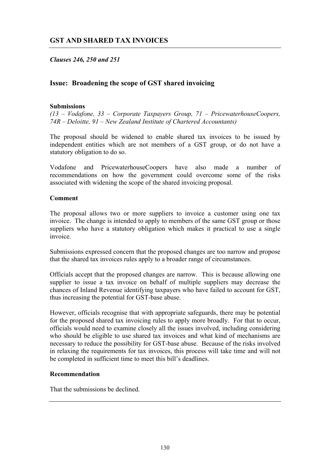# **GST AND SHARED TAX INVOICES**

## *Clauses 246, 250 and 251*

# **Issue: Broadening the scope of GST shared invoicing**

#### **Submissions**

*(13 – Vodafone, 33 – Corporate Taxpayers Group, 71 – PricewaterhouseCoopers, 74R – Deloitte, 91 – New Zealand Institute of Chartered Accountants)* 

The proposal should be widened to enable shared tax invoices to be issued by independent entities which are not members of a GST group, or do not have a statutory obligation to do so.

Vodafone and PricewaterhouseCoopers have also made a number of recommendations on how the government could overcome some of the risks associated with widening the scope of the shared invoicing proposal.

#### **Comment**

The proposal allows two or more suppliers to invoice a customer using one tax invoice. The change is intended to apply to members of the same GST group or those suppliers who have a statutory obligation which makes it practical to use a single invoice.

Submissions expressed concern that the proposed changes are too narrow and propose that the shared tax invoices rules apply to a broader range of circumstances.

Officials accept that the proposed changes are narrow. This is because allowing one supplier to issue a tax invoice on behalf of multiple suppliers may decrease the chances of Inland Revenue identifying taxpayers who have failed to account for GST, thus increasing the potential for GST-base abuse.

However, officials recognise that with appropriate safeguards, there may be potential for the proposed shared tax invoicing rules to apply more broadly. For that to occur, officials would need to examine closely all the issues involved, including considering who should be eligible to use shared tax invoices and what kind of mechanisms are necessary to reduce the possibility for GST-base abuse. Because of the risks involved in relaxing the requirements for tax invoices, this process will take time and will not be completed in sufficient time to meet this bill's deadlines.

#### **Recommendation**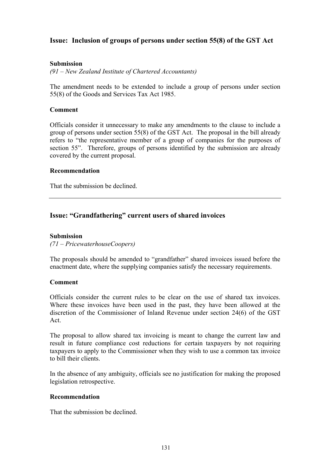# **Issue: Inclusion of groups of persons under section 55(8) of the GST Act**

## **Submission**

*(91 – New Zealand Institute of Chartered Accountants)* 

The amendment needs to be extended to include a group of persons under section 55(8) of the Goods and Services Tax Act 1985.

#### **Comment**

Officials consider it unnecessary to make any amendments to the clause to include a group of persons under section 55(8) of the GST Act. The proposal in the bill already refers to "the representative member of a group of companies for the purposes of section 55". Therefore, groups of persons identified by the submission are already covered by the current proposal.

#### **Recommendation**

That the submission be declined.

## **Issue: "Grandfathering" current users of shared invoices**

#### **Submission**

*(71 – PricewaterhouseCoopers)* 

The proposals should be amended to "grandfather" shared invoices issued before the enactment date, where the supplying companies satisfy the necessary requirements.

#### **Comment**

Officials consider the current rules to be clear on the use of shared tax invoices. Where these invoices have been used in the past, they have been allowed at the discretion of the Commissioner of Inland Revenue under section 24(6) of the GST Act.

The proposal to allow shared tax invoicing is meant to change the current law and result in future compliance cost reductions for certain taxpayers by not requiring taxpayers to apply to the Commissioner when they wish to use a common tax invoice to bill their clients.

In the absence of any ambiguity, officials see no justification for making the proposed legislation retrospective.

#### **Recommendation**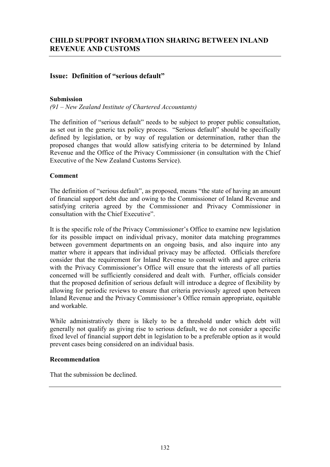# **Issue: Definition of "serious default"**

#### **Submission**

*(91 – New Zealand Institute of Chartered Accountants)* 

The definition of "serious default" needs to be subject to proper public consultation, as set out in the generic tax policy process. "Serious default" should be specifically defined by legislation, or by way of regulation or determination, rather than the proposed changes that would allow satisfying criteria to be determined by Inland Revenue and the Office of the Privacy Commissioner (in consultation with the Chief Executive of the New Zealand Customs Service).

#### **Comment**

The definition of "serious default", as proposed, means "the state of having an amount of financial support debt due and owing to the Commissioner of Inland Revenue and satisfying criteria agreed by the Commissioner and Privacy Commissioner in consultation with the Chief Executive".

It is the specific role of the Privacy Commissioner's Office to examine new legislation for its possible impact on individual privacy, monitor data matching programmes between government departments on an ongoing basis, and also inquire into any matter where it appears that individual privacy may be affected. Officials therefore consider that the requirement for Inland Revenue to consult with and agree criteria with the Privacy Commissioner's Office will ensure that the interests of all parties concerned will be sufficiently considered and dealt with. Further, officials consider that the proposed definition of serious default will introduce a degree of flexibility by allowing for periodic reviews to ensure that criteria previously agreed upon between Inland Revenue and the Privacy Commissioner's Office remain appropriate, equitable and workable.

While administratively there is likely to be a threshold under which debt will generally not qualify as giving rise to serious default, we do not consider a specific fixed level of financial support debt in legislation to be a preferable option as it would prevent cases being considered on an individual basis.

#### **Recommendation**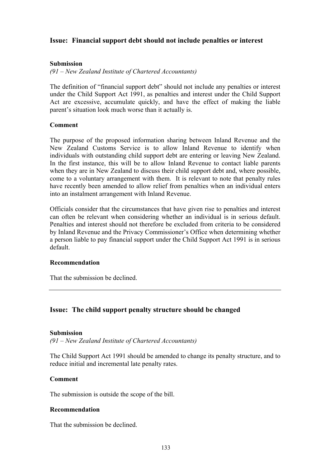# **Issue: Financial support debt should not include penalties or interest**

## **Submission**

*(91 – New Zealand Institute of Chartered Accountants)* 

The definition of "financial support debt" should not include any penalties or interest under the Child Support Act 1991, as penalties and interest under the Child Support Act are excessive, accumulate quickly, and have the effect of making the liable parent's situation look much worse than it actually is.

#### **Comment**

The purpose of the proposed information sharing between Inland Revenue and the New Zealand Customs Service is to allow Inland Revenue to identify when individuals with outstanding child support debt are entering or leaving New Zealand. In the first instance, this will be to allow Inland Revenue to contact liable parents when they are in New Zealand to discuss their child support debt and, where possible, come to a voluntary arrangement with them. It is relevant to note that penalty rules have recently been amended to allow relief from penalties when an individual enters into an instalment arrangement with Inland Revenue.

Officials consider that the circumstances that have given rise to penalties and interest can often be relevant when considering whether an individual is in serious default. Penalties and interest should not therefore be excluded from criteria to be considered by Inland Revenue and the Privacy Commissioner's Office when determining whether a person liable to pay financial support under the Child Support Act 1991 is in serious default.

#### **Recommendation**

That the submission be declined.

# **Issue: The child support penalty structure should be changed**

#### **Submission**

*(91 – New Zealand Institute of Chartered Accountants)* 

The Child Support Act 1991 should be amended to change its penalty structure, and to reduce initial and incremental late penalty rates.

#### **Comment**

The submission is outside the scope of the bill.

#### **Recommendation**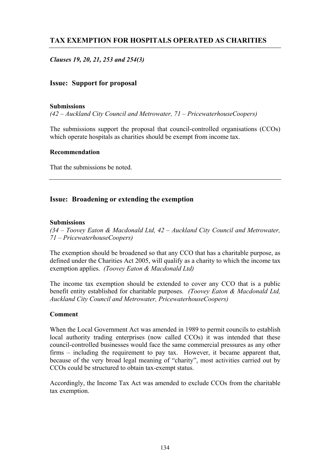# **TAX EXEMPTION FOR HOSPITALS OPERATED AS CHARITIES**

# *Clauses 19, 20, 21, 253 and 254(3)*

## **Issue: Support for proposal**

#### **Submissions**

*(42 – Auckland City Council and Metrowater, 71 – PricewaterhouseCoopers)* 

The submissions support the proposal that council-controlled organisations (CCOs) which operate hospitals as charities should be exempt from income tax.

#### **Recommendation**

That the submissions be noted.

## **Issue: Broadening or extending the exemption**

#### **Submissions**

*(34 – Toovey Eaton & Macdonald Ltd, 42 – Auckland City Council and Metrowater, 71 – PricewaterhouseCoopers)* 

The exemption should be broadened so that any CCO that has a charitable purpose, as defined under the Charities Act 2005, will qualify as a charity to which the income tax exemption applies. *(Toovey Eaton & Macdonald Ltd)*

The income tax exemption should be extended to cover any CCO that is a public benefit entity established for charitable purposes. *(Toovey Eaton & Macdonald Ltd, Auckland City Council and Metrowater, PricewaterhouseCoopers)*

#### **Comment**

When the Local Government Act was amended in 1989 to permit councils to establish local authority trading enterprises (now called CCOs) it was intended that these council-controlled businesses would face the same commercial pressures as any other firms – including the requirement to pay tax. However, it became apparent that, because of the very broad legal meaning of "charity", most activities carried out by CCOs could be structured to obtain tax-exempt status.

Accordingly, the Income Tax Act was amended to exclude CCOs from the charitable tax exemption.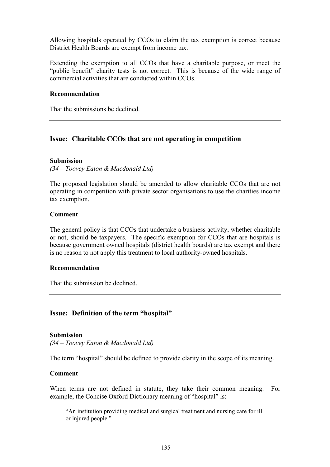Allowing hospitals operated by CCOs to claim the tax exemption is correct because District Health Boards are exempt from income tax.

Extending the exemption to all CCOs that have a charitable purpose, or meet the "public benefit" charity tests is not correct. This is because of the wide range of commercial activities that are conducted within CCOs.

#### **Recommendation**

That the submissions be declined.

#### **Issue: Charitable CCOs that are not operating in competition**

#### **Submission**

*(34 – Toovey Eaton & Macdonald Ltd)* 

The proposed legislation should be amended to allow charitable CCOs that are not operating in competition with private sector organisations to use the charities income tax exemption.

#### **Comment**

The general policy is that CCOs that undertake a business activity, whether charitable or not, should be taxpayers. The specific exemption for CCOs that are hospitals is because government owned hospitals (district health boards) are tax exempt and there is no reason to not apply this treatment to local authority-owned hospitals.

#### **Recommendation**

That the submission be declined.

#### **Issue: Definition of the term "hospital"**

#### **Submission**

*(34 – Toovey Eaton & Macdonald Ltd)* 

The term "hospital" should be defined to provide clarity in the scope of its meaning.

#### **Comment**

When terms are not defined in statute, they take their common meaning. For example, the Concise Oxford Dictionary meaning of "hospital" is:

"An institution providing medical and surgical treatment and nursing care for ill or injured people."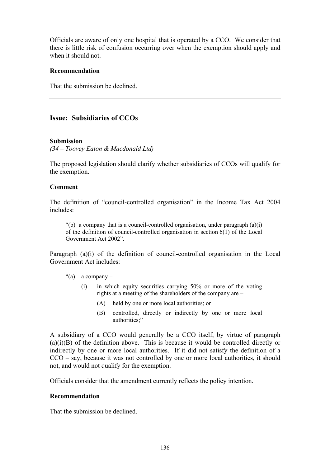Officials are aware of only one hospital that is operated by a CCO. We consider that there is little risk of confusion occurring over when the exemption should apply and when it should not.

#### **Recommendation**

That the submission be declined.

## **Issue: Subsidiaries of CCOs**

#### **Submission**

*(34 – Toovey Eaton & Macdonald Ltd)* 

The proposed legislation should clarify whether subsidiaries of CCOs will qualify for the exemption.

#### **Comment**

The definition of "council-controlled organisation" in the Income Tax Act 2004 includes:

"(b) a company that is a council-controlled organisation, under paragraph  $(a)(i)$ of the definition of council-controlled organisation in section 6(1) of the Local Government Act 2002".

Paragraph (a)(i) of the definition of council-controlled organisation in the Local Government Act includes:

- "(a) a company  $-$ 
	- (i) in which equity securities carrying 50% or more of the voting rights at a meeting of the shareholders of the company are –
		- (A) held by one or more local authorities; or
		- (B) controlled, directly or indirectly by one or more local authorities;"

A subsidiary of a CCO would generally be a CCO itself, by virtue of paragraph (a)(i)(B) of the definition above. This is because it would be controlled directly or indirectly by one or more local authorities. If it did not satisfy the definition of a CCO – say, because it was not controlled by one or more local authorities, it should not, and would not qualify for the exemption.

Officials consider that the amendment currently reflects the policy intention.

#### **Recommendation**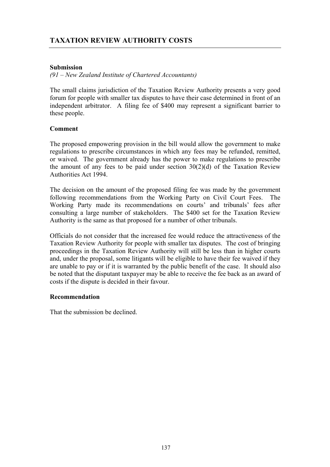# **Submission**

*(91 – New Zealand Institute of Chartered Accountants)* 

The small claims jurisdiction of the Taxation Review Authority presents a very good forum for people with smaller tax disputes to have their case determined in front of an independent arbitrator. A filing fee of \$400 may represent a significant barrier to these people.

# **Comment**

The proposed empowering provision in the bill would allow the government to make regulations to prescribe circumstances in which any fees may be refunded, remitted, or waived. The government already has the power to make regulations to prescribe the amount of any fees to be paid under section  $30(2)(d)$  of the Taxation Review Authorities Act 1994.

The decision on the amount of the proposed filing fee was made by the government following recommendations from the Working Party on Civil Court Fees. The Working Party made its recommendations on courts' and tribunals' fees after consulting a large number of stakeholders. The \$400 set for the Taxation Review Authority is the same as that proposed for a number of other tribunals.

Officials do not consider that the increased fee would reduce the attractiveness of the Taxation Review Authority for people with smaller tax disputes. The cost of bringing proceedings in the Taxation Review Authority will still be less than in higher courts and, under the proposal, some litigants will be eligible to have their fee waived if they are unable to pay or if it is warranted by the public benefit of the case. It should also be noted that the disputant taxpayer may be able to receive the fee back as an award of costs if the dispute is decided in their favour.

# **Recommendation**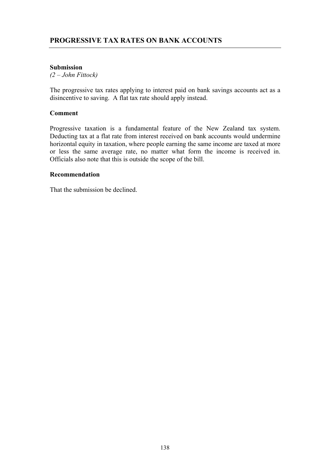# **Submission**

*(2 – John Fittock)* 

The progressive tax rates applying to interest paid on bank savings accounts act as a disincentive to saving. A flat tax rate should apply instead.

# **Comment**

Progressive taxation is a fundamental feature of the New Zealand tax system. Deducting tax at a flat rate from interest received on bank accounts would undermine horizontal equity in taxation, where people earning the same income are taxed at more or less the same average rate, no matter what form the income is received in. Officials also note that this is outside the scope of the bill.

# **Recommendation**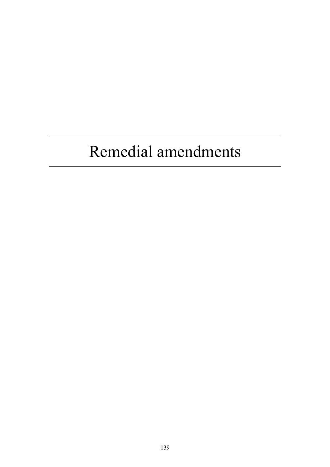# Remedial amendments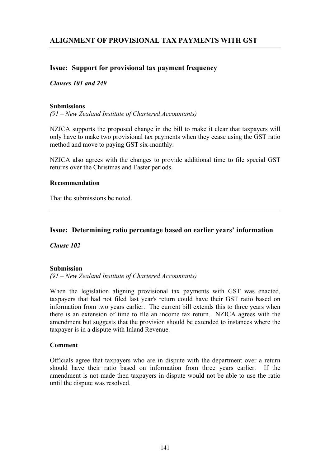# **Issue: Support for provisional tax payment frequency**

# *Clauses 101 and 249*

## **Submissions**

*(91 – New Zealand Institute of Chartered Accountants)* 

NZICA supports the proposed change in the bill to make it clear that taxpayers will only have to make two provisional tax payments when they cease using the GST ratio method and move to paying GST six-monthly.

NZICA also agrees with the changes to provide additional time to file special GST returns over the Christmas and Easter periods.

#### **Recommendation**

That the submissions be noted.

# **Issue: Determining ratio percentage based on earlier years' information**

*Clause 102* 

# **Submission**

*(91 – New Zealand Institute of Chartered Accountants)* 

When the legislation aligning provisional tax payments with GST was enacted, taxpayers that had not filed last year's return could have their GST ratio based on information from two years earlier. The current bill extends this to three years when there is an extension of time to file an income tax return. NZICA agrees with the amendment but suggests that the provision should be extended to instances where the taxpayer is in a dispute with Inland Revenue.

# **Comment**

Officials agree that taxpayers who are in dispute with the department over a return should have their ratio based on information from three years earlier. If the amendment is not made then taxpayers in dispute would not be able to use the ratio until the dispute was resolved.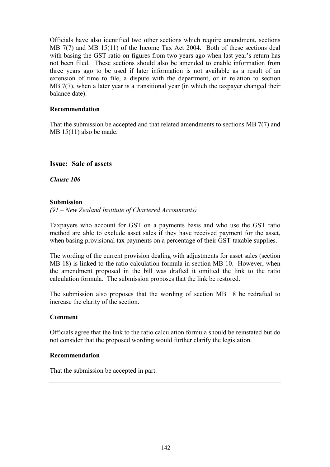Officials have also identified two other sections which require amendment, sections MB 7(7) and MB 15(11) of the Income Tax Act 2004. Both of these sections deal with basing the GST ratio on figures from two years ago when last year's return has not been filed. These sections should also be amended to enable information from three years ago to be used if later information is not available as a result of an extension of time to file, a dispute with the department, or in relation to section MB 7(7), when a later year is a transitional year (in which the taxpayer changed their balance date).

# **Recommendation**

That the submission be accepted and that related amendments to sections MB 7(7) and MB 15(11) also be made.

# **Issue: Sale of assets**

*Clause 106* 

# **Submission**

*(91 – New Zealand Institute of Chartered Accountants)* 

Taxpayers who account for GST on a payments basis and who use the GST ratio method are able to exclude asset sales if they have received payment for the asset, when basing provisional tax payments on a percentage of their GST-taxable supplies.

The wording of the current provision dealing with adjustments for asset sales (section MB 18) is linked to the ratio calculation formula in section MB 10. However, when the amendment proposed in the bill was drafted it omitted the link to the ratio calculation formula. The submission proposes that the link be restored.

The submission also proposes that the wording of section MB 18 be redrafted to increase the clarity of the section.

# **Comment**

Officials agree that the link to the ratio calculation formula should be reinstated but do not consider that the proposed wording would further clarify the legislation.

# **Recommendation**

That the submission be accepted in part.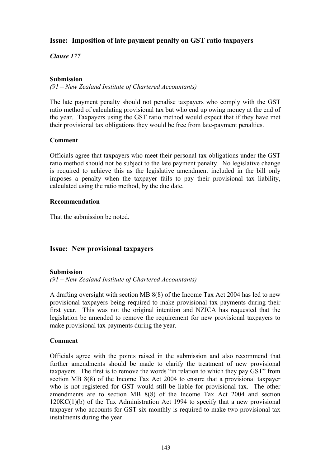# **Issue: Imposition of late payment penalty on GST ratio taxpayers**

*Clause 177* 

# **Submission**

*(91 – New Zealand Institute of Chartered Accountants)* 

The late payment penalty should not penalise taxpayers who comply with the GST ratio method of calculating provisional tax but who end up owing money at the end of the year. Taxpayers using the GST ratio method would expect that if they have met their provisional tax obligations they would be free from late-payment penalties.

# **Comment**

Officials agree that taxpayers who meet their personal tax obligations under the GST ratio method should not be subject to the late payment penalty. No legislative change is required to achieve this as the legislative amendment included in the bill only imposes a penalty when the taxpayer fails to pay their provisional tax liability, calculated using the ratio method, by the due date.

# **Recommendation**

That the submission be noted.

# **Issue: New provisional taxpayers**

# **Submission**

*(91 – New Zealand Institute of Chartered Accountants)* 

A drafting oversight with section MB 8(8) of the Income Tax Act 2004 has led to new provisional taxpayers being required to make provisional tax payments during their first year. This was not the original intention and NZICA has requested that the legislation be amended to remove the requirement for new provisional taxpayers to make provisional tax payments during the year.

# **Comment**

Officials agree with the points raised in the submission and also recommend that further amendments should be made to clarify the treatment of new provisional taxpayers. The first is to remove the words "in relation to which they pay GST" from section MB 8(8) of the Income Tax Act 2004 to ensure that a provisional taxpayer who is not registered for GST would still be liable for provisional tax. The other amendments are to section MB 8(8) of the Income Tax Act 2004 and section 120KC(1)(b) of the Tax Administration Act 1994 to specify that a new provisional taxpayer who accounts for GST six-monthly is required to make two provisional tax instalments during the year.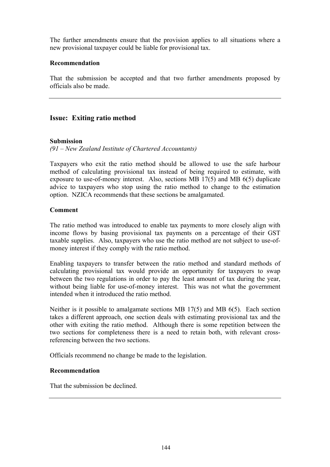The further amendments ensure that the provision applies to all situations where a new provisional taxpayer could be liable for provisional tax.

# **Recommendation**

That the submission be accepted and that two further amendments proposed by officials also be made.

# **Issue: Exiting ratio method**

#### **Submission**

*(91 – New Zealand Institute of Chartered Accountants)* 

Taxpayers who exit the ratio method should be allowed to use the safe harbour method of calculating provisional tax instead of being required to estimate, with exposure to use-of-money interest. Also, sections MB 17(5) and MB 6(5) duplicate advice to taxpayers who stop using the ratio method to change to the estimation option. NZICA recommends that these sections be amalgamated.

#### **Comment**

The ratio method was introduced to enable tax payments to more closely align with income flows by basing provisional tax payments on a percentage of their GST taxable supplies. Also, taxpayers who use the ratio method are not subject to use-ofmoney interest if they comply with the ratio method.

Enabling taxpayers to transfer between the ratio method and standard methods of calculating provisional tax would provide an opportunity for taxpayers to swap between the two regulations in order to pay the least amount of tax during the year, without being liable for use-of-money interest. This was not what the government intended when it introduced the ratio method.

Neither is it possible to amalgamate sections MB 17(5) and MB 6(5). Each section takes a different approach, one section deals with estimating provisional tax and the other with exiting the ratio method. Although there is some repetition between the two sections for completeness there is a need to retain both, with relevant crossreferencing between the two sections.

Officials recommend no change be made to the legislation.

#### **Recommendation**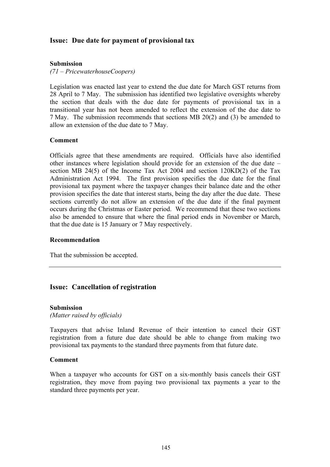# **Issue: Due date for payment of provisional tax**

# **Submission**

*(71 – PricewaterhouseCoopers)* 

Legislation was enacted last year to extend the due date for March GST returns from 28 April to 7 May. The submission has identified two legislative oversights whereby the section that deals with the due date for payments of provisional tax in a transitional year has not been amended to reflect the extension of the due date to 7 May. The submission recommends that sections MB 20(2) and (3) be amended to allow an extension of the due date to 7 May.

# **Comment**

Officials agree that these amendments are required. Officials have also identified other instances where legislation should provide for an extension of the due date – section MB 24(5) of the Income Tax Act 2004 and section 120KD(2) of the Tax Administration Act 1994. The first provision specifies the due date for the final provisional tax payment where the taxpayer changes their balance date and the other provision specifies the date that interest starts, being the day after the due date. These sections currently do not allow an extension of the due date if the final payment occurs during the Christmas or Easter period. We recommend that these two sections also be amended to ensure that where the final period ends in November or March, that the due date is 15 January or 7 May respectively.

# **Recommendation**

That the submission be accepted.

# **Issue: Cancellation of registration**

#### **Submission**

*(Matter raised by officials)* 

Taxpayers that advise Inland Revenue of their intention to cancel their GST registration from a future due date should be able to change from making two provisional tax payments to the standard three payments from that future date.

# **Comment**

When a taxpayer who accounts for GST on a six-monthly basis cancels their GST registration, they move from paying two provisional tax payments a year to the standard three payments per year.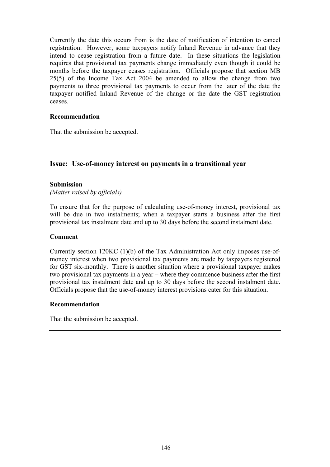Currently the date this occurs from is the date of notification of intention to cancel registration. However, some taxpayers notify Inland Revenue in advance that they intend to cease registration from a future date. In these situations the legislation requires that provisional tax payments change immediately even though it could be months before the taxpayer ceases registration. Officials propose that section MB 25(5) of the Income Tax Act 2004 be amended to allow the change from two payments to three provisional tax payments to occur from the later of the date the taxpayer notified Inland Revenue of the change or the date the GST registration ceases.

# **Recommendation**

That the submission be accepted.

# **Issue: Use-of-money interest on payments in a transitional year**

# **Submission**

*(Matter raised by officials)* 

To ensure that for the purpose of calculating use-of-money interest, provisional tax will be due in two instalments; when a taxpayer starts a business after the first provisional tax instalment date and up to 30 days before the second instalment date.

# **Comment**

Currently section 120KC (1)(b) of the Tax Administration Act only imposes use-ofmoney interest when two provisional tax payments are made by taxpayers registered for GST six-monthly. There is another situation where a provisional taxpayer makes two provisional tax payments in a year – where they commence business after the first provisional tax instalment date and up to 30 days before the second instalment date. Officials propose that the use-of-money interest provisions cater for this situation.

# **Recommendation**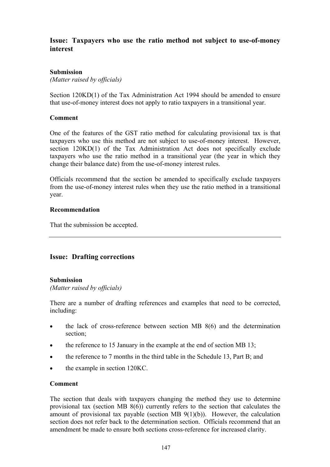# **Issue: Taxpayers who use the ratio method not subject to use-of-money interest**

# **Submission**

*(Matter raised by officials)* 

Section 120KD(1) of the Tax Administration Act 1994 should be amended to ensure that use-of-money interest does not apply to ratio taxpayers in a transitional year.

# **Comment**

One of the features of the GST ratio method for calculating provisional tax is that taxpayers who use this method are not subject to use-of-money interest. However, section 120KD(1) of the Tax Administration Act does not specifically exclude taxpayers who use the ratio method in a transitional year (the year in which they change their balance date) from the use-of-money interest rules.

Officials recommend that the section be amended to specifically exclude taxpayers from the use-of-money interest rules when they use the ratio method in a transitional year.

# **Recommendation**

That the submission be accepted.

# **Issue: Drafting corrections**

# **Submission**

*(Matter raised by officials)* 

There are a number of drafting references and examples that need to be corrected, including:

- the lack of cross-reference between section MB 8(6) and the determination section;
- the reference to 15 January in the example at the end of section MB 13;
- the reference to 7 months in the third table in the Schedule 13, Part B; and
- the example in section 120KC.

# **Comment**

The section that deals with taxpayers changing the method they use to determine provisional tax (section MB 8(6)) currently refers to the section that calculates the amount of provisional tax payable (section MB  $9(1)(b)$ ). However, the calculation section does not refer back to the determination section. Officials recommend that an amendment be made to ensure both sections cross-reference for increased clarity.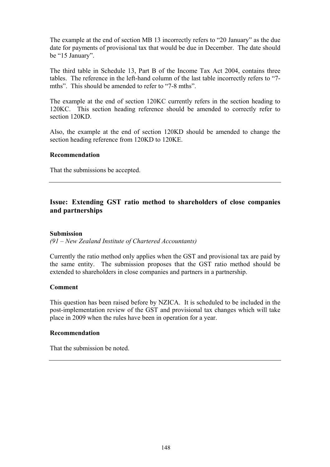The example at the end of section MB 13 incorrectly refers to "20 January" as the due date for payments of provisional tax that would be due in December. The date should be "15 January".

The third table in Schedule 13, Part B of the Income Tax Act 2004, contains three tables. The reference in the left-hand column of the last table incorrectly refers to "7 mths". This should be amended to refer to "7-8 mths".

The example at the end of section 120KC currently refers in the section heading to 120KC. This section heading reference should be amended to correctly refer to section 120KD.

Also, the example at the end of section 120KD should be amended to change the section heading reference from 120KD to 120KE.

# **Recommendation**

That the submissions be accepted.

# **Issue: Extending GST ratio method to shareholders of close companies and partnerships**

# **Submission**

*(91 – New Zealand Institute of Chartered Accountants)* 

Currently the ratio method only applies when the GST and provisional tax are paid by the same entity. The submission proposes that the GST ratio method should be extended to shareholders in close companies and partners in a partnership.

# **Comment**

This question has been raised before by NZICA. It is scheduled to be included in the post-implementation review of the GST and provisional tax changes which will take place in 2009 when the rules have been in operation for a year.

# **Recommendation**

That the submission be noted.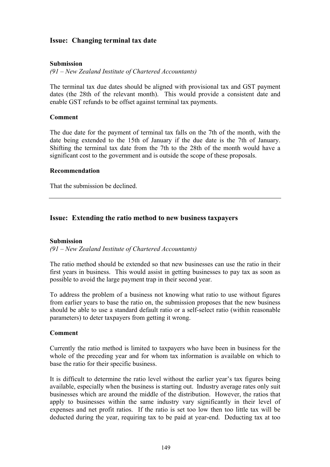# **Issue: Changing terminal tax date**

# **Submission**

*(91 – New Zealand Institute of Chartered Accountants)* 

The terminal tax due dates should be aligned with provisional tax and GST payment dates (the 28th of the relevant month). This would provide a consistent date and enable GST refunds to be offset against terminal tax payments.

## **Comment**

The due date for the payment of terminal tax falls on the 7th of the month, with the date being extended to the 15th of January if the due date is the 7th of January. Shifting the terminal tax date from the 7th to the 28th of the month would have a significant cost to the government and is outside the scope of these proposals.

# **Recommendation**

That the submission be declined.

# **Issue: Extending the ratio method to new business taxpayers**

# **Submission**

*(91 – New Zealand Institute of Chartered Accountants)* 

The ratio method should be extended so that new businesses can use the ratio in their first years in business. This would assist in getting businesses to pay tax as soon as possible to avoid the large payment trap in their second year.

To address the problem of a business not knowing what ratio to use without figures from earlier years to base the ratio on, the submission proposes that the new business should be able to use a standard default ratio or a self-select ratio (within reasonable parameters) to deter taxpayers from getting it wrong.

# **Comment**

Currently the ratio method is limited to taxpayers who have been in business for the whole of the preceding year and for whom tax information is available on which to base the ratio for their specific business.

It is difficult to determine the ratio level without the earlier year's tax figures being available, especially when the business is starting out. Industry average rates only suit businesses which are around the middle of the distribution. However, the ratios that apply to businesses within the same industry vary significantly in their level of expenses and net profit ratios. If the ratio is set too low then too little tax will be deducted during the year, requiring tax to be paid at year-end. Deducting tax at too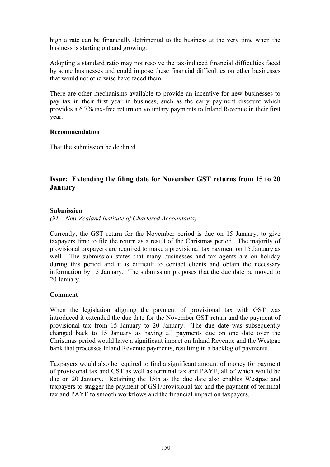high a rate can be financially detrimental to the business at the very time when the business is starting out and growing.

Adopting a standard ratio may not resolve the tax-induced financial difficulties faced by some businesses and could impose these financial difficulties on other businesses that would not otherwise have faced them.

There are other mechanisms available to provide an incentive for new businesses to pay tax in their first year in business, such as the early payment discount which provides a 6.7% tax-free return on voluntary payments to Inland Revenue in their first year.

# **Recommendation**

That the submission be declined.

# **Issue: Extending the filing date for November GST returns from 15 to 20 January**

#### **Submission**

*(91 – New Zealand Institute of Chartered Accountants)* 

Currently, the GST return for the November period is due on 15 January, to give taxpayers time to file the return as a result of the Christmas period. The majority of provisional taxpayers are required to make a provisional tax payment on 15 January as well. The submission states that many businesses and tax agents are on holiday during this period and it is difficult to contact clients and obtain the necessary information by 15 January. The submission proposes that the due date be moved to 20 January.

### **Comment**

When the legislation aligning the payment of provisional tax with GST was introduced it extended the due date for the November GST return and the payment of provisional tax from 15 January to 20 January. The due date was subsequently changed back to 15 January as having all payments due on one date over the Christmas period would have a significant impact on Inland Revenue and the Westpac bank that processes Inland Revenue payments, resulting in a backlog of payments.

Taxpayers would also be required to find a significant amount of money for payment of provisional tax and GST as well as terminal tax and PAYE, all of which would be due on 20 January. Retaining the 15th as the due date also enables Westpac and taxpayers to stagger the payment of GST/provisional tax and the payment of terminal tax and PAYE to smooth workflows and the financial impact on taxpayers.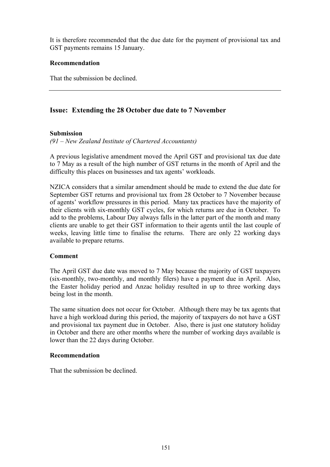It is therefore recommended that the due date for the payment of provisional tax and GST payments remains 15 January.

# **Recommendation**

That the submission be declined.

# **Issue: Extending the 28 October due date to 7 November**

# **Submission**

*(91 – New Zealand Institute of Chartered Accountants)* 

A previous legislative amendment moved the April GST and provisional tax due date to 7 May as a result of the high number of GST returns in the month of April and the difficulty this places on businesses and tax agents' workloads.

NZICA considers that a similar amendment should be made to extend the due date for September GST returns and provisional tax from 28 October to 7 November because of agents' workflow pressures in this period. Many tax practices have the majority of their clients with six-monthly GST cycles, for which returns are due in October. To add to the problems, Labour Day always falls in the latter part of the month and many clients are unable to get their GST information to their agents until the last couple of weeks, leaving little time to finalise the returns. There are only 22 working days available to prepare returns.

# **Comment**

The April GST due date was moved to 7 May because the majority of GST taxpayers (six-monthly, two-monthly, and monthly filers) have a payment due in April. Also, the Easter holiday period and Anzac holiday resulted in up to three working days being lost in the month.

The same situation does not occur for October. Although there may be tax agents that have a high workload during this period, the majority of taxpayers do not have a GST and provisional tax payment due in October. Also, there is just one statutory holiday in October and there are other months where the number of working days available is lower than the 22 days during October.

# **Recommendation**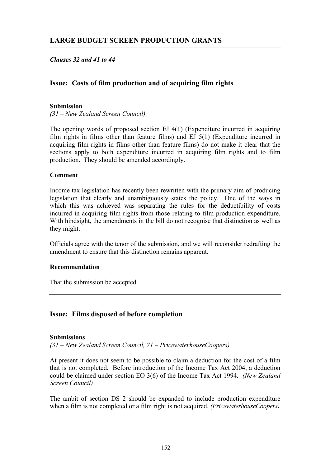# *Clauses 32 and 41 to 44*

# **Issue: Costs of film production and of acquiring film rights**

# **Submission**

*(31 – New Zealand Screen Council)* 

The opening words of proposed section EJ 4(1) (Expenditure incurred in acquiring film rights in films other than feature films) and EJ 5(1) (Expenditure incurred in acquiring film rights in films other than feature films) do not make it clear that the sections apply to both expenditure incurred in acquiring film rights and to film production. They should be amended accordingly.

# **Comment**

Income tax legislation has recently been rewritten with the primary aim of producing legislation that clearly and unambiguously states the policy. One of the ways in which this was achieved was separating the rules for the deductibility of costs incurred in acquiring film rights from those relating to film production expenditure. With hindsight, the amendments in the bill do not recognise that distinction as well as they might.

Officials agree with the tenor of the submission, and we will reconsider redrafting the amendment to ensure that this distinction remains apparent.

# **Recommendation**

That the submission be accepted.

# **Issue: Films disposed of before completion**

# **Submissions**

*(31 – New Zealand Screen Council, 71 – PricewaterhouseCoopers)* 

At present it does not seem to be possible to claim a deduction for the cost of a film that is not completed. Before introduction of the Income Tax Act 2004, a deduction could be claimed under section EO 3(6) of the Income Tax Act 1994. *(New Zealand Screen Council)*

The ambit of section DS 2 should be expanded to include production expenditure when a film is not completed or a film right is not acquired. *(PricewaterhouseCoopers)*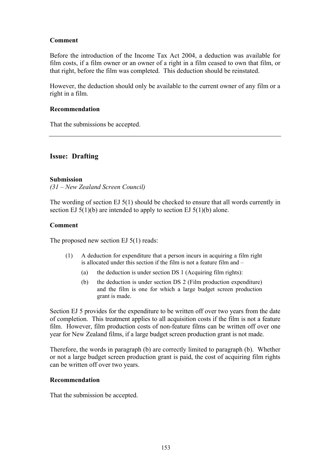# **Comment**

Before the introduction of the Income Tax Act 2004, a deduction was available for film costs, if a film owner or an owner of a right in a film ceased to own that film, or that right, before the film was completed. This deduction should be reinstated.

However, the deduction should only be available to the current owner of any film or a right in a film.

# **Recommendation**

That the submissions be accepted.

# **Issue: Drafting**

# **Submission**

*(31 – New Zealand Screen Council)* 

The wording of section EJ 5(1) should be checked to ensure that all words currently in section EJ  $5(1)(b)$  are intended to apply to section EJ  $5(1)(b)$  alone.

#### **Comment**

The proposed new section EJ  $5(1)$  reads:

- (1) A deduction for expenditure that a person incurs in acquiring a film right is allocated under this section if the film is not a feature film and –
	- (a) the deduction is under section DS 1 (Acquiring film rights):
	- (b) the deduction is under section DS 2 (Film production expenditure) and the film is one for which a large budget screen production grant is made.

Section EJ 5 provides for the expenditure to be written off over two years from the date of completion. This treatment applies to all acquisition costs if the film is not a feature film. However, film production costs of non-feature films can be written off over one year for New Zealand films, if a large budget screen production grant is not made.

Therefore, the words in paragraph (b) are correctly limited to paragraph (b). Whether or not a large budget screen production grant is paid, the cost of acquiring film rights can be written off over two years.

# **Recommendation**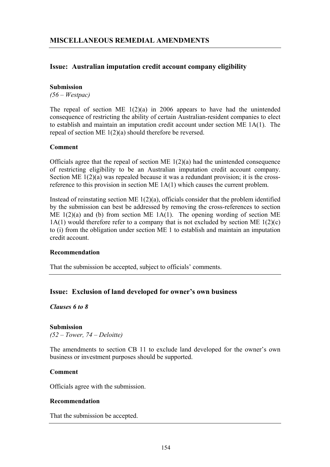# **Issue: Australian imputation credit account company eligibility**

# **Submission**

*(56 – Westpac)* 

The repeal of section ME  $1(2)(a)$  in 2006 appears to have had the unintended consequence of restricting the ability of certain Australian-resident companies to elect to establish and maintain an imputation credit account under section ME 1A(1). The repeal of section ME 1(2)(a) should therefore be reversed.

# **Comment**

Officials agree that the repeal of section ME  $1(2)(a)$  had the unintended consequence of restricting eligibility to be an Australian imputation credit account company. Section ME 1(2)(a) was repealed because it was a redundant provision; it is the crossreference to this provision in section ME 1A(1) which causes the current problem.

Instead of reinstating section ME 1(2)(a), officials consider that the problem identified by the submission can best be addressed by removing the cross-references to section ME 1(2)(a) and (b) from section ME 1A(1). The opening wording of section ME 1A(1) would therefore refer to a company that is not excluded by section ME 1(2)(c) to (i) from the obligation under section ME 1 to establish and maintain an imputation credit account.

# **Recommendation**

That the submission be accepted, subject to officials' comments.

# **Issue: Exclusion of land developed for owner's own business**

*Clauses 6 to 8* 

#### **Submission**

*(52 – Tower, 74 – Deloitte)* 

The amendments to section CB 11 to exclude land developed for the owner's own business or investment purposes should be supported.

# **Comment**

Officials agree with the submission.

#### **Recommendation**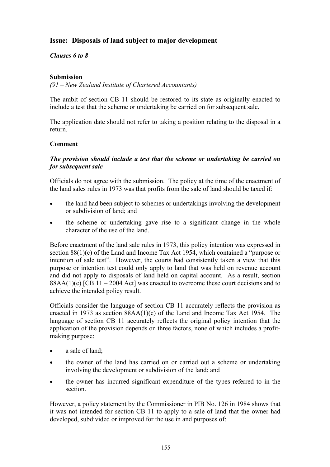# **Issue: Disposals of land subject to major development**

# *Clauses 6 to 8*

# **Submission**

# *(91 – New Zealand Institute of Chartered Accountants)*

The ambit of section CB 11 should be restored to its state as originally enacted to include a test that the scheme or undertaking be carried on for subsequent sale.

The application date should not refer to taking a position relating to the disposal in a return.

# **Comment**

# *The provision should include a test that the scheme or undertaking be carried on for subsequent sale*

Officials do not agree with the submission. The policy at the time of the enactment of the land sales rules in 1973 was that profits from the sale of land should be taxed if:

- the land had been subject to schemes or undertakings involving the development or subdivision of land; and
- the scheme or undertaking gave rise to a significant change in the whole character of the use of the land.

Before enactment of the land sale rules in 1973, this policy intention was expressed in section 88(1)(c) of the Land and Income Tax Act 1954, which contained a "purpose or intention of sale test". However, the courts had consistently taken a view that this purpose or intention test could only apply to land that was held on revenue account and did not apply to disposals of land held on capital account. As a result, section  $88AA(1)(e)$  [CB 11 – 2004 Act] was enacted to overcome these court decisions and to achieve the intended policy result.

Officials consider the language of section CB 11 accurately reflects the provision as enacted in 1973 as section 88AA(1)(e) of the Land and Income Tax Act 1954. The language of section CB 11 accurately reflects the original policy intention that the application of the provision depends on three factors, none of which includes a profitmaking purpose:

- a sale of land;
- the owner of the land has carried on or carried out a scheme or undertaking involving the development or subdivision of the land; and
- the owner has incurred significant expenditure of the types referred to in the section.

However, a policy statement by the Commissioner in PIB No. 126 in 1984 shows that it was not intended for section CB 11 to apply to a sale of land that the owner had developed, subdivided or improved for the use in and purposes of: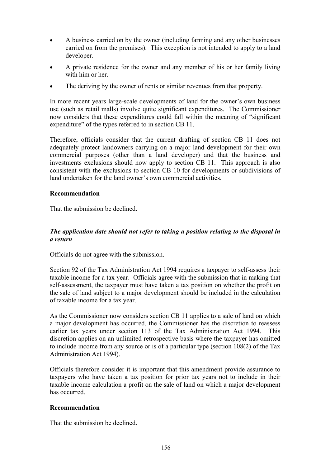- A business carried on by the owner (including farming and any other businesses carried on from the premises). This exception is not intended to apply to a land developer.
- A private residence for the owner and any member of his or her family living with him or her.
- The deriving by the owner of rents or similar revenues from that property.

In more recent years large-scale developments of land for the owner's own business use (such as retail malls) involve quite significant expenditures. The Commissioner now considers that these expenditures could fall within the meaning of "significant expenditure" of the types referred to in section CB 11.

Therefore, officials consider that the current drafting of section CB 11 does not adequately protect landowners carrying on a major land development for their own commercial purposes (other than a land developer) and that the business and investments exclusions should now apply to section CB 11. This approach is also consistent with the exclusions to section CB 10 for developments or subdivisions of land undertaken for the land owner's own commercial activities.

# **Recommendation**

That the submission be declined.

# *The application date should not refer to taking a position relating to the disposal in a return*

Officials do not agree with the submission.

Section 92 of the Tax Administration Act 1994 requires a taxpayer to self-assess their taxable income for a tax year. Officials agree with the submission that in making that self-assessment, the taxpayer must have taken a tax position on whether the profit on the sale of land subject to a major development should be included in the calculation of taxable income for a tax year.

As the Commissioner now considers section CB 11 applies to a sale of land on which a major development has occurred, the Commissioner has the discretion to reassess earlier tax years under section 113 of the Tax Administration Act 1994. This discretion applies on an unlimited retrospective basis where the taxpayer has omitted to include income from any source or is of a particular type (section 108(2) of the Tax Administration Act 1994).

Officials therefore consider it is important that this amendment provide assurance to taxpayers who have taken a tax position for prior tax years not to include in their taxable income calculation a profit on the sale of land on which a major development has occurred.

# **Recommendation**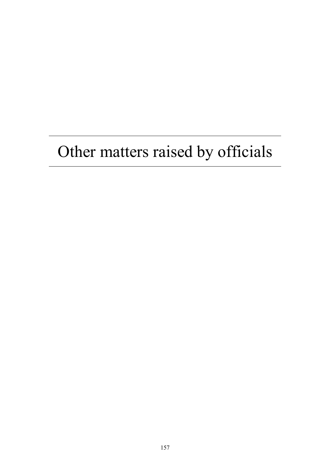# Other matters raised by officials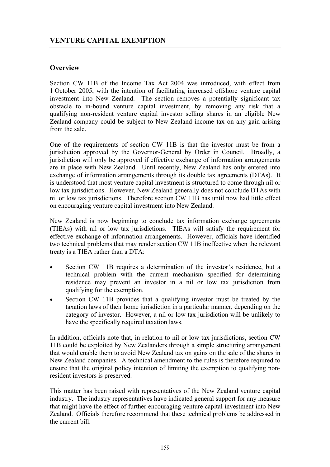# **Overview**

Section CW 11B of the Income Tax Act 2004 was introduced, with effect from 1 October 2005, with the intention of facilitating increased offshore venture capital investment into New Zealand. The section removes a potentially significant tax obstacle to in-bound venture capital investment, by removing any risk that a qualifying non-resident venture capital investor selling shares in an eligible New Zealand company could be subject to New Zealand income tax on any gain arising from the sale.

One of the requirements of section CW 11B is that the investor must be from a jurisdiction approved by the Governor-General by Order in Council. Broadly, a jurisdiction will only be approved if effective exchange of information arrangements are in place with New Zealand. Until recently, New Zealand has only entered into exchange of information arrangements through its double tax agreements (DTAs). It is understood that most venture capital investment is structured to come through nil or low tax jurisdictions. However, New Zealand generally does not conclude DTAs with nil or low tax jurisdictions. Therefore section CW 11B has until now had little effect on encouraging venture capital investment into New Zealand.

New Zealand is now beginning to conclude tax information exchange agreements (TIEAs) with nil or low tax jurisdictions. TIEAs will satisfy the requirement for effective exchange of information arrangements. However, officials have identified two technical problems that may render section CW 11B ineffective when the relevant treaty is a TIEA rather than a DTA:

- Section CW 11B requires a determination of the investor's residence, but a technical problem with the current mechanism specified for determining residence may prevent an investor in a nil or low tax jurisdiction from qualifying for the exemption.
- Section CW 11B provides that a qualifying investor must be treated by the taxation laws of their home jurisdiction in a particular manner, depending on the category of investor. However, a nil or low tax jurisdiction will be unlikely to have the specifically required taxation laws.

In addition, officials note that, in relation to nil or low tax jurisdictions, section CW 11B could be exploited by New Zealanders through a simple structuring arrangement that would enable them to avoid New Zealand tax on gains on the sale of the shares in New Zealand companies. A technical amendment to the rules is therefore required to ensure that the original policy intention of limiting the exemption to qualifying nonresident investors is preserved.

This matter has been raised with representatives of the New Zealand venture capital industry. The industry representatives have indicated general support for any measure that might have the effect of further encouraging venture capital investment into New Zealand. Officials therefore recommend that these technical problems be addressed in the current bill.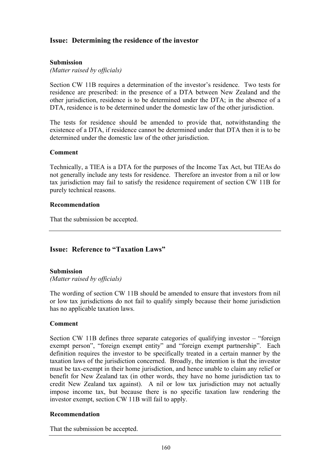# **Issue: Determining the residence of the investor**

# **Submission**

*(Matter raised by officials)* 

Section CW 11B requires a determination of the investor's residence. Two tests for residence are prescribed: in the presence of a DTA between New Zealand and the other jurisdiction, residence is to be determined under the DTA; in the absence of a DTA, residence is to be determined under the domestic law of the other jurisdiction.

The tests for residence should be amended to provide that, notwithstanding the existence of a DTA, if residence cannot be determined under that DTA then it is to be determined under the domestic law of the other jurisdiction.

# **Comment**

Technically, a TIEA is a DTA for the purposes of the Income Tax Act, but TIEAs do not generally include any tests for residence. Therefore an investor from a nil or low tax jurisdiction may fail to satisfy the residence requirement of section CW 11B for purely technical reasons.

# **Recommendation**

That the submission be accepted.

# **Issue: Reference to "Taxation Laws"**

# **Submission**

*(Matter raised by officials)* 

The wording of section CW 11B should be amended to ensure that investors from nil or low tax jurisdictions do not fail to qualify simply because their home jurisdiction has no applicable taxation laws.

# **Comment**

Section CW 11B defines three separate categories of qualifying investor – "foreign exempt person", "foreign exempt entity" and "foreign exempt partnership". Each definition requires the investor to be specifically treated in a certain manner by the taxation laws of the jurisdiction concerned. Broadly, the intention is that the investor must be tax-exempt in their home jurisdiction, and hence unable to claim any relief or benefit for New Zealand tax (in other words, they have no home jurisdiction tax to credit New Zealand tax against). A nil or low tax jurisdiction may not actually impose income tax, but because there is no specific taxation law rendering the investor exempt, section CW 11B will fail to apply.

# **Recommendation**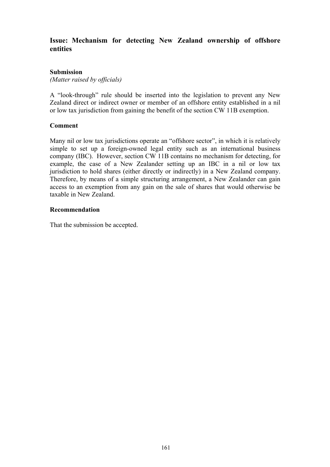# **Issue: Mechanism for detecting New Zealand ownership of offshore entities**

# **Submission**

*(Matter raised by officials)* 

A "look-through" rule should be inserted into the legislation to prevent any New Zealand direct or indirect owner or member of an offshore entity established in a nil or low tax jurisdiction from gaining the benefit of the section CW 11B exemption.

# **Comment**

Many nil or low tax jurisdictions operate an "offshore sector", in which it is relatively simple to set up a foreign-owned legal entity such as an international business company (IBC). However, section CW 11B contains no mechanism for detecting, for example, the case of a New Zealander setting up an IBC in a nil or low tax jurisdiction to hold shares (either directly or indirectly) in a New Zealand company. Therefore, by means of a simple structuring arrangement, a New Zealander can gain access to an exemption from any gain on the sale of shares that would otherwise be taxable in New Zealand.

# **Recommendation**